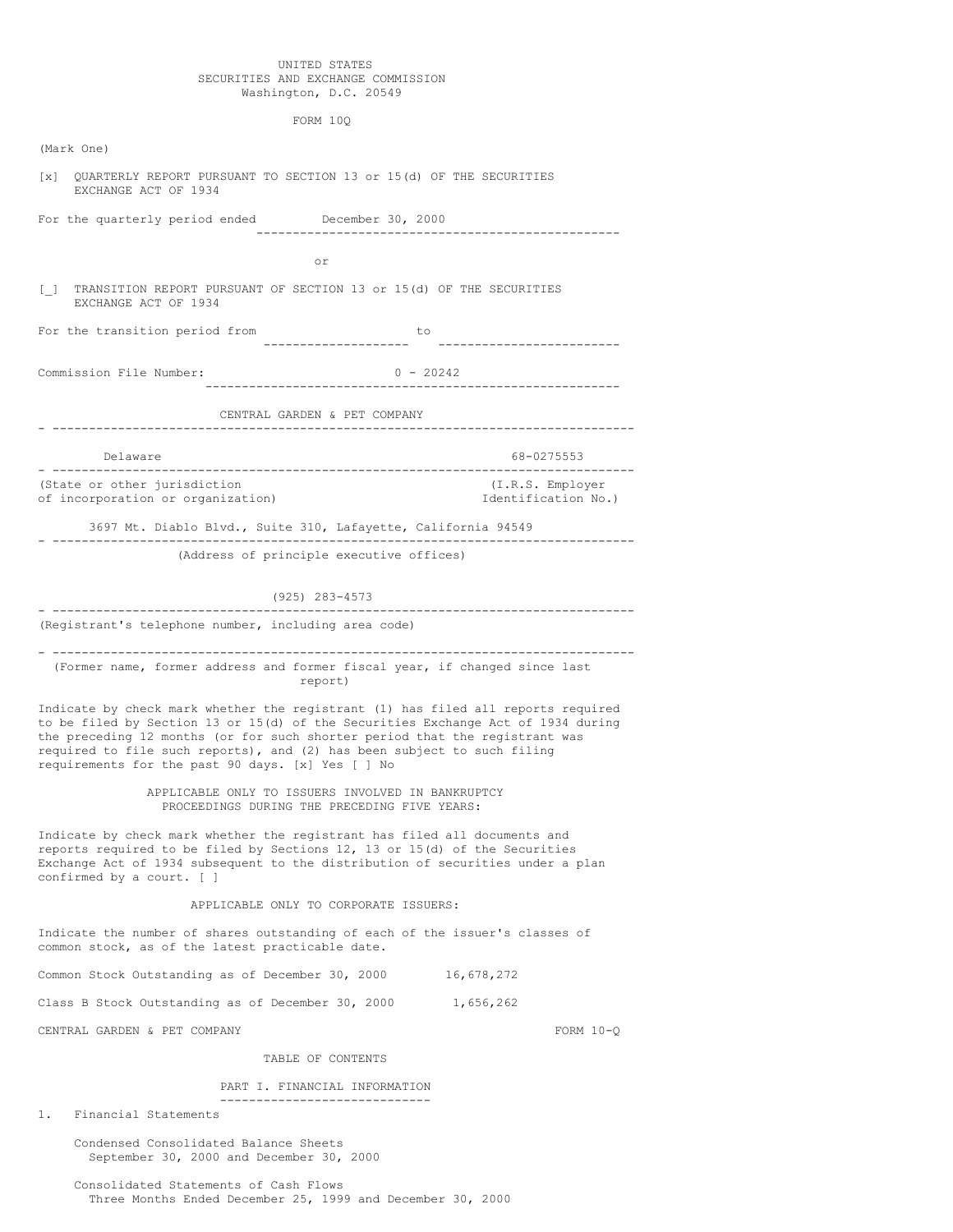# UNITED STATES SECURITIES AND EXCHANGE COMMISSION Washington, D.C. 20549

FORM 10Q

| (Mark One)                                                                                                                                                                                                                                                             |                                                                                                                                                                                                                                                                                                                                                                                     |                                                                 |                                             |  |  |
|------------------------------------------------------------------------------------------------------------------------------------------------------------------------------------------------------------------------------------------------------------------------|-------------------------------------------------------------------------------------------------------------------------------------------------------------------------------------------------------------------------------------------------------------------------------------------------------------------------------------------------------------------------------------|-----------------------------------------------------------------|---------------------------------------------|--|--|
| QUARTERLY REPORT PURSUANT TO SECTION 13 or 15(d) OF THE SECURITIES<br>$\begin{bmatrix} \mathbf{x} \end{bmatrix}$<br>EXCHANGE ACT OF 1934                                                                                                                               |                                                                                                                                                                                                                                                                                                                                                                                     |                                                                 |                                             |  |  |
|                                                                                                                                                                                                                                                                        | For the quarterly period ended December 30, 2000                                                                                                                                                                                                                                                                                                                                    |                                                                 |                                             |  |  |
|                                                                                                                                                                                                                                                                        | or                                                                                                                                                                                                                                                                                                                                                                                  |                                                                 |                                             |  |  |
|                                                                                                                                                                                                                                                                        |                                                                                                                                                                                                                                                                                                                                                                                     |                                                                 |                                             |  |  |
| $\begin{bmatrix} 1 \end{bmatrix}$                                                                                                                                                                                                                                      | TRANSITION REPORT PURSUANT OF SECTION 13 or 15(d) OF THE SECURITIES<br>EXCHANGE ACT OF 1934                                                                                                                                                                                                                                                                                         |                                                                 |                                             |  |  |
|                                                                                                                                                                                                                                                                        | For the transition period from                                                                                                                                                                                                                                                                                                                                                      | to                                                              | ------------------                          |  |  |
|                                                                                                                                                                                                                                                                        | Commission File Number:                                                                                                                                                                                                                                                                                                                                                             | $0 - 20242$                                                     | . <u>.</u> .                                |  |  |
|                                                                                                                                                                                                                                                                        | CENTRAL GARDEN & PET COMPANY                                                                                                                                                                                                                                                                                                                                                        |                                                                 |                                             |  |  |
|                                                                                                                                                                                                                                                                        |                                                                                                                                                                                                                                                                                                                                                                                     |                                                                 |                                             |  |  |
|                                                                                                                                                                                                                                                                        | Delaware                                                                                                                                                                                                                                                                                                                                                                            |                                                                 | 68-0275553<br>. _ _ _ _ _ _ _ _ _ _ _ _ _ _ |  |  |
|                                                                                                                                                                                                                                                                        | (State or other jurisdiction<br>of incorporation or organization)                                                                                                                                                                                                                                                                                                                   |                                                                 | (I.R.S. Employer<br>Identification No.)     |  |  |
|                                                                                                                                                                                                                                                                        | 3697 Mt. Diablo Blvd., Suite 310, Lafayette, California 94549                                                                                                                                                                                                                                                                                                                       |                                                                 |                                             |  |  |
|                                                                                                                                                                                                                                                                        | (Address of principle executive offices)                                                                                                                                                                                                                                                                                                                                            |                                                                 |                                             |  |  |
|                                                                                                                                                                                                                                                                        | (925) 283-4573                                                                                                                                                                                                                                                                                                                                                                      |                                                                 |                                             |  |  |
|                                                                                                                                                                                                                                                                        | ----------------------------------<br>(Registrant's telephone number, including area code)                                                                                                                                                                                                                                                                                          | ------------------------------                                  |                                             |  |  |
|                                                                                                                                                                                                                                                                        | (Former name, former address and former fiscal year, if changed since last<br>report)                                                                                                                                                                                                                                                                                               |                                                                 |                                             |  |  |
|                                                                                                                                                                                                                                                                        | Indicate by check mark whether the registrant (1) has filed all reports required<br>to be filed by Section 13 or 15(d) of the Securities Exchange Act of 1934 during<br>the preceding 12 months (or for such shorter period that the registrant was<br>required to file such reports), and (2) has been subject to such filing<br>requirements for the past 90 days. [x] Yes [ ] No |                                                                 |                                             |  |  |
|                                                                                                                                                                                                                                                                        | APPLICABLE ONLY TO ISSUERS INVOLVED IN BANKRUPTCY<br>PROCEEDINGS DURING THE PRECEDING FIVE YEARS:                                                                                                                                                                                                                                                                                   |                                                                 |                                             |  |  |
| Indicate by check mark whether the registrant has filed all documents and<br>reports required to be filed by Sections 12, 13 or 15(d) of the Securities<br>Exchange Act of 1934 subsequent to the distribution of securities under a plan<br>confirmed by a court. [ ] |                                                                                                                                                                                                                                                                                                                                                                                     |                                                                 |                                             |  |  |
|                                                                                                                                                                                                                                                                        |                                                                                                                                                                                                                                                                                                                                                                                     | APPLICABLE ONLY TO CORPORATE ISSUERS:                           |                                             |  |  |
|                                                                                                                                                                                                                                                                        | Indicate the number of shares outstanding of each of the issuer's classes of<br>common stock, as of the latest practicable date.                                                                                                                                                                                                                                                    |                                                                 |                                             |  |  |
|                                                                                                                                                                                                                                                                        | Common Stock Outstanding as of December 30, 2000                                                                                                                                                                                                                                                                                                                                    |                                                                 | 16,678,272                                  |  |  |
|                                                                                                                                                                                                                                                                        | Class B Stock Outstanding as of December 30, 2000                                                                                                                                                                                                                                                                                                                                   |                                                                 | 1,656,262                                   |  |  |
|                                                                                                                                                                                                                                                                        | CENTRAL GARDEN & PET COMPANY                                                                                                                                                                                                                                                                                                                                                        |                                                                 | FORM $10-Q$                                 |  |  |
|                                                                                                                                                                                                                                                                        |                                                                                                                                                                                                                                                                                                                                                                                     | TABLE OF CONTENTS                                               |                                             |  |  |
|                                                                                                                                                                                                                                                                        |                                                                                                                                                                                                                                                                                                                                                                                     | PART I. FINANCIAL INFORMATION<br>------------------------------ |                                             |  |  |
| 1.                                                                                                                                                                                                                                                                     | Financial Statements                                                                                                                                                                                                                                                                                                                                                                |                                                                 |                                             |  |  |
|                                                                                                                                                                                                                                                                        | Condensed Consolidated Balance Sheets                                                                                                                                                                                                                                                                                                                                               |                                                                 |                                             |  |  |

Consolidated Statements of Cash Flows Three Months Ended December 25, 1999 and December 30, 2000

September 30, 2000 and December 30, 2000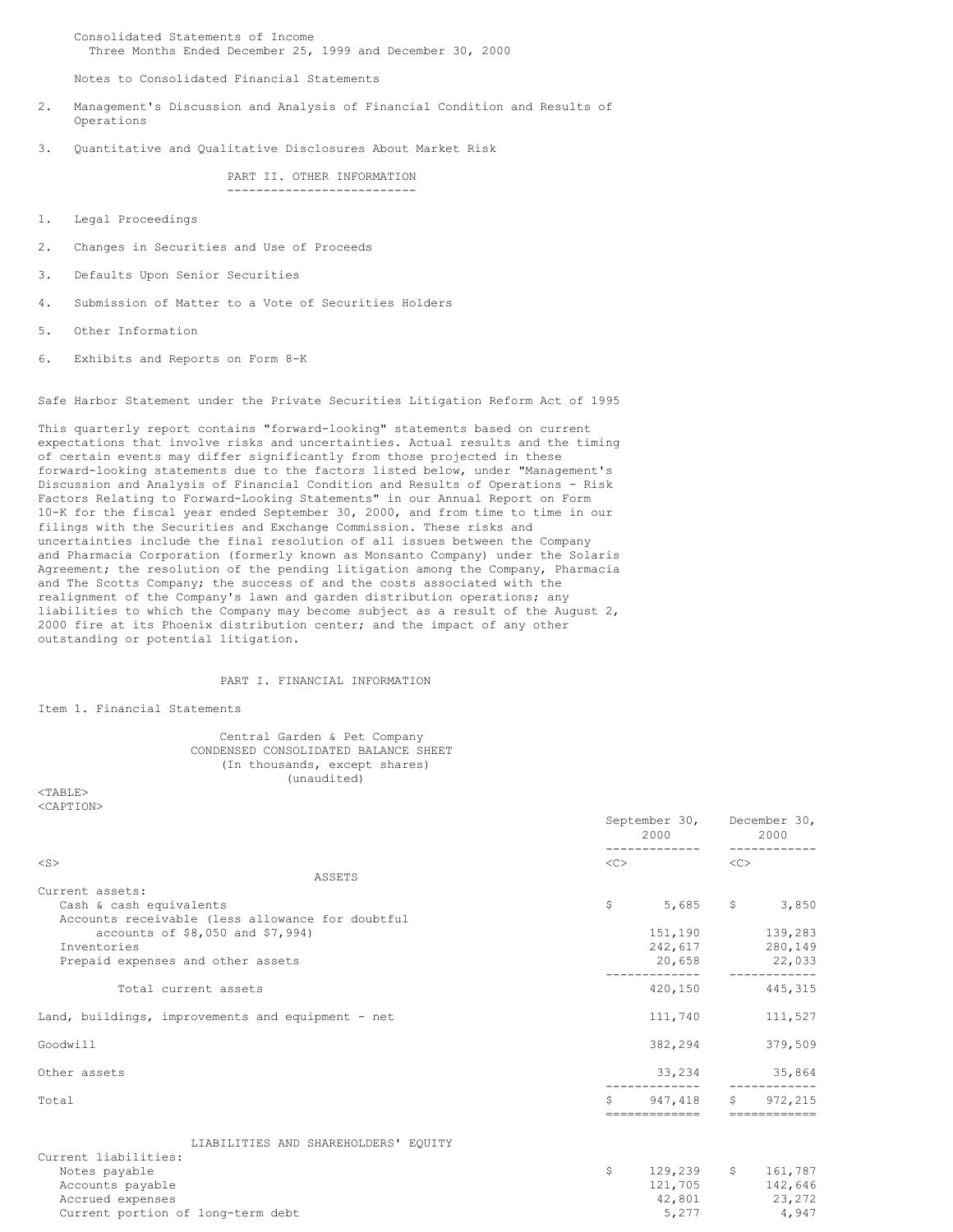Consolidated Statements of Income Three Months Ended December 25, 1999 and December 30, 2000

Notes to Consolidated Financial Statements

- 2. Management's Discussion and Analysis of Financial Condition and Results of Operations
- 3. Quantitative and Qualitative Disclosures About Market Risk

PART II. OTHER INFORMATION --------------------------

- 1. Legal Proceedings
- 2. Changes in Securities and Use of Proceeds
- 3. Defaults Upon Senior Securities
- 4. Submission of Matter to a Vote of Securities Holders
- 5. Other Information
- 6. Exhibits and Reports on Form 8-K

Safe Harbor Statement under the Private Securities Litigation Reform Act of 1995

This quarterly report contains "forward-looking" statements based on current expectations that involve risks and uncertainties. Actual results and the timing of certain events may differ significantly from those projected in these forward-looking statements due to the factors listed below, under "Management's Discussion and Analysis of Financial Condition and Results of Operations - Risk Factors Relating to Forward-Looking Statements" in our Annual Report on Form 10-K for the fiscal year ended September 30, 2000, and from time to time in our filings with the Securities and Exchange Commission. These risks and uncertainties include the final resolution of all issues between the Company and Pharmacia Corporation (formerly known as Monsanto Company) under the Solaris Agreement; the resolution of the pending litigation among the Company, Pharmacia and The Scotts Company; the success of and the costs associated with the realignment of the Company's lawn and garden distribution operations; any liabilities to which the Company may become subject as a result of the August 2, 2000 fire at its Phoenix distribution center; and the impact of any other outstanding or potential litigation.

### PART I. FINANCIAL INFORMATION

Item 1. Financial Statements

# Central Garden & Pet Company CONDENSED CONSOLIDATED BALANCE SHEET (In thousands, except shares) (unaudited)

 $<$ TABLE> <CAPTION>

|                                                   | September 30, December 30,<br>2000 |               |                     | 2000                                  |
|---------------------------------------------------|------------------------------------|---------------|---------------------|---------------------------------------|
| $<$ S $>$                                         | <<>                                |               | $\langle C \rangle$ |                                       |
| ASSETS                                            |                                    |               |                     |                                       |
| Current assets:<br>Cash & cash equivalents        | \$                                 | 5,685         |                     | \$3,850                               |
| Accounts receivable (less allowance for doubtful  |                                    |               |                     |                                       |
| accounts of \$8,050 and \$7,994)                  |                                    |               |                     | 151,190 139,283                       |
| Inventories                                       |                                    |               |                     | 242,617 280,149                       |
| Prepaid expenses and other assets                 |                                    | 20,658        |                     | 22,033                                |
| Total current assets                              |                                    | 420,150       |                     | 445, 315                              |
| Land, buildings, improvements and equipment - net |                                    | 111,740       |                     | 111,527                               |
| Goodwill                                          |                                    | 382,294       |                     | 379,509                               |
| Other assets                                      |                                    | 33,234        |                     | 35,864                                |
| Total                                             | Ŝ                                  | 947,418       | $S$ and $S$         | 972,215                               |
|                                                   |                                    | ------------- |                     |                                       |
| LIABILITIES AND SHAREHOLDERS' EQUITY              |                                    |               |                     |                                       |
| Current liabilities:                              |                                    |               |                     |                                       |
| Notes payable                                     | \$.                                |               |                     | 129,239 \$ 161,787<br>121,705 142,646 |
| Accounts payable<br>Accrued expenses              |                                    |               |                     | 42,801 23,272                         |
| Current portion of long-term debt                 |                                    | 5,277         |                     | 4,947                                 |
|                                                   |                                    |               |                     |                                       |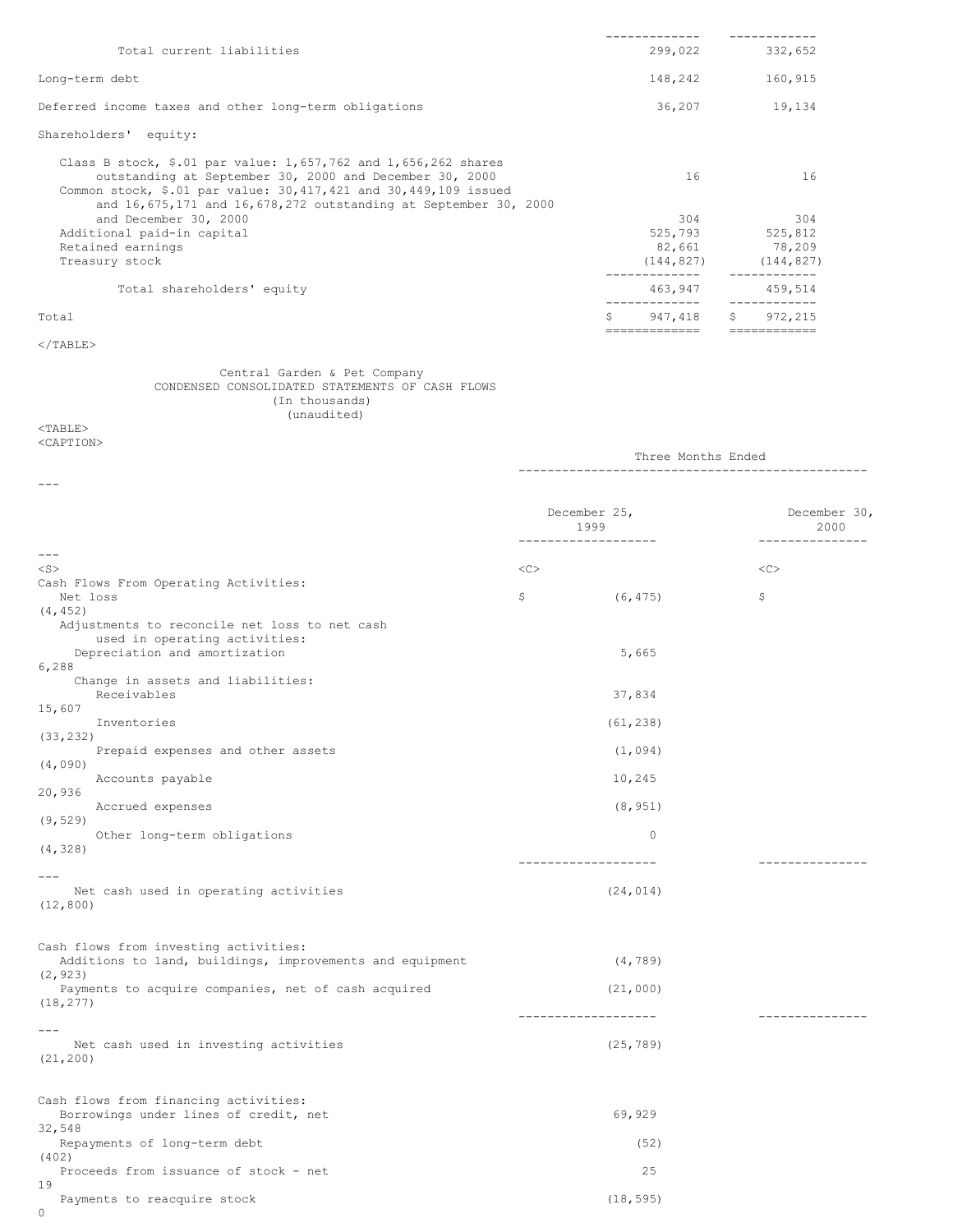| Total current liabilities                                                                                                                                                                                                                                               |    | 299,022    |    | 332,652                |
|-------------------------------------------------------------------------------------------------------------------------------------------------------------------------------------------------------------------------------------------------------------------------|----|------------|----|------------------------|
| Long-term debt                                                                                                                                                                                                                                                          |    | 148,242    |    | 160,915                |
| Deferred income taxes and other long-term obligations                                                                                                                                                                                                                   |    | 36,207     |    | 19,134                 |
| Shareholders' equity:                                                                                                                                                                                                                                                   |    |            |    |                        |
| Class B stock, \$.01 par value: $1,657,762$ and $1,656,262$ shares<br>outstanding at September 30, 2000 and December 30, 2000<br>Common stock, \$.01 par value: $30,417,421$ and $30,449,109$ issued<br>and 16,675,171 and 16,678,272 outstanding at September 30, 2000 |    | 16         |    | 16                     |
| and December 30, 2000                                                                                                                                                                                                                                                   |    | 304        |    | 304                    |
| Additional paid-in capital                                                                                                                                                                                                                                              |    | 525,793    |    | 525,812                |
| Retained earnings                                                                                                                                                                                                                                                       |    | 82,661     |    | 78,209                 |
| Treasury stock                                                                                                                                                                                                                                                          |    | (144, 827) |    | (144, 827)             |
| Total shareholders' equity                                                                                                                                                                                                                                              |    | 463,947    |    | 459,514                |
| Total                                                                                                                                                                                                                                                                   | Ŝ. | 947,418    | Ŝ. | 972,215<br>=========== |

### $<$ /TABLE>

Central Garden & Pet Company CONDENSED CONSOLIDATED STATEMENTS OF CASH FLOWS (In thousands) (unaudited)

### $<$ TABLE> <CAPTION>

Three Months Ended ------------------------------------------------ --- December 25, December 30, 2000 ------------------- ---------------  $-$ --<S> <C> <C> Cash Flows From Operating Activities:<br>Net loss Net loss  $\zeta$  (6,475)  $\zeta$ (4,452) Adjustments to reconcile net loss to net cash used in operating activities: Depreciation and amortization 5,665 6,288 Change in assets and liabilities: Receivables 37,834 15,607 Inventories (61,238) (33,232) Prepaid expenses and other assets (1,094) (4,090) Accounts payable 10,245 20,936 Accrued expenses (8,951) (9,529) Other long-term obligations 0 (4,328) ------------------- --------------- --- Net cash used in operating activities (24,014) (12,800) Cash flows from investing activities: Additions to land, buildings, improvements and equipment (4,789) (2,923) Payments to acquire companies, net of cash acquired (21,000) (18,277) ------------------- --------------- --- Net cash used in investing activities (25,789) (21,200)

Cash flows from financing activities: Borrowings under lines of credit, net 69,929 32,548 Repayments of long-term debt (52) (402) Proceeds from issuance of stock - net 25 19 Payments to reacquire stock (18,595)

0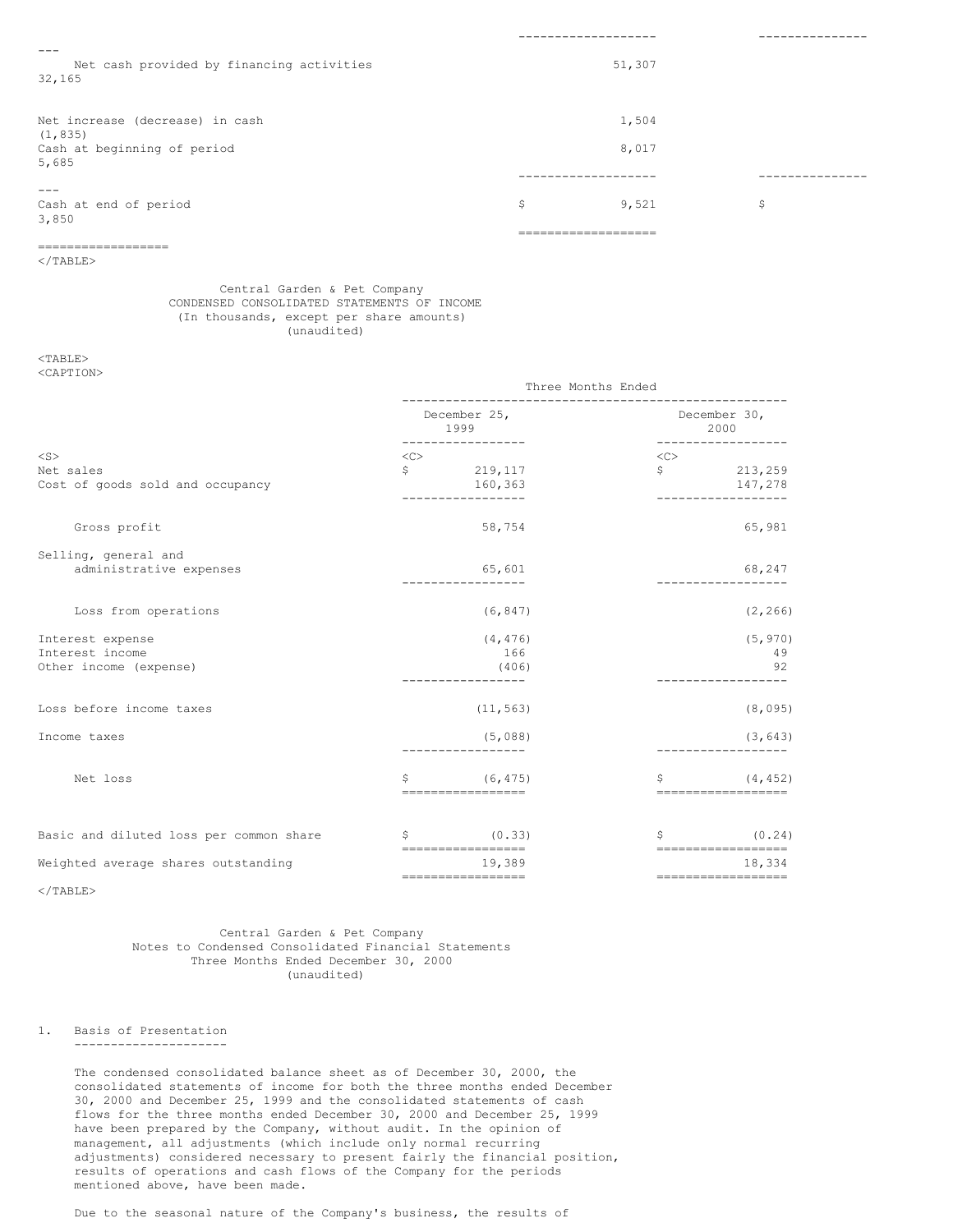| $- - -$<br>Net cash provided by financing activities |             | 51,307 |       |
|------------------------------------------------------|-------------|--------|-------|
| 32,165                                               |             |        |       |
| Net increase (decrease) in cash                      |             | 1,504  |       |
| (1, 835)                                             |             |        |       |
| Cash at beginning of period<br>5,685                 |             | 8,017  |       |
|                                                      | ----------- |        | ----- |
|                                                      |             |        |       |
| Cash at end of period<br>3,850                       | \$          | 9,521  | \$    |
|                                                      |             |        |       |

</TABLE>

==================

# Central Garden & Pet Company CONDENSED CONSOLIDATED STATEMENTS OF INCOME (In thousands, except per share amounts) (unaudited)

## <TABLE> <CAPTION>

|                                               | Three Months Ended |                                           |              |                                 |
|-----------------------------------------------|--------------------|-------------------------------------------|--------------|---------------------------------|
|                                               |                    | December 25,<br>1999<br>----------------- | ------------ | December 30,<br>2000            |
| $<$ S $>$                                     | <<                 |                                           | <<           |                                 |
| Net sales<br>Cost of goods sold and occupancy | \$                 | 219,117<br>160,363                        | $\mathsf{S}$ | 213,259<br>147,278              |
|                                               |                    | -----------------                         |              | ----------------                |
| Gross profit                                  |                    | 58,754                                    |              | 65,981                          |
| Selling, general and                          |                    |                                           |              |                                 |
| administrative expenses                       |                    | 65,601<br>_________________               |              | 68,247<br>__________________    |
| Loss from operations                          |                    | (6, 847)                                  |              | (2, 266)                        |
| Interest expense                              |                    | (4, 476)                                  |              | (5, 970)                        |
| Interest income<br>Other income (expense)     |                    | 166<br>(406)                              |              | -49<br>92                       |
|                                               |                    | -----------------                         |              | -----------------               |
| Loss before income taxes                      |                    | (11, 563)                                 |              | (8,095)                         |
| Income taxes                                  |                    | (5,088)                                   |              | (3, 643)                        |
|                                               |                    |                                           |              |                                 |
| Net loss                                      | \$                 | (6, 475)<br>-------------------           | \$           | (4, 452)<br>=================== |
| Basic and diluted loss per common share       | \$                 | (0.33)                                    | \$           | (0.24)                          |
| Weighted average shares outstanding           |                    | ==================<br>19,389              |              | -------------------<br>18,334   |
|                                               |                    | -----------------                         |              | ------------------              |

 $<$ /TABLE>

# Central Garden & Pet Company Notes to Condensed Consolidated Financial Statements Three Months Ended December 30, 2000 (unaudited)

### 1. Basis of Presentation ---------------------

The condensed consolidated balance sheet as of December 30, 2000, the consolidated statements of income for both the three months ended December 30, 2000 and December 25, 1999 and the consolidated statements of cash flows for the three months ended December 30, 2000 and December 25, 1999 have been prepared by the Company, without audit. In the opinion of management, all adjustments (which include only normal recurring adjustments) considered necessary to present fairly the financial position, results of operations and cash flows of the Company for the periods mentioned above, have been made.

Due to the seasonal nature of the Company's business, the results of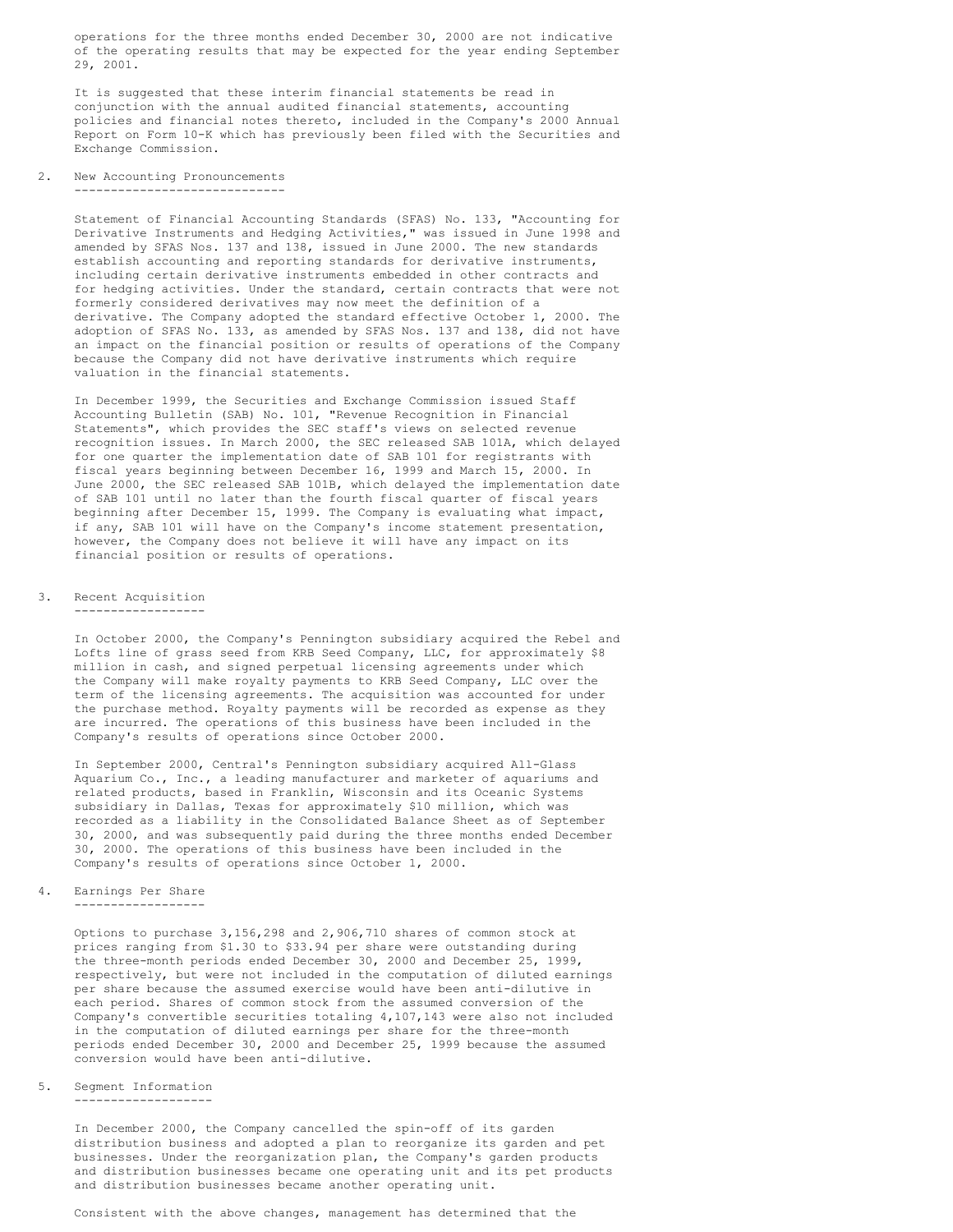operations for the three months ended December 30, 2000 are not indicative of the operating results that may be expected for the year ending September 29, 2001.

It is suggested that these interim financial statements be read in conjunction with the annual audited financial statements, accounting policies and financial notes thereto, included in the Company's 2000 Annual Report on Form 10-K which has previously been filed with the Securities and Exchange Commission.

2. New Accounting Pronouncements -----------------------------

> Statement of Financial Accounting Standards (SFAS) No. 133, "Accounting for Derivative Instruments and Hedging Activities," was issued in June 1998 and amended by SFAS Nos. 137 and 138, issued in June 2000. The new standards establish accounting and reporting standards for derivative instruments, including certain derivative instruments embedded in other contracts and for hedging activities. Under the standard, certain contracts that were not formerly considered derivatives may now meet the definition of a derivative. The Company adopted the standard effective October 1, 2000. The adoption of SFAS No. 133, as amended by SFAS Nos. 137 and 138, did not have an impact on the financial position or results of operations of the Company because the Company did not have derivative instruments which require valuation in the financial statements.

> In December 1999, the Securities and Exchange Commission issued Staff Accounting Bulletin (SAB) No. 101, "Revenue Recognition in Financial Statements", which provides the SEC staff's views on selected revenue recognition issues. In March 2000, the SEC released SAB 101A, which delayed for one quarter the implementation date of SAB 101 for registrants with fiscal years beginning between December 16, 1999 and March 15, 2000. In June 2000, the SEC released SAB 101B, which delayed the implementation date of SAB 101 until no later than the fourth fiscal quarter of fiscal years beginning after December 15, 1999. The Company is evaluating what impact, if any, SAB 101 will have on the Company's income statement presentation, however, the Company does not believe it will have any impact on its financial position or results of operations.

- 3. Recent Acquisition
- ------------------

In October 2000, the Company's Pennington subsidiary acquired the Rebel and Lofts line of grass seed from KRB Seed Company, LLC, for approximately \$8 million in cash, and signed perpetual licensing agreements under which the Company will make royalty payments to KRB Seed Company, LLC over the term of the licensing agreements. The acquisition was accounted for under the purchase method. Royalty payments will be recorded as expense as they are incurred. The operations of this business have been included in the Company's results of operations since October 2000.

In September 2000, Central's Pennington subsidiary acquired All-Glass Aquarium Co., Inc., a leading manufacturer and marketer of aquariums and related products, based in Franklin, Wisconsin and its Oceanic Systems subsidiary in Dallas, Texas for approximately \$10 million, which was recorded as a liability in the Consolidated Balance Sheet as of September 30, 2000, and was subsequently paid during the three months ended December 30, 2000. The operations of this business have been included in the Company's results of operations since October 1, 2000.

4. Earnings Per Share

------------------

Options to purchase 3,156,298 and 2,906,710 shares of common stock at prices ranging from \$1.30 to \$33.94 per share were outstanding during the three-month periods ended December 30, 2000 and December 25, 1999, respectively, but were not included in the computation of diluted earnings per share because the assumed exercise would have been anti-dilutive in each period. Shares of common stock from the assumed conversion of the Company's convertible securities totaling 4,107,143 were also not included in the computation of diluted earnings per share for the three-month periods ended December 30, 2000 and December 25, 1999 because the assumed conversion would have been anti-dilutive.

# 5. Segment Information

-------------------

In December 2000, the Company cancelled the spin-off of its garden distribution business and adopted a plan to reorganize its garden and pet businesses. Under the reorganization plan, the Company's garden products and distribution businesses became one operating unit and its pet products and distribution businesses became another operating unit.

Consistent with the above changes, management has determined that the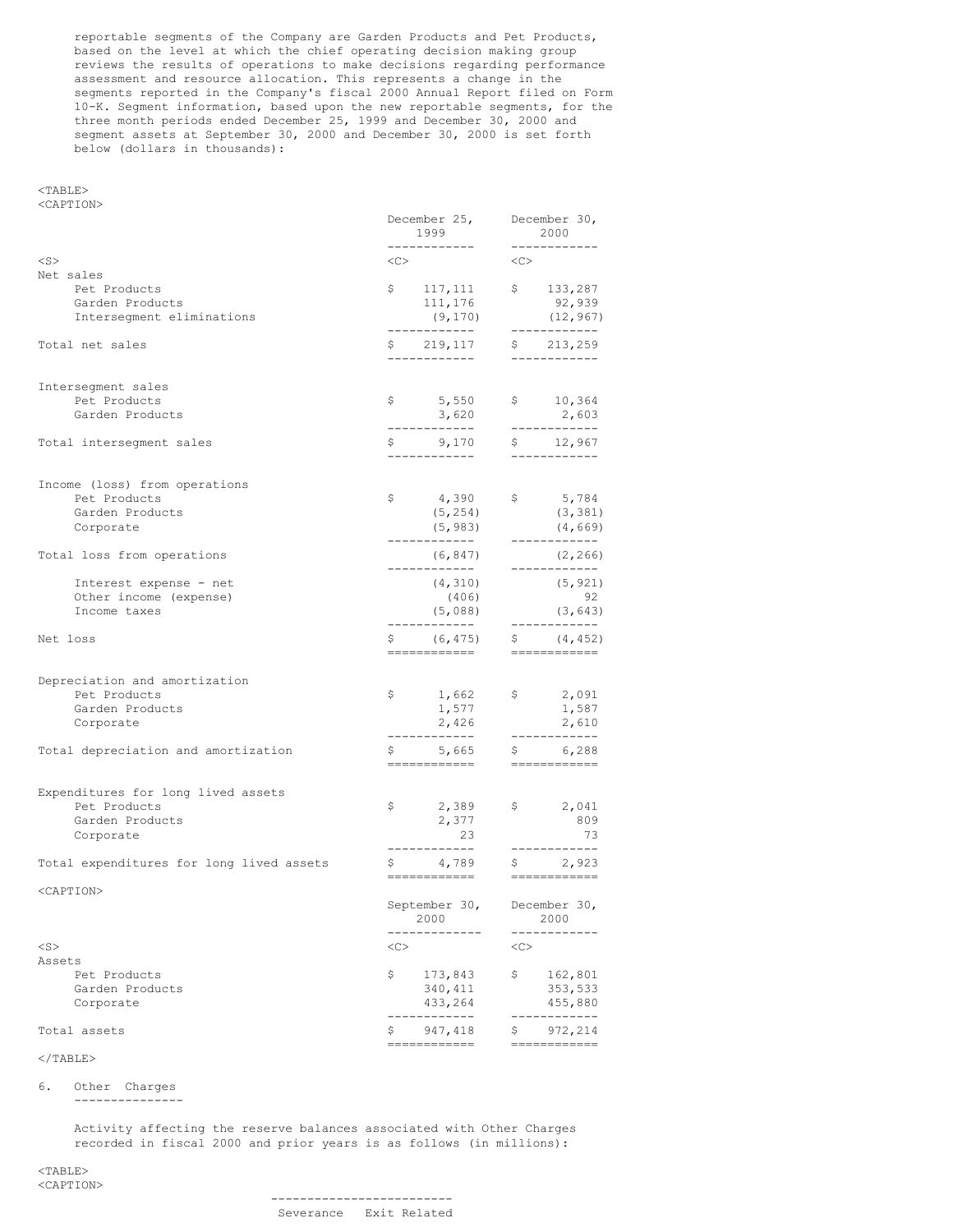reportable segments of the Company are Garden Products and Pet Products, based on the level at which the chief operating decision making group reviews the results of operations to make decisions regarding performance assessment and resource allocation. This represents a change in the segments reported in the Company's fiscal 2000 Annual Report filed on Form 10-K. Segment information, based upon the new reportable segments, for the three month periods ended December 25, 1999 and December 30, 2000 and segment assets at September 30, 2000 and December 30, 2000 is set forth below (dollars in thousands):

## <TABLE> <CAPTION>

|                                                                                                                      | December 25,<br>1999<br>------------                   |                                                            |
|----------------------------------------------------------------------------------------------------------------------|--------------------------------------------------------|------------------------------------------------------------|
| $<$ S>                                                                                                               | $\langle$ C>                                           | ------------<br><<>                                        |
| Net sales<br>Pet Products<br>Garden Products<br>Intersegment eliminations                                            | \$117,111<br>111,176<br>(9, 170)<br>____________       | \$133,287<br>92,939<br>(12, 967)<br>____________           |
| Total net sales                                                                                                      | \$ 219, 117<br>-------------                           | \$213,259<br>------------                                  |
| Intersegment sales<br>Pet Products<br>Garden Products<br>Total intersegment sales                                    | \$5,550<br>3,620                                       | \$10,364<br>2,603                                          |
|                                                                                                                      | \$9,170                                                | \$ 12,967                                                  |
| Income (loss) from operations<br>Pet Products<br>Garden Products<br>Corporate                                        | \$ 4,390<br>(5, 254)<br>(5, 983)                       | 5,784<br>(3, 381)<br>(4, 669)<br>------------              |
| Total loss from operations                                                                                           | (6, 847)                                               | (2, 266)                                                   |
| Interest expense - net<br>Other income (expense)<br>Income taxes                                                     | (4, 310)<br>(406)<br>(5,088)<br>____________           | ____________<br>(5, 921)<br>92<br>(3, 643)<br>------------ |
| Net loss                                                                                                             | \$ (6, 475)<br>____________                            | $\frac{1}{2}$ (4,452)<br>============                      |
| Depreciation and amortization<br>Pet Products<br>Garden Products<br>Corporate<br>Total depreciation and amortization | \$1,662<br>1,577<br>2,426<br>--------------<br>\$, 665 | \$2,091<br>1,587<br>2,610<br>------------<br>\$ 6,288      |
|                                                                                                                      | ------------                                           | ============                                               |
| Expenditures for long lived assets<br>Pet Products<br>Garden Products<br>Corporate                                   | \$2,389<br>2,377<br>23<br>____________                 | \$2,041<br>809<br>-73<br>------------                      |
| Total expenditures for long lived assets                                                                             |                                                        | $\frac{2}{1}$ , 923                                        |
| <caption></caption>                                                                                                  | September 30,<br>2000                                  | December 30,<br>2000                                       |
| $<$ S>                                                                                                               | <<                                                     | <<                                                         |
| Assets<br>Pet Products<br>Garden Products<br>Corporate                                                               | \$<br>173,843<br>340,411<br>433,264<br>-------         | \$<br>162,801<br>353,533<br>455,880<br>-------             |
| Total assets                                                                                                         | \$<br>947,418<br>============                          | \$<br>972,214<br>============                              |
|                                                                                                                      |                                                        |                                                            |

# $<$ /TABLE>

6. Other Charges ---------------

> Activity affecting the reserve balances associated with Other Charges recorded in fiscal 2000 and prior years is as follows (in millions):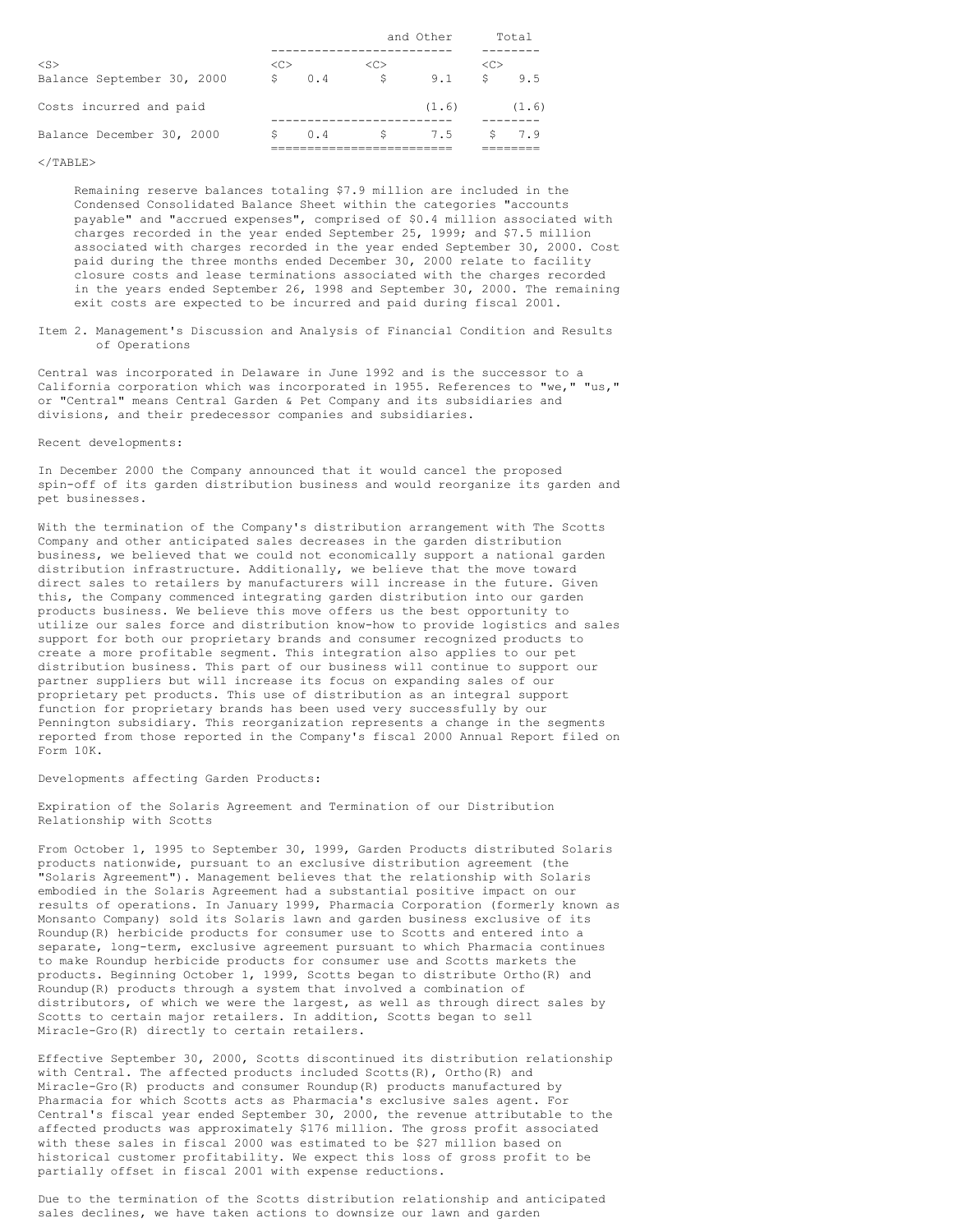|                            |               |     | and Other |       |               | Total |
|----------------------------|---------------|-----|-----------|-------|---------------|-------|
|                            |               |     |           |       |               |       |
| $<$ S $>$                  | < <sub></sub> |     | <<        |       | < <sub></sub> |       |
| Balance September 30, 2000 | S             | 0.4 | S         | 9.1   | Ŝ.            | 9.5   |
| Costs incurred and paid    |               |     |           | (1.6) |               | (1.6) |
|                            |               |     |           |       |               |       |
| Balance December 30, 2000  | S             | 0.4 | S         | 7.5   | S.            | 7.9   |
|                            |               |     |           |       |               |       |

### $<$ /TABLE>

Remaining reserve balances totaling \$7.9 million are included in the Condensed Consolidated Balance Sheet within the categories "accounts payable" and "accrued expenses", comprised of \$0.4 million associated with charges recorded in the year ended September 25, 1999; and \$7.5 million associated with charges recorded in the year ended September 30, 2000. Cost paid during the three months ended December 30, 2000 relate to facility closure costs and lease terminations associated with the charges recorded in the years ended September 26, 1998 and September 30, 2000. The remaining exit costs are expected to be incurred and paid during fiscal 2001.

Item 2. Management's Discussion and Analysis of Financial Condition and Results of Operations

Central was incorporated in Delaware in June 1992 and is the successor to a California corporation which was incorporated in 1955. References to "we," "us," or "Central" means Central Garden & Pet Company and its subsidiaries and divisions, and their predecessor companies and subsidiaries.

# Recent developments:

In December 2000 the Company announced that it would cancel the proposed spin-off of its garden distribution business and would reorganize its garden and pet businesses.

With the termination of the Company's distribution arrangement with The Scotts Company and other anticipated sales decreases in the garden distribution business, we believed that we could not economically support a national garden distribution infrastructure. Additionally, we believe that the move toward direct sales to retailers by manufacturers will increase in the future. Given this, the Company commenced integrating garden distribution into our garden products business. We believe this move offers us the best opportunity to utilize our sales force and distribution know-how to provide logistics and sales support for both our proprietary brands and consumer recognized products to create a more profitable segment. This integration also applies to our pet distribution business. This part of our business will continue to support our partner suppliers but will increase its focus on expanding sales of our proprietary pet products. This use of distribution as an integral support function for proprietary brands has been used very successfully by our Pennington subsidiary. This reorganization represents a change in the segments reported from those reported in the Company's fiscal 2000 Annual Report filed on Form 10K.

### Developments affecting Garden Products:

Expiration of the Solaris Agreement and Termination of our Distribution Relationship with Scotts

From October 1, 1995 to September 30, 1999, Garden Products distributed Solaris products nationwide, pursuant to an exclusive distribution agreement (the "Solaris Agreement"). Management believes that the relationship with Solaris embodied in the Solaris Agreement had a substantial positive impact on our results of operations. In January 1999, Pharmacia Corporation (formerly known as Monsanto Company) sold its Solaris lawn and garden business exclusive of its Roundup(R) herbicide products for consumer use to Scotts and entered into a separate, long-term, exclusive agreement pursuant to which Pharmacia continues to make Roundup herbicide products for consumer use and Scotts markets the products. Beginning October 1, 1999, Scotts began to distribute Ortho(R) and Roundup(R) products through a system that involved a combination of distributors, of which we were the largest, as well as through direct sales by Scotts to certain major retailers. In addition, Scotts began to sell Miracle-Gro(R) directly to certain retailers.

Effective September 30, 2000, Scotts discontinued its distribution relationship with Central. The affected products included Scotts $(R)$ , Ortho $(R)$  and Miracle-Gro(R) products and consumer Roundup(R) products manufactured by Pharmacia for which Scotts acts as Pharmacia's exclusive sales agent. For Central's fiscal year ended September 30, 2000, the revenue attributable to the affected products was approximately \$176 million. The gross profit associated with these sales in fiscal 2000 was estimated to be \$27 million based on historical customer profitability. We expect this loss of gross profit to be partially offset in fiscal 2001 with expense reductions.

Due to the termination of the Scotts distribution relationship and anticipated sales declines, we have taken actions to downsize our lawn and garden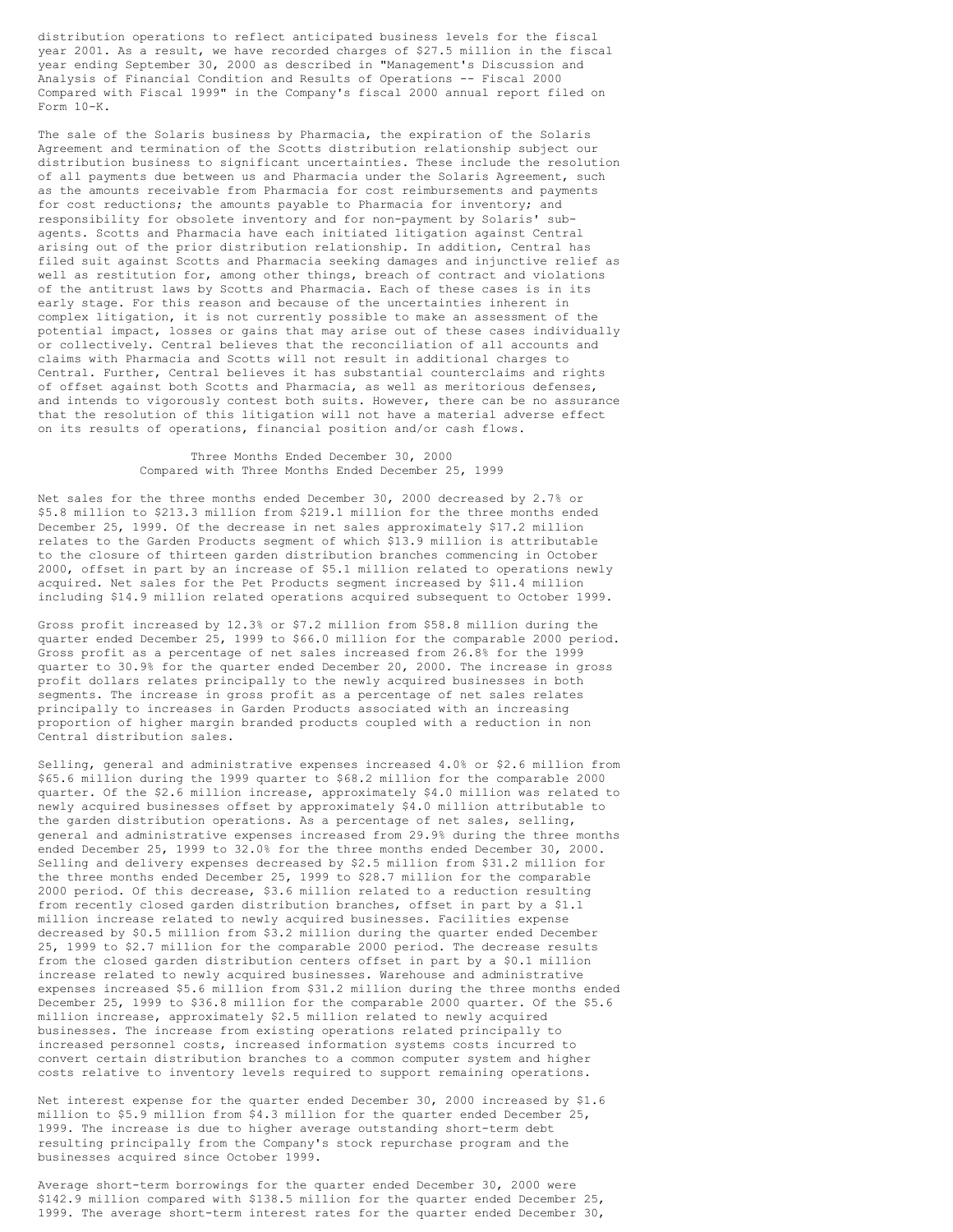distribution operations to reflect anticipated business levels for the fiscal year 2001. As a result, we have recorded charges of \$27.5 million in the fiscal year ending September 30, 2000 as described in "Management's Discussion and Analysis of Financial Condition and Results of Operations -- Fiscal 2000 Compared with Fiscal 1999" in the Company's fiscal 2000 annual report filed on Form 10-K.

The sale of the Solaris business by Pharmacia, the expiration of the Solaris Agreement and termination of the Scotts distribution relationship subject our distribution business to significant uncertainties. These include the resolution of all payments due between us and Pharmacia under the Solaris Agreement, such as the amounts receivable from Pharmacia for cost reimbursements and payments for cost reductions; the amounts payable to Pharmacia for inventory; and responsibility for obsolete inventory and for non-payment by Solaris' subagents. Scotts and Pharmacia have each initiated litigation against Central arising out of the prior distribution relationship. In addition, Central has filed suit against Scotts and Pharmacia seeking damages and injunctive relief as well as restitution for, among other things, breach of contract and violations of the antitrust laws by Scotts and Pharmacia. Each of these cases is in its early stage. For this reason and because of the uncertainties inherent in complex litigation, it is not currently possible to make an assessment of the potential impact, losses or gains that may arise out of these cases individually or collectively. Central believes that the reconciliation of all accounts and claims with Pharmacia and Scotts will not result in additional charges to Central. Further, Central believes it has substantial counterclaims and rights of offset against both Scotts and Pharmacia, as well as meritorious defenses, and intends to vigorously contest both suits. However, there can be no assurance that the resolution of this litigation will not have a material adverse effect on its results of operations, financial position and/or cash flows.

# Three Months Ended December 30, 2000 Compared with Three Months Ended December 25, 1999

Net sales for the three months ended December 30, 2000 decreased by 2.7% or \$5.8 million to \$213.3 million from \$219.1 million for the three months ended December 25, 1999. Of the decrease in net sales approximately \$17.2 million relates to the Garden Products segment of which \$13.9 million is attributable to the closure of thirteen garden distribution branches commencing in October 2000, offset in part by an increase of \$5.1 million related to operations newly acquired. Net sales for the Pet Products segment increased by \$11.4 million including \$14.9 million related operations acquired subsequent to October 1999.

Gross profit increased by 12.3% or \$7.2 million from \$58.8 million during the quarter ended December 25, 1999 to \$66.0 million for the comparable 2000 period. Gross profit as a percentage of net sales increased from 26.8% for the 1999 quarter to 30.9% for the quarter ended December 20, 2000. The increase in gross profit dollars relates principally to the newly acquired businesses in both segments. The increase in gross profit as a percentage of net sales relates principally to increases in Garden Products associated with an increasing proportion of higher margin branded products coupled with a reduction in non Central distribution sales.

Selling, general and administrative expenses increased 4.0% or \$2.6 million from \$65.6 million during the 1999 quarter to \$68.2 million for the comparable 2000 quarter. Of the \$2.6 million increase, approximately \$4.0 million was related to newly acquired businesses offset by approximately \$4.0 million attributable to the garden distribution operations. As a percentage of net sales, selling, general and administrative expenses increased from 29.9% during the three months ended December 25, 1999 to 32.0% for the three months ended December 30, 2000. Selling and delivery expenses decreased by \$2.5 million from \$31.2 million for the three months ended December 25, 1999 to \$28.7 million for the comparable 2000 period. Of this decrease, \$3.6 million related to a reduction resulting from recently closed garden distribution branches, offset in part by a \$1.1 million increase related to newly acquired businesses. Facilities expense decreased by \$0.5 million from \$3.2 million during the quarter ended December 25, 1999 to \$2.7 million for the comparable 2000 period. The decrease results from the closed garden distribution centers offset in part by a \$0.1 million increase related to newly acquired businesses. Warehouse and administrative expenses increased \$5.6 million from \$31.2 million during the three months ended December 25, 1999 to \$36.8 million for the comparable 2000 quarter. Of the \$5.6 million increase, approximately \$2.5 million related to newly acquired businesses. The increase from existing operations related principally to increased personnel costs, increased information systems costs incurred to convert certain distribution branches to a common computer system and higher costs relative to inventory levels required to support remaining operations.

Net interest expense for the quarter ended December 30, 2000 increased by \$1.6 million to \$5.9 million from \$4.3 million for the quarter ended December 25, 1999. The increase is due to higher average outstanding short-term debt resulting principally from the Company's stock repurchase program and the businesses acquired since October 1999.

Average short-term borrowings for the quarter ended December 30, 2000 were \$142.9 million compared with \$138.5 million for the quarter ended December 25, 1999. The average short-term interest rates for the quarter ended December 30,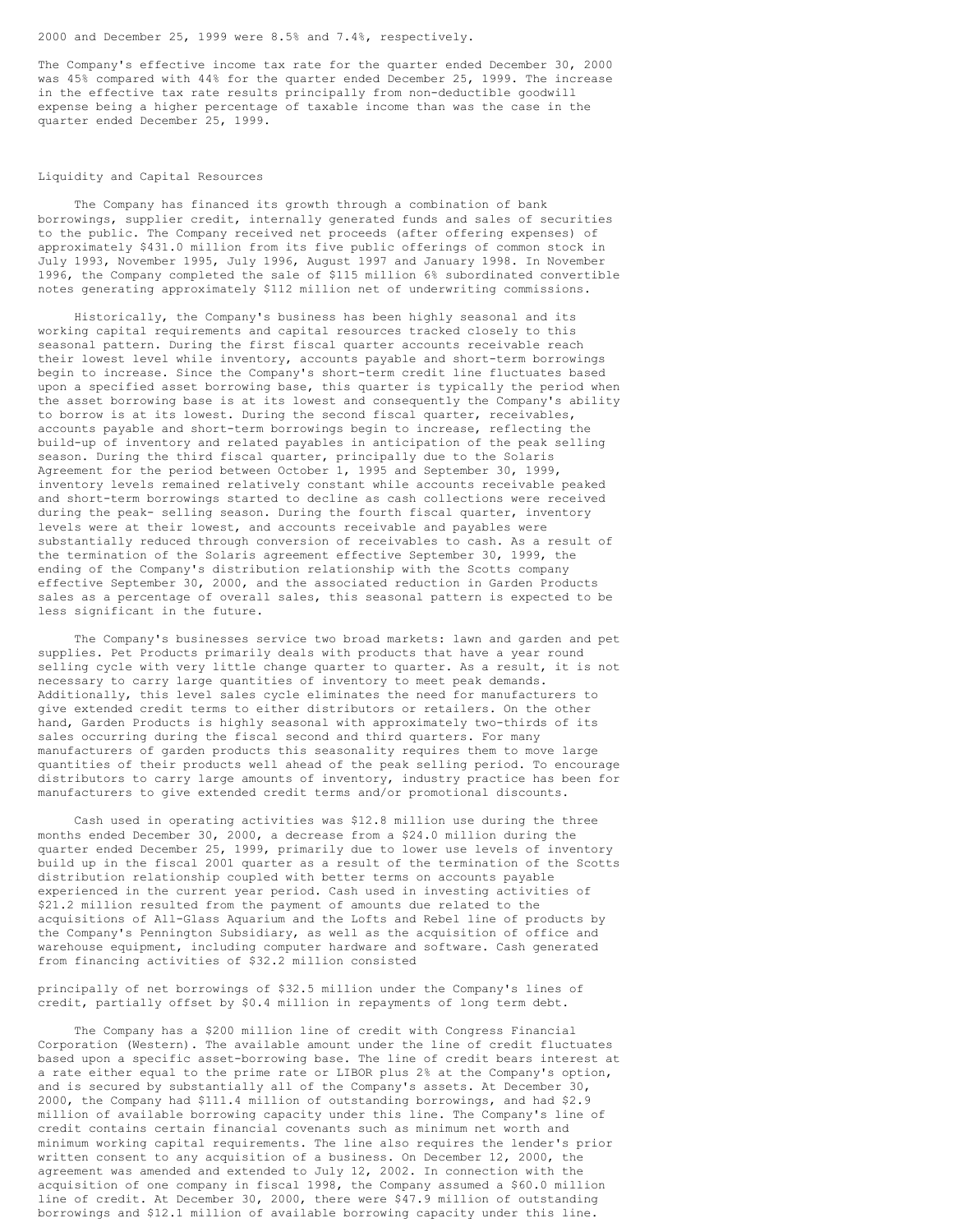# 2000 and December 25, 1999 were 8.5% and 7.4%, respectively.

The Company's effective income tax rate for the quarter ended December 30, 2000 was 45% compared with 44% for the quarter ended December 25, 1999. The increase in the effective tax rate results principally from non-deductible goodwill expense being a higher percentage of taxable income than was the case in the quarter ended December 25, 1999.

# Liquidity and Capital Resources

The Company has financed its growth through a combination of bank borrowings, supplier credit, internally generated funds and sales of securities to the public. The Company received net proceeds (after offering expenses) of approximately \$431.0 million from its five public offerings of common stock in July 1993, November 1995, July 1996, August 1997 and January 1998. In November 1996, the Company completed the sale of \$115 million 6% subordinated convertible notes generating approximately \$112 million net of underwriting commissions.

Historically, the Company's business has been highly seasonal and its working capital requirements and capital resources tracked closely to this seasonal pattern. During the first fiscal quarter accounts receivable reach their lowest level while inventory, accounts payable and short-term borrowings begin to increase. Since the Company's short-term credit line fluctuates based upon a specified asset borrowing base, this quarter is typically the period when the asset borrowing base is at its lowest and consequently the Company's ability to borrow is at its lowest. During the second fiscal quarter, receivables, accounts payable and short-term borrowings begin to increase, reflecting the build-up of inventory and related payables in anticipation of the peak selling season. During the third fiscal quarter, principally due to the Solaris Agreement for the period between October 1, 1995 and September 30, 1999, inventory levels remained relatively constant while accounts receivable peaked and short-term borrowings started to decline as cash collections were received during the peak- selling season. During the fourth fiscal quarter, inventory levels were at their lowest, and accounts receivable and payables were substantially reduced through conversion of receivables to cash. As a result of the termination of the Solaris agreement effective September 30, 1999, the ending of the Company's distribution relationship with the Scotts company effective September 30, 2000, and the associated reduction in Garden Products sales as a percentage of overall sales, this seasonal pattern is expected to be less significant in the future.

The Company's businesses service two broad markets: lawn and garden and pet supplies. Pet Products primarily deals with products that have a year round selling cycle with very little change quarter to quarter. As a result, it is not necessary to carry large quantities of inventory to meet peak demands. Additionally, this level sales cycle eliminates the need for manufacturers to give extended credit terms to either distributors or retailers. On the other hand, Garden Products is highly seasonal with approximately two-thirds of its sales occurring during the fiscal second and third quarters. For many manufacturers of garden products this seasonality requires them to move large quantities of their products well ahead of the peak selling period. To encourage distributors to carry large amounts of inventory, industry practice has been for manufacturers to give extended credit terms and/or promotional discounts.

Cash used in operating activities was \$12.8 million use during the three months ended December 30, 2000, a decrease from a \$24.0 million during the quarter ended December 25, 1999, primarily due to lower use levels of inventory build up in the fiscal 2001 quarter as a result of the termination of the Scotts distribution relationship coupled with better terms on accounts payable experienced in the current year period. Cash used in investing activities of \$21.2 million resulted from the payment of amounts due related to the acquisitions of All-Glass Aquarium and the Lofts and Rebel line of products by the Company's Pennington Subsidiary, as well as the acquisition of office and warehouse equipment, including computer hardware and software. Cash generated from financing activities of \$32.2 million consisted

principally of net borrowings of \$32.5 million under the Company's lines of credit, partially offset by \$0.4 million in repayments of long term debt.

The Company has a \$200 million line of credit with Congress Financial Corporation (Western). The available amount under the line of credit fluctuates based upon a specific asset-borrowing base. The line of credit bears interest at a rate either equal to the prime rate or LIBOR plus 2% at the Company's option, and is secured by substantially all of the Company's assets. At December 30, 2000, the Company had \$111.4 million of outstanding borrowings, and had \$2.9 million of available borrowing capacity under this line. The Company's line of credit contains certain financial covenants such as minimum net worth and minimum working capital requirements. The line also requires the lender's prior written consent to any acquisition of a business. On December 12, 2000, the agreement was amended and extended to July 12, 2002. In connection with the acquisition of one company in fiscal 1998, the Company assumed a \$60.0 million line of credit. At December 30, 2000, there were \$47.9 million of outstanding borrowings and \$12.1 million of available borrowing capacity under this line.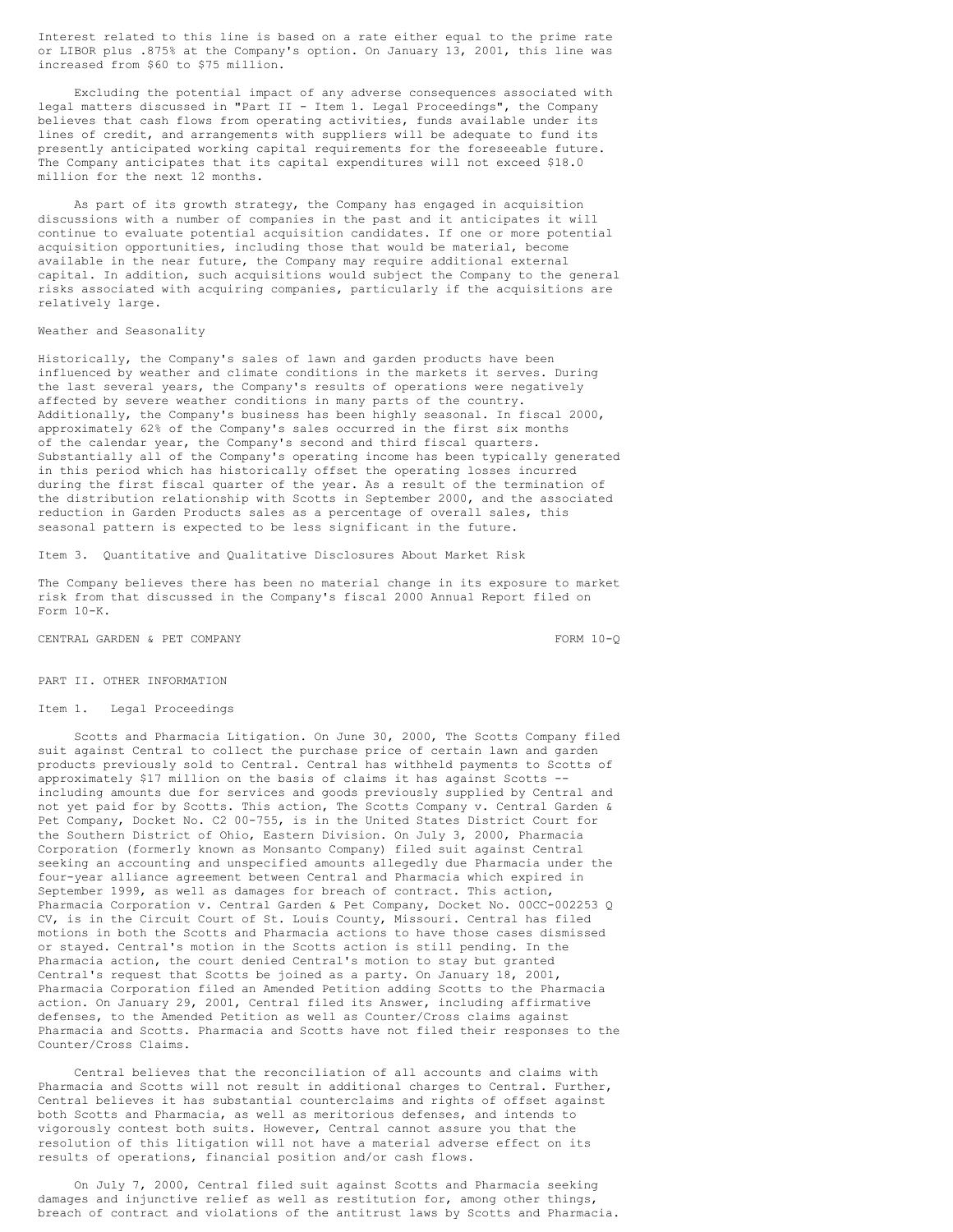Interest related to this line is based on a rate either equal to the prime rate or LIBOR plus .875% at the Company's option. On January 13, 2001, this line was increased from \$60 to \$75 million.

Excluding the potential impact of any adverse consequences associated with legal matters discussed in "Part II - Item 1. Legal Proceedings", the Company believes that cash flows from operating activities, funds available under its lines of credit, and arrangements with suppliers will be adequate to fund its presently anticipated working capital requirements for the foreseeable future. The Company anticipates that its capital expenditures will not exceed \$18.0 million for the next 12 months.

As part of its growth strategy, the Company has engaged in acquisition discussions with a number of companies in the past and it anticipates it will continue to evaluate potential acquisition candidates. If one or more potential acquisition opportunities, including those that would be material, become available in the near future, the Company may require additional external capital. In addition, such acquisitions would subject the Company to the general risks associated with acquiring companies, particularly if the acquisitions are relatively large.

### Weather and Seasonality

Historically, the Company's sales of lawn and garden products have been influenced by weather and climate conditions in the markets it serves. During the last several years, the Company's results of operations were negatively affected by severe weather conditions in many parts of the country. Additionally, the Company's business has been highly seasonal. In fiscal 2000, approximately 62% of the Company's sales occurred in the first six months of the calendar year, the Company's second and third fiscal quarters. Substantially all of the Company's operating income has been typically generated in this period which has historically offset the operating losses incurred during the first fiscal quarter of the year. As a result of the termination of the distribution relationship with Scotts in September 2000, and the associated reduction in Garden Products sales as a percentage of overall sales, this seasonal pattern is expected to be less significant in the future.

Item 3. Quantitative and Qualitative Disclosures About Market Risk

The Company believes there has been no material change in its exposure to market risk from that discussed in the Company's fiscal 2000 Annual Report filed on Form 10-K.

CENTRAL GARDEN & PET COMPANY FORM 10-Q

### PART II. OTHER INFORMATION

## Item 1. Legal Proceedings

Scotts and Pharmacia Litigation. On June 30, 2000, The Scotts Company filed suit against Central to collect the purchase price of certain lawn and garden products previously sold to Central. Central has withheld payments to Scotts of approximately \$17 million on the basis of claims it has against Scotts - including amounts due for services and goods previously supplied by Central and not yet paid for by Scotts. This action, The Scotts Company v. Central Garden & Pet Company, Docket No. C2 00-755, is in the United States District Court for the Southern District of Ohio, Eastern Division. On July 3, 2000, Pharmacia Corporation (formerly known as Monsanto Company) filed suit against Central seeking an accounting and unspecified amounts allegedly due Pharmacia under the four-year alliance agreement between Central and Pharmacia which expired in September 1999, as well as damages for breach of contract. This action, Pharmacia Corporation v. Central Garden & Pet Company, Docket No. 00CC-002253 Q CV, is in the Circuit Court of St. Louis County, Missouri. Central has filed motions in both the Scotts and Pharmacia actions to have those cases dismissed or stayed. Central's motion in the Scotts action is still pending. In the Pharmacia action, the court denied Central's motion to stay but granted Central's request that Scotts be joined as a party. On January 18, 2001, Pharmacia Corporation filed an Amended Petition adding Scotts to the Pharmacia action. On January 29, 2001, Central filed its Answer, including affirmative defenses, to the Amended Petition as well as Counter/Cross claims against Pharmacia and Scotts. Pharmacia and Scotts have not filed their responses to the Counter/Cross Claims.

Central believes that the reconciliation of all accounts and claims with Pharmacia and Scotts will not result in additional charges to Central. Further, Central believes it has substantial counterclaims and rights of offset against both Scotts and Pharmacia, as well as meritorious defenses, and intends to vigorously contest both suits. However, Central cannot assure you that the resolution of this litigation will not have a material adverse effect on its results of operations, financial position and/or cash flows.

On July 7, 2000, Central filed suit against Scotts and Pharmacia seeking damages and injunctive relief as well as restitution for, among other things, breach of contract and violations of the antitrust laws by Scotts and Pharmacia.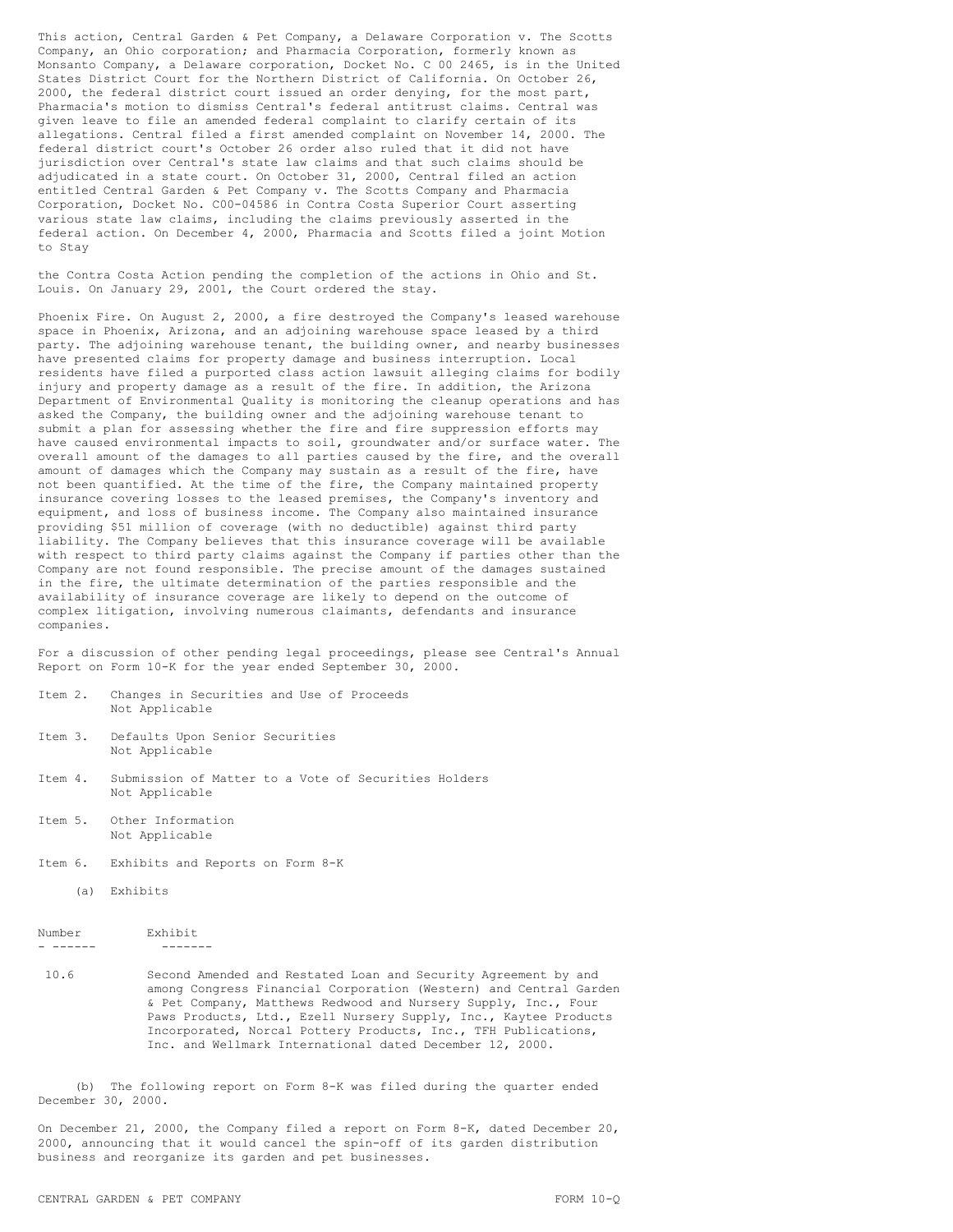This action, Central Garden & Pet Company, a Delaware Corporation v. The Scotts Company, an Ohio corporation; and Pharmacia Corporation, formerly known as Monsanto Company, a Delaware corporation, Docket No. C 00 2465, is in the United States District Court for the Northern District of California. On October 26, 2000, the federal district court issued an order denying, for the most part, Pharmacia's motion to dismiss Central's federal antitrust claims. Central was given leave to file an amended federal complaint to clarify certain of its allegations. Central filed a first amended complaint on November 14, 2000. The federal district court's October 26 order also ruled that it did not have jurisdiction over Central's state law claims and that such claims should be adjudicated in a state court. On October 31, 2000, Central filed an action entitled Central Garden & Pet Company v. The Scotts Company and Pharmacia Corporation, Docket No. C00-04586 in Contra Costa Superior Court asserting various state law claims, including the claims previously asserted in the federal action. On December 4, 2000, Pharmacia and Scotts filed a joint Motion to Stay

the Contra Costa Action pending the completion of the actions in Ohio and St. Louis. On January 29, 2001, the Court ordered the stay.

Phoenix Fire. On August 2, 2000, a fire destroyed the Company's leased warehouse space in Phoenix, Arizona, and an adjoining warehouse space leased by a third party. The adjoining warehouse tenant, the building owner, and nearby businesses have presented claims for property damage and business interruption. Local residents have filed a purported class action lawsuit alleging claims for bodily injury and property damage as a result of the fire. In addition, the Arizona Department of Environmental Quality is monitoring the cleanup operations and has asked the Company, the building owner and the adjoining warehouse tenant to submit a plan for assessing whether the fire and fire suppression efforts may have caused environmental impacts to soil, groundwater and/or surface water. The overall amount of the damages to all parties caused by the fire, and the overall amount of damages which the Company may sustain as a result of the fire, have not been quantified. At the time of the fire, the Company maintained property insurance covering losses to the leased premises, the Company's inventory and equipment, and loss of business income. The Company also maintained insurance providing \$51 million of coverage (with no deductible) against third party liability. The Company believes that this insurance coverage will be available with respect to third party claims against the Company if parties other than the Company are not found responsible. The precise amount of the damages sustained in the fire, the ultimate determination of the parties responsible and the availability of insurance coverage are likely to depend on the outcome of complex litigation, involving numerous claimants, defendants and insurance companies.

For a discussion of other pending legal proceedings, please see Central's Annual Report on Form 10-K for the year ended September 30, 2000.

| Item 2. |                | Changes in Securities and Use of Proceeds |  |  |
|---------|----------------|-------------------------------------------|--|--|
|         | Not Applicable |                                           |  |  |

- Item 3. Defaults Upon Senior Securities Not Applicable
- Item 4. Submission of Matter to a Vote of Securities Holders Not Applicable
- Item 5. Other Information Not Applicable
- Item 6. Exhibits and Reports on Form 8-K
	- (a) Exhibits

Number Exhibit - ------ -------

10.6 Second Amended and Restated Loan and Security Agreement by and among Congress Financial Corporation (Western) and Central Garden & Pet Company, Matthews Redwood and Nursery Supply, Inc., Four Paws Products, Ltd., Ezell Nursery Supply, Inc., Kaytee Products Incorporated, Norcal Pottery Products, Inc., TFH Publications, Inc. and Wellmark International dated December 12, 2000.

(b) The following report on Form 8-K was filed during the quarter ended December 30, 2000.

On December 21, 2000, the Company filed a report on Form 8-K, dated December 20, 2000, announcing that it would cancel the spin-off of its garden distribution business and reorganize its garden and pet businesses.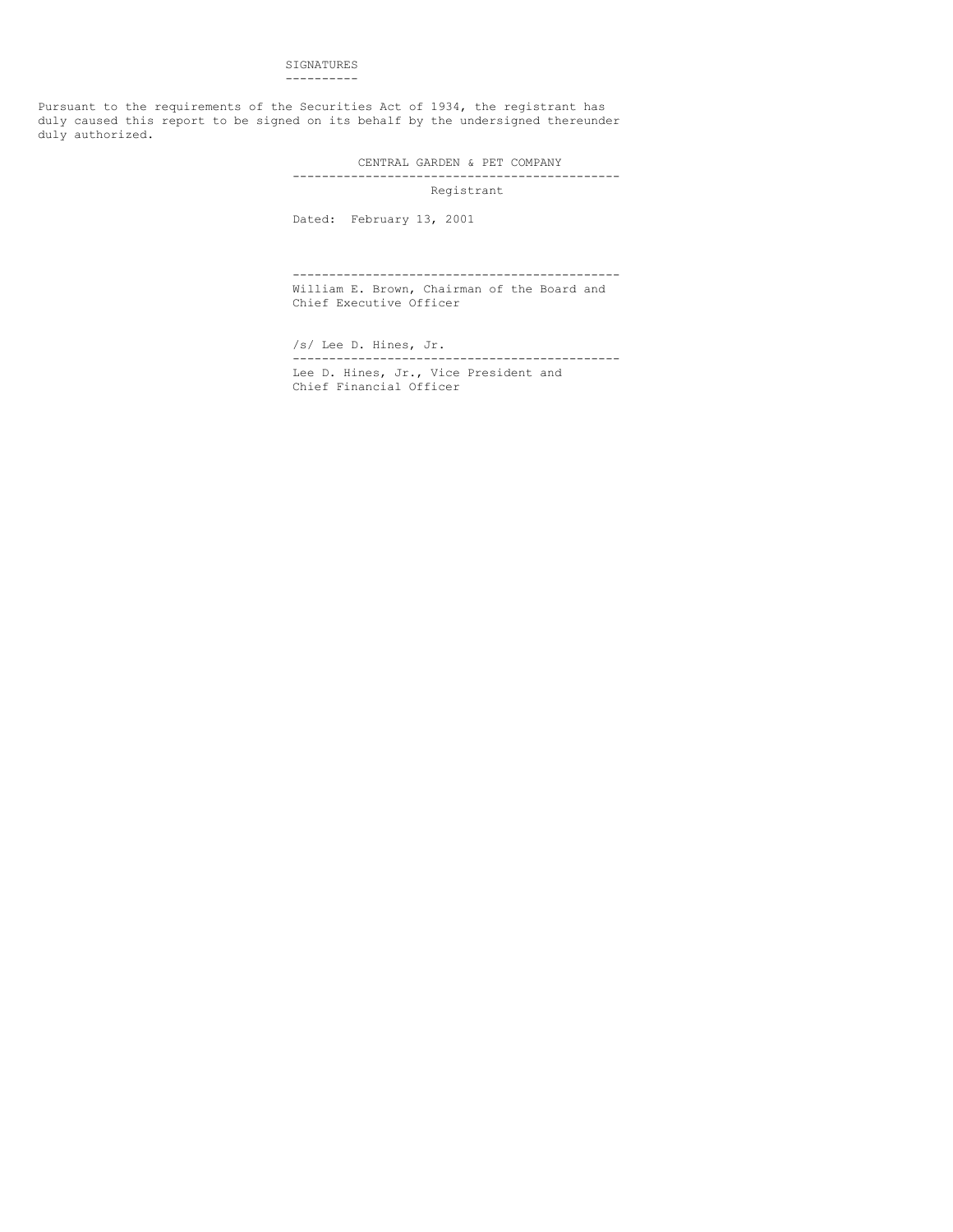## SIGNATURES ----------

Pursuant to the requirements of the Securities Act of 1934, the registrant has duly caused this report to be signed on its behalf by the undersigned thereunder duly authorized.

CENTRAL GARDEN & PET COMPANY

## --------------------------------------------- Registrant

Dated: February 13, 2001

--------------------------------------------- William E. Brown, Chairman of the Board and Chief Executive Officer

/s/ Lee D. Hines, Jr. --------------------------------------------- Lee D. Hines, Jr., Vice President and Chief Financial Officer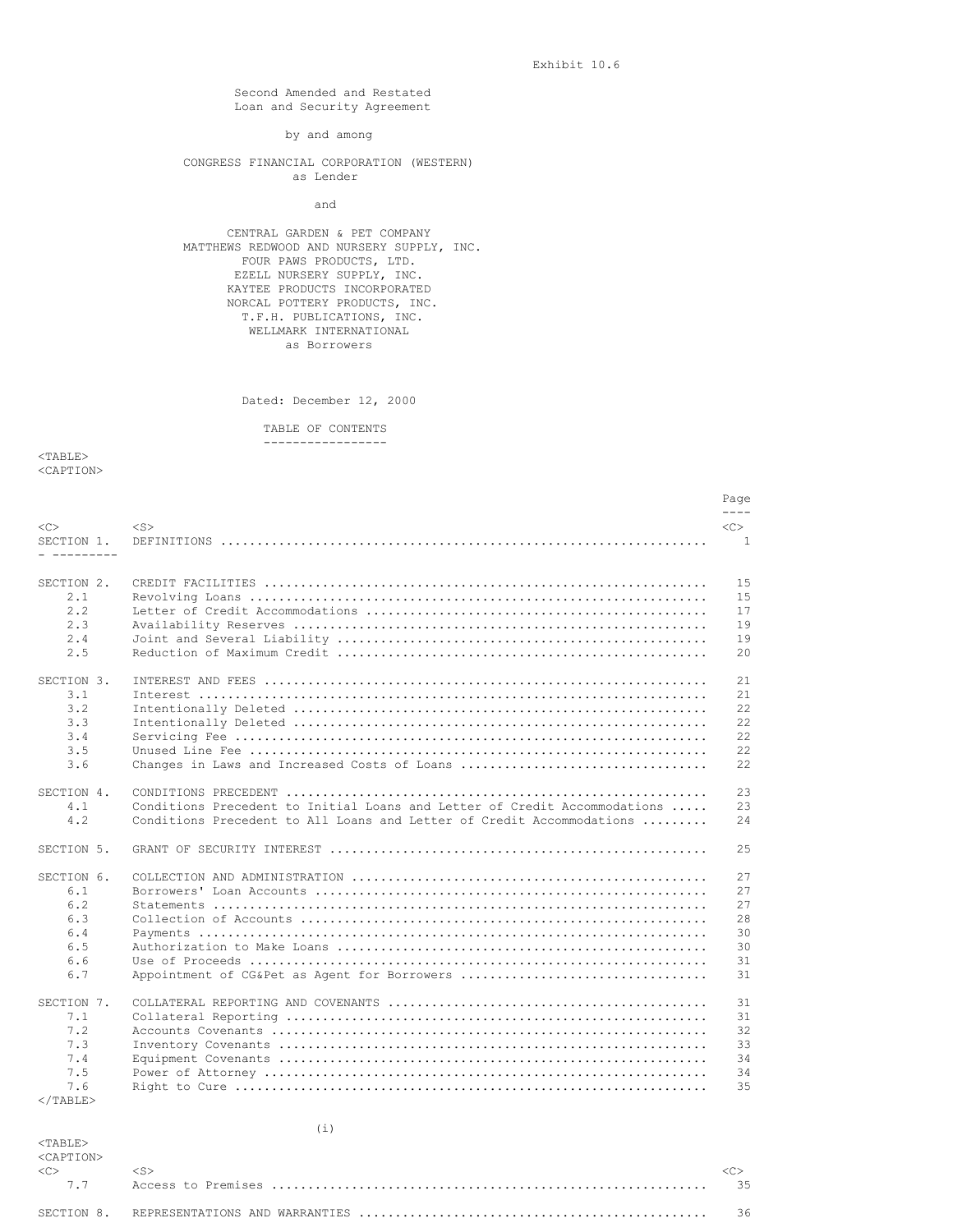Exhibit 10.6

Second Amended and Restated Loan and Security Agreement

by and among

CONGRESS FINANCIAL CORPORATION (WESTERN) as Lender

and

CENTRAL GARDEN & PET COMPANY MATTHEWS REDWOOD AND NURSERY SUPPLY, INC. FOUR PAWS PRODUCTS, LTD. EZELL NURSERY SUPPLY, INC. KAYTEE PRODUCTS INCORPORATED NORCAL POTTERY PRODUCTS, INC. T.F.H. PUBLICATIONS, INC. WELLMARK INTERNATIONAL as Borrowers

Dated: December 12, 2000

TABLE OF CONTENTS -----------------

<TABLE> <CAPTION>

|                           |                                                                           | Page           |
|---------------------------|---------------------------------------------------------------------------|----------------|
| <<                        | $<$ S $>$                                                                 | $CC$ >         |
| SECTION 1.<br>_ _________ |                                                                           | $\overline{1}$ |
| SECTION 2.                |                                                                           | 1.5            |
| 2.1                       |                                                                           | 1.5            |
| 2.2                       |                                                                           | 17             |
| 2.3                       |                                                                           | 19             |
| 2.4                       |                                                                           | 19             |
| 2.5                       |                                                                           | 2.0            |
| SECTION 3.                |                                                                           | 21             |
| 3.1                       |                                                                           | 21             |
| 3.2                       |                                                                           | 22.2           |
| 3.3                       |                                                                           | 22.2           |
| 3.4                       |                                                                           | 22.2           |
| 3.5                       |                                                                           | 22             |
| 3.6                       | Changes in Laws and Increased Costs of Loans                              | 22.2           |
| SECTION 4.                |                                                                           | 2.3            |
| 4.1                       | Conditions Precedent to Initial Loans and Letter of Credit Accommodations | 23             |
| 4.2                       | Conditions Precedent to All Loans and Letter of Credit Accommodations     | 24             |
| SECTION 5.                |                                                                           | 2.5            |
| SECTION 6.                |                                                                           | 2.7            |
| 6.1                       |                                                                           | 2.7            |
| 6.2                       |                                                                           | 2.7            |
| 6.3                       |                                                                           | 28             |
| 6.4                       |                                                                           | 30             |
| 6.5                       |                                                                           | 30             |
| 6.6                       |                                                                           | 31             |
| 6.7                       | Appointment of CG&Pet as Agent for Borrowers                              | 31             |
| SECTION 7.                |                                                                           | 31             |
| 7.1                       |                                                                           | 31             |
| 7.2                       |                                                                           | 32             |
| 7.3                       |                                                                           | 33             |
| 7.4                       |                                                                           | 34             |
| 7.5                       |                                                                           | 34             |
| 7.6                       |                                                                           | 35             |
| $<$ /TABLE>               |                                                                           |                |

| $<$ TARLE $>$<br><caption></caption> |  |
|--------------------------------------|--|
| < <c< td=""><td></td></c<>           |  |
|                                      |  |
|                                      |  |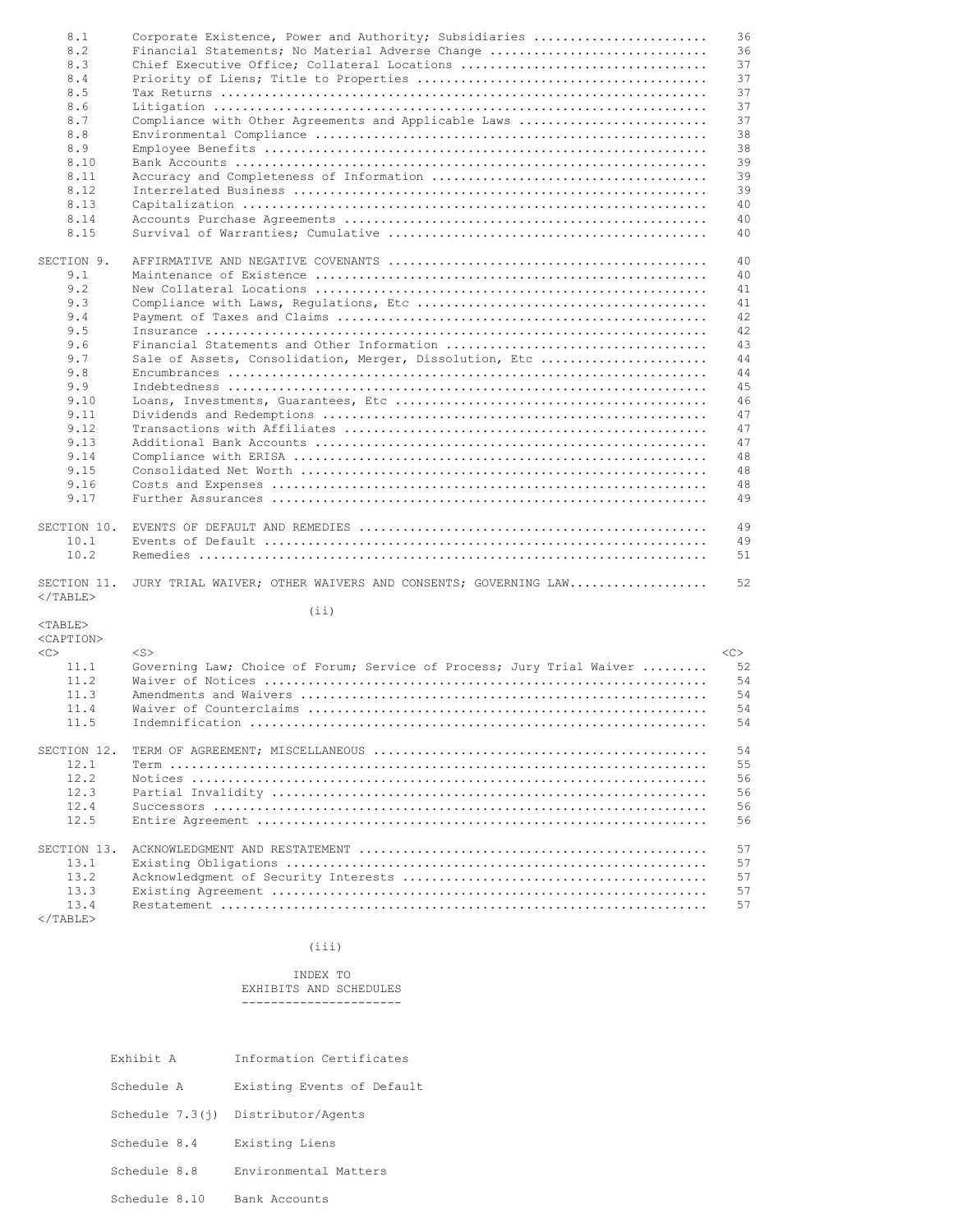| Corporate Existence, Power and Authority; Subsidiaries<br>8.1<br>8.2<br>Financial Statements; No Material Adverse Change<br>8.3<br>Chief Executive Office; Collateral Locations | 36       |
|---------------------------------------------------------------------------------------------------------------------------------------------------------------------------------|----------|
|                                                                                                                                                                                 |          |
|                                                                                                                                                                                 | 36       |
|                                                                                                                                                                                 | 37       |
| 8.4                                                                                                                                                                             | 37       |
| 8.5                                                                                                                                                                             | 37       |
| 8.6                                                                                                                                                                             | 37       |
| 8.7<br>Compliance with Other Agreements and Applicable Laws                                                                                                                     | 37       |
| 8.8                                                                                                                                                                             | 38       |
|                                                                                                                                                                                 |          |
| 8.9                                                                                                                                                                             | 38       |
| 8.10                                                                                                                                                                            | 39       |
| 8.11                                                                                                                                                                            | 39       |
| 8.12                                                                                                                                                                            | 39       |
| 8.13                                                                                                                                                                            | 40       |
| 8.14                                                                                                                                                                            | 40       |
| 8.15                                                                                                                                                                            | 40       |
|                                                                                                                                                                                 |          |
|                                                                                                                                                                                 | 40       |
| SECTION 9.                                                                                                                                                                      |          |
| 9.1                                                                                                                                                                             | 40       |
| 9.2                                                                                                                                                                             | 41       |
| 9.3                                                                                                                                                                             | 41       |
| 9.4                                                                                                                                                                             | 42       |
| 9.5                                                                                                                                                                             | 42       |
| 9.6                                                                                                                                                                             | 43       |
|                                                                                                                                                                                 |          |
| 9.7<br>Sale of Assets, Consolidation, Merger, Dissolution, Etc                                                                                                                  | 44       |
| 9.8                                                                                                                                                                             | 44       |
| 9.9                                                                                                                                                                             | 45       |
| 9.10                                                                                                                                                                            | 46       |
| 9.11                                                                                                                                                                            | 47       |
| 9.12                                                                                                                                                                            | 47       |
|                                                                                                                                                                                 |          |
| 9.13                                                                                                                                                                            | 47       |
| 9.14                                                                                                                                                                            | 48       |
| 9.15                                                                                                                                                                            | 48       |
| 9.16                                                                                                                                                                            | 48       |
|                                                                                                                                                                                 |          |
| 9.17                                                                                                                                                                            | 49       |
|                                                                                                                                                                                 |          |
|                                                                                                                                                                                 |          |
|                                                                                                                                                                                 | 49       |
| 10.1                                                                                                                                                                            | 49       |
| SECTION 10.<br>10.2                                                                                                                                                             | 51       |
|                                                                                                                                                                                 |          |
| JURY TRIAL WAIVER; OTHER WAIVERS AND CONSENTS; GOVERNING LAW                                                                                                                    | 52       |
|                                                                                                                                                                                 |          |
| (i)                                                                                                                                                                             |          |
| $<$ TABLE>                                                                                                                                                                      |          |
|                                                                                                                                                                                 |          |
| $<$ S $>$                                                                                                                                                                       | $<<$ $>$ |
| SECTION 11.<br>$<$ /TABLE><br><caption><br/>&lt;&lt;&gt;<br/>11.1</caption>                                                                                                     | 52       |
| Governing Law; Choice of Forum; Service of Process; Jury Trial Waiver                                                                                                           |          |
| 11.2                                                                                                                                                                            | 54       |
| 11.3                                                                                                                                                                            | 54       |
| 11.4                                                                                                                                                                            | 54       |
| 11.5                                                                                                                                                                            | 54       |
|                                                                                                                                                                                 |          |
| SECTION 12.                                                                                                                                                                     | 54       |
| 12.1                                                                                                                                                                            | 55       |
|                                                                                                                                                                                 |          |
| 12.2                                                                                                                                                                            | 56       |
| 12.3                                                                                                                                                                            | 56       |
| 12.4                                                                                                                                                                            | 56       |
| 12.5                                                                                                                                                                            | 56       |
|                                                                                                                                                                                 |          |
| SECTION 13.                                                                                                                                                                     | 57       |
| 13.1                                                                                                                                                                            | 57       |
| 13.2                                                                                                                                                                            | 57       |
| 13.3                                                                                                                                                                            | 57       |

(iii)

13.4 Restatement ................................................................... 57

INDEX TO EXHIBITS AND SCHEDULES ----------------------

- Exhibit A Information Certificates
- Schedule A Existing Events of Default
- Schedule 7.3(j) Distributor/Agents
- Schedule 8.4 Existing Liens

 $<$ /TABLE>

- Schedule 8.8 Environmental Matters
- Schedule 8.10 Bank Accounts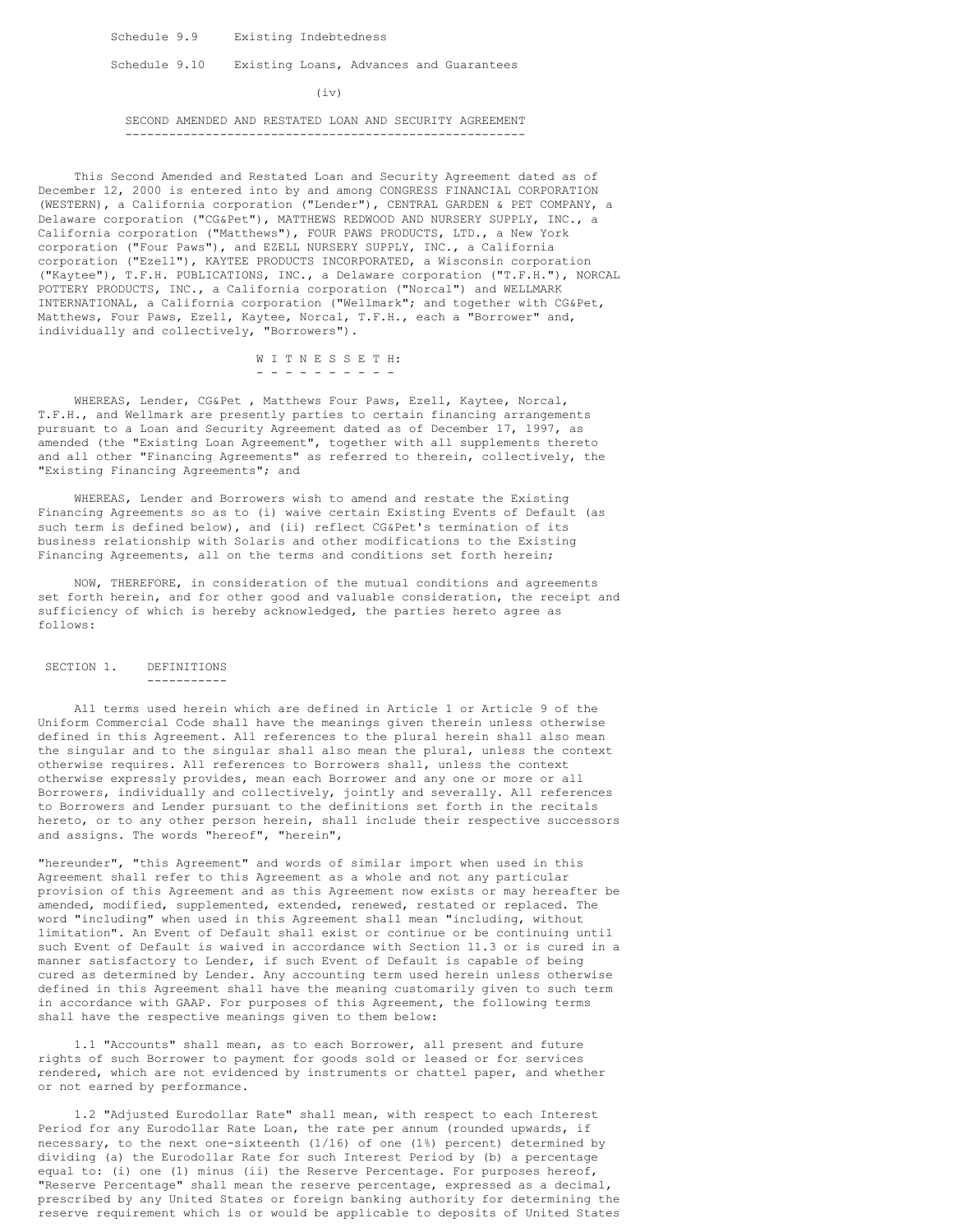Schedule 9.9 Existing Indebtedness

Schedule 9.10 Existing Loans, Advances and Guarantees

 $(iv)$ 

### SECOND AMENDED AND RESTATED LOAN AND SECURITY AGREEMENT -------------------------------------------------------

This Second Amended and Restated Loan and Security Agreement dated as of December 12, 2000 is entered into by and among CONGRESS FINANCIAL CORPORATION (WESTERN), a California corporation ("Lender"), CENTRAL GARDEN & PET COMPANY, a Delaware corporation ("CG&Pet"), MATTHEWS REDWOOD AND NURSERY SUPPLY, INC., a California corporation ("Matthews"), FOUR PAWS PRODUCTS, LTD., a New York corporation ("Four Paws"), and EZELL NURSERY SUPPLY, INC., a California corporation ("Ezell"), KAYTEE PRODUCTS INCORPORATED, a Wisconsin corporation ("Kaytee"), T.F.H. PUBLICATIONS, INC., a Delaware corporation ("T.F.H."), NORCAL POTTERY PRODUCTS, INC., a California corporation ("Norcal") and WELLMARK INTERNATIONAL, a California corporation ("Wellmark"; and together with CG&Pet, Matthews, Four Paws, Ezell, Kaytee, Norcal, T.F.H., each a "Borrower" and, individually and collectively, "Borrowers").

> W I T N E S S E T H: - - - - - - - - - -

WHEREAS, Lender, CG&Pet , Matthews Four Paws, Ezell, Kaytee, Norcal, T.F.H., and Wellmark are presently parties to certain financing arrangements pursuant to a Loan and Security Agreement dated as of December 17, 1997, as amended (the "Existing Loan Agreement", together with all supplements thereto and all other "Financing Agreements" as referred to therein, collectively, the "Existing Financing Agreements"; and

WHEREAS, Lender and Borrowers wish to amend and restate the Existing Financing Agreements so as to (i) waive certain Existing Events of Default (as such term is defined below), and (ii) reflect CG&Pet's termination of its business relationship with Solaris and other modifications to the Existing Financing Agreements, all on the terms and conditions set forth herein;

NOW, THEREFORE, in consideration of the mutual conditions and agreements set forth herein, and for other good and valuable consideration, the receipt and sufficiency of which is hereby acknowledged, the parties hereto agree as follows:

SECTION 1. DEFINITIONS

-----------

All terms used herein which are defined in Article 1 or Article 9 of the Uniform Commercial Code shall have the meanings given therein unless otherwise defined in this Agreement. All references to the plural herein shall also mean the singular and to the singular shall also mean the plural, unless the context otherwise requires. All references to Borrowers shall, unless the context otherwise expressly provides, mean each Borrower and any one or more or all Borrowers, individually and collectively, jointly and severally. All references to Borrowers and Lender pursuant to the definitions set forth in the recitals hereto, or to any other person herein, shall include their respective successors and assigns. The words "hereof", "herein",

"hereunder", "this Agreement" and words of similar import when used in this Agreement shall refer to this Agreement as a whole and not any particular provision of this Agreement and as this Agreement now exists or may hereafter be amended, modified, supplemented, extended, renewed, restated or replaced. The word "including" when used in this Agreement shall mean "including, without limitation". An Event of Default shall exist or continue or be continuing until such Event of Default is waived in accordance with Section 11.3 or is cured in a manner satisfactory to Lender, if such Event of Default is capable of being cured as determined by Lender. Any accounting term used herein unless otherwise defined in this Agreement shall have the meaning customarily given to such term in accordance with GAAP. For purposes of this Agreement, the following terms shall have the respective meanings given to them below:

1.1 "Accounts" shall mean, as to each Borrower, all present and future rights of such Borrower to payment for goods sold or leased or for services rendered, which are not evidenced by instruments or chattel paper, and whether or not earned by performance.

1.2 "Adjusted Eurodollar Rate" shall mean, with respect to each Interest Period for any Eurodollar Rate Loan, the rate per annum (rounded upwards, if necessary, to the next one-sixteenth (1/16) of one (1%) percent) determined by dividing (a) the Eurodollar Rate for such Interest Period by (b) a percentage equal to: (i) one (1) minus (ii) the Reserve Percentage. For purposes hereof, "Reserve Percentage" shall mean the reserve percentage, expressed as a decimal, prescribed by any United States or foreign banking authority for determining the reserve requirement which is or would be applicable to deposits of United States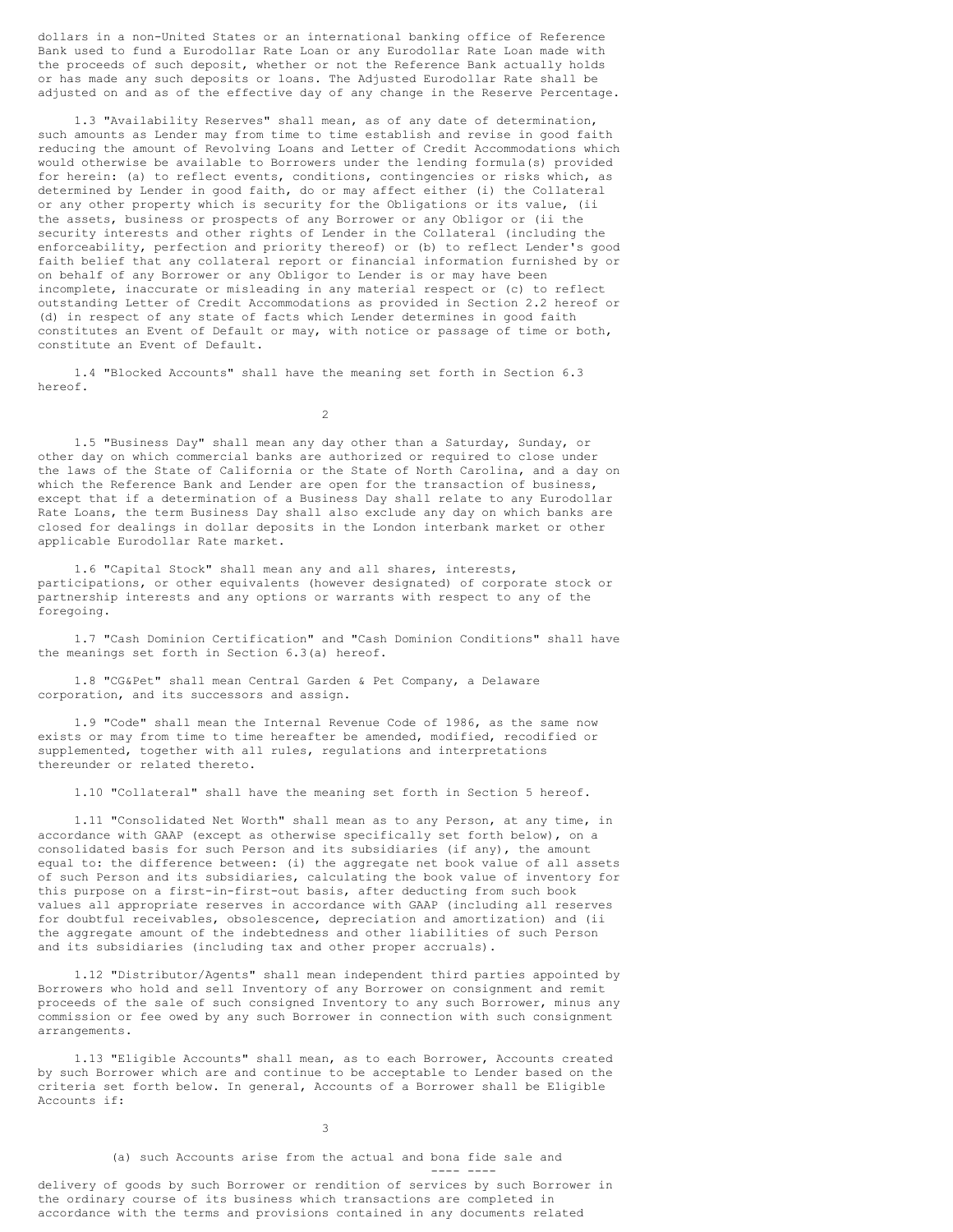dollars in a non-United States or an international banking office of Reference Bank used to fund a Eurodollar Rate Loan or any Eurodollar Rate Loan made with the proceeds of such deposit, whether or not the Reference Bank actually holds or has made any such deposits or loans. The Adjusted Eurodollar Rate shall be adjusted on and as of the effective day of any change in the Reserve Percentage.

1.3 "Availability Reserves" shall mean, as of any date of determination, such amounts as Lender may from time to time establish and revise in good faith reducing the amount of Revolving Loans and Letter of Credit Accommodations which would otherwise be available to Borrowers under the lending formula(s) provided for herein: (a) to reflect events, conditions, contingencies or risks which, as determined by Lender in good faith, do or may affect either (i) the Collateral or any other property which is security for the Obligations or its value, (ii the assets, business or prospects of any Borrower or any Obligor or (ii the security interests and other rights of Lender in the Collateral (including the enforceability, perfection and priority thereof) or (b) to reflect Lender's good faith belief that any collateral report or financial information furnished by or on behalf of any Borrower or any Obligor to Lender is or may have been incomplete, inaccurate or misleading in any material respect or (c) to reflect outstanding Letter of Credit Accommodations as provided in Section 2.2 hereof or (d) in respect of any state of facts which Lender determines in good faith constitutes an Event of Default or may, with notice or passage of time or both, constitute an Event of Default.

1.4 "Blocked Accounts" shall have the meaning set forth in Section 6.3 hereof.

 $\mathfrak{D}$ 

1.5 "Business Day" shall mean any day other than a Saturday, Sunday, or other day on which commercial banks are authorized or required to close under the laws of the State of California or the State of North Carolina, and a day on which the Reference Bank and Lender are open for the transaction of business, except that if a determination of a Business Day shall relate to any Eurodollar Rate Loans, the term Business Day shall also exclude any day on which banks are closed for dealings in dollar deposits in the London interbank market or other applicable Eurodollar Rate market.

1.6 "Capital Stock" shall mean any and all shares, interests, participations, or other equivalents (however designated) of corporate stock or partnership interests and any options or warrants with respect to any of the foregoing.

1.7 "Cash Dominion Certification" and "Cash Dominion Conditions" shall have the meanings set forth in Section 6.3(a) hereof.

1.8 "CG&Pet" shall mean Central Garden & Pet Company, a Delaware corporation, and its successors and assign.

1.9 "Code" shall mean the Internal Revenue Code of 1986, as the same now exists or may from time to time hereafter be amended, modified, recodified or supplemented, together with all rules, regulations and interpretations thereunder or related thereto.

1.10 "Collateral" shall have the meaning set forth in Section 5 hereof.

1.11 "Consolidated Net Worth" shall mean as to any Person, at any time, in accordance with GAAP (except as otherwise specifically set forth below), on a consolidated basis for such Person and its subsidiaries (if any), the amount equal to: the difference between: (i) the aggregate net book value of all assets of such Person and its subsidiaries, calculating the book value of inventory for this purpose on a first-in-first-out basis, after deducting from such book values all appropriate reserves in accordance with GAAP (including all reserves for doubtful receivables, obsolescence, depreciation and amortization) and (ii the aggregate amount of the indebtedness and other liabilities of such Person and its subsidiaries (including tax and other proper accruals).

1.12 "Distributor/Agents" shall mean independent third parties appointed by Borrowers who hold and sell Inventory of any Borrower on consignment and remit proceeds of the sale of such consigned Inventory to any such Borrower, minus any commission or fee owed by any such Borrower in connection with such consignment arrangements.

1.13 "Eligible Accounts" shall mean, as to each Borrower, Accounts created by such Borrower which are and continue to be acceptable to Lender based on the criteria set forth below. In general, Accounts of a Borrower shall be Eligible Accounts if:

3

(a) such Accounts arise from the actual and bona fide sale and

---- --- delivery of goods by such Borrower or rendition of services by such Borrower in the ordinary course of its business which transactions are completed in accordance with the terms and provisions contained in any documents related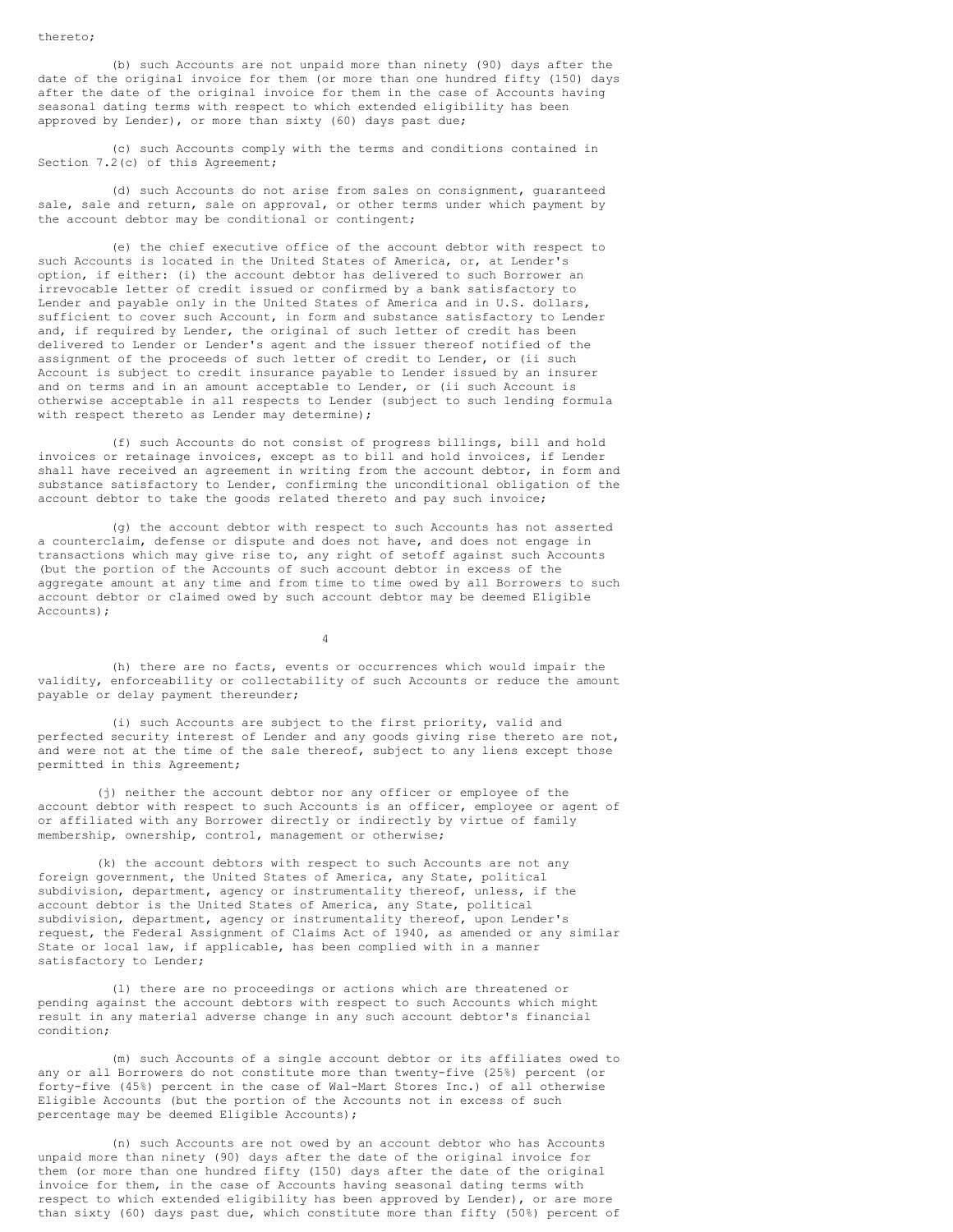(b) such Accounts are not unpaid more than ninety (90) days after the date of the original invoice for them (or more than one hundred fifty (150) days after the date of the original invoice for them in the case of Accounts having seasonal dating terms with respect to which extended eligibility has been approved by Lender), or more than sixty (60) days past due;

(c) such Accounts comply with the terms and conditions contained in Section 7.2(c) of this Agreement;

(d) such Accounts do not arise from sales on consignment, guaranteed sale, sale and return, sale on approval, or other terms under which payment by the account debtor may be conditional or contingent;

(e) the chief executive office of the account debtor with respect to such Accounts is located in the United States of America, or, at Lender's option, if either: (i) the account debtor has delivered to such Borrower an irrevocable letter of credit issued or confirmed by a bank satisfactory to Lender and payable only in the United States of America and in U.S. dollars, sufficient to cover such Account, in form and substance satisfactory to Lender and, if required by Lender, the original of such letter of credit has been delivered to Lender or Lender's agent and the issuer thereof notified of the assignment of the proceeds of such letter of credit to Lender, or (ii such Account is subject to credit insurance payable to Lender issued by an insurer and on terms and in an amount acceptable to Lender, or (ii such Account is otherwise acceptable in all respects to Lender (subject to such lending formula with respect thereto as Lender may determine);

(f) such Accounts do not consist of progress billings, bill and hold invoices or retainage invoices, except as to bill and hold invoices, if Lender shall have received an agreement in writing from the account debtor, in form and substance satisfactory to Lender, confirming the unconditional obligation of the account debtor to take the goods related thereto and pay such invoice;

(g) the account debtor with respect to such Accounts has not asserted a counterclaim, defense or dispute and does not have, and does not engage in transactions which may give rise to, any right of setoff against such Accounts (but the portion of the Accounts of such account debtor in excess of the aggregate amount at any time and from time to time owed by all Borrowers to such account debtor or claimed owed by such account debtor may be deemed Eligible Accounts);

4

(h) there are no facts, events or occurrences which would impair the validity, enforceability or collectability of such Accounts or reduce the amount payable or delay payment thereunder;

(i) such Accounts are subject to the first priority, valid and perfected security interest of Lender and any goods giving rise thereto are not, and were not at the time of the sale thereof, subject to any liens except those permitted in this Agreement;

(j) neither the account debtor nor any officer or employee of the account debtor with respect to such Accounts is an officer, employee or agent of or affiliated with any Borrower directly or indirectly by virtue of family membership, ownership, control, management or otherwise;

(k) the account debtors with respect to such Accounts are not any foreign government, the United States of America, any State, political subdivision, department, agency or instrumentality thereof, unless, if the account debtor is the United States of America, any State, political subdivision, department, agency or instrumentality thereof, upon Lender's request, the Federal Assignment of Claims Act of 1940, as amended or any similar State or local law, if applicable, has been complied with in a manner satisfactory to Lender;

(l) there are no proceedings or actions which are threatened or pending against the account debtors with respect to such Accounts which might result in any material adverse change in any such account debtor's financial condition;

(m) such Accounts of a single account debtor or its affiliates owed to any or all Borrowers do not constitute more than twenty-five (25%) percent (or forty-five (45%) percent in the case of Wal-Mart Stores Inc.) of all otherwise Eligible Accounts (but the portion of the Accounts not in excess of such percentage may be deemed Eligible Accounts);

(n) such Accounts are not owed by an account debtor who has Accounts unpaid more than ninety (90) days after the date of the original invoice for them (or more than one hundred fifty (150) days after the date of the original invoice for them, in the case of Accounts having seasonal dating terms with respect to which extended eligibility has been approved by Lender), or are more than sixty (60) days past due, which constitute more than fifty (50%) percent of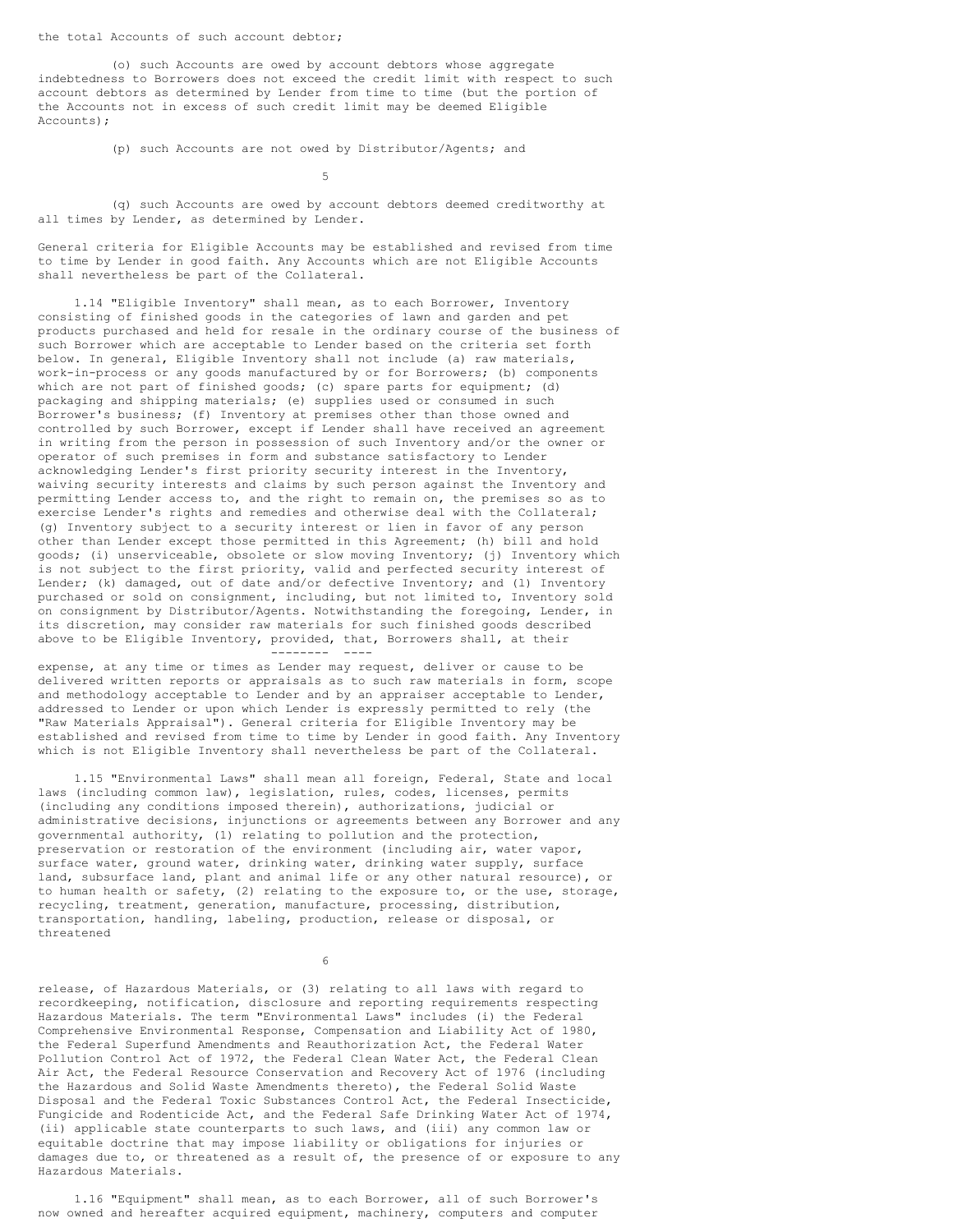the total Accounts of such account debtor;

(o) such Accounts are owed by account debtors whose aggregate indebtedness to Borrowers does not exceed the credit limit with respect to such account debtors as determined by Lender from time to time (but the portion of the Accounts not in excess of such credit limit may be deemed Eligible Accounts);

(p) such Accounts are not owed by Distributor/Agents; and

5

(q) such Accounts are owed by account debtors deemed creditworthy at all times by Lender, as determined by Lender.

General criteria for Eligible Accounts may be established and revised from time to time by Lender in good faith. Any Accounts which are not Eligible Accounts shall nevertheless be part of the Collateral.

1.14 "Eligible Inventory" shall mean, as to each Borrower, Inventory consisting of finished goods in the categories of lawn and garden and pet products purchased and held for resale in the ordinary course of the business of such Borrower which are acceptable to Lender based on the criteria set forth below. In general, Eligible Inventory shall not include (a) raw materials, work-in-process or any goods manufactured by or for Borrowers; (b) components which are not part of finished goods; (c) spare parts for equipment; (d) packaging and shipping materials; (e) supplies used or consumed in such Borrower's business; (f) Inventory at premises other than those owned and controlled by such Borrower, except if Lender shall have received an agreement in writing from the person in possession of such Inventory and/or the owner or operator of such premises in form and substance satisfactory to Lender acknowledging Lender's first priority security interest in the Inventory, waiving security interests and claims by such person against the Inventory and permitting Lender access to, and the right to remain on, the premises so as to exercise Lender's rights and remedies and otherwise deal with the Collateral; (g) Inventory subject to a security interest or lien in favor of any person other than Lender except those permitted in this Agreement; (h) bill and hold goods; (i) unserviceable, obsolete or slow moving Inventory; (j) Inventory which is not subject to the first priority, valid and perfected security interest of Lender; (k) damaged, out of date and/or defective Inventory; and (1) Inventory purchased or sold on consignment, including, but not limited to, Inventory sold on consignment by Distributor/Agents. Notwithstanding the foregoing, Lender, in its discretion, may consider raw materials for such finished goods described above to be Eligible Inventory, provided, that, Borrowers shall, at their -------- ----

expense, at any time or times as Lender may request, deliver or cause to be delivered written reports or appraisals as to such raw materials in form, scope and methodology acceptable to Lender and by an appraiser acceptable to Lender, addressed to Lender or upon which Lender is expressly permitted to rely (the "Raw Materials Appraisal"). General criteria for Eligible Inventory may be established and revised from time to time by Lender in good faith. Any Inventory which is not Eligible Inventory shall nevertheless be part of the Collateral.

1.15 "Environmental Laws" shall mean all foreign, Federal, State and local laws (including common law), legislation, rules, codes, licenses, permits (including any conditions imposed therein), authorizations, judicial or administrative decisions, injunctions or agreements between any Borrower and any governmental authority, (1) relating to pollution and the protection, preservation or restoration of the environment (including air, water vapor, surface water, ground water, drinking water, drinking water supply, surface land, subsurface land, plant and animal life or any other natural resource), or to human health or safety, (2) relating to the exposure to, or the use, storage, recycling, treatment, generation, manufacture, processing, distribution, transportation, handling, labeling, production, release or disposal, or threatened

6

release, of Hazardous Materials, or (3) relating to all laws with regard to recordkeeping, notification, disclosure and reporting requirements respecting Hazardous Materials. The term "Environmental Laws" includes (i) the Federal Comprehensive Environmental Response, Compensation and Liability Act of 1980, the Federal Superfund Amendments and Reauthorization Act, the Federal Water Pollution Control Act of 1972, the Federal Clean Water Act, the Federal Clean Air Act, the Federal Resource Conservation and Recovery Act of 1976 (including the Hazardous and Solid Waste Amendments thereto), the Federal Solid Waste Disposal and the Federal Toxic Substances Control Act, the Federal Insecticide, Fungicide and Rodenticide Act, and the Federal Safe Drinking Water Act of 1974, (ii) applicable state counterparts to such laws, and (iii) any common law or equitable doctrine that may impose liability or obligations for injuries or damages due to, or threatened as a result of, the presence of or exposure to any Hazardous Materials.

1.16 "Equipment" shall mean, as to each Borrower, all of such Borrower's now owned and hereafter acquired equipment, machinery, computers and computer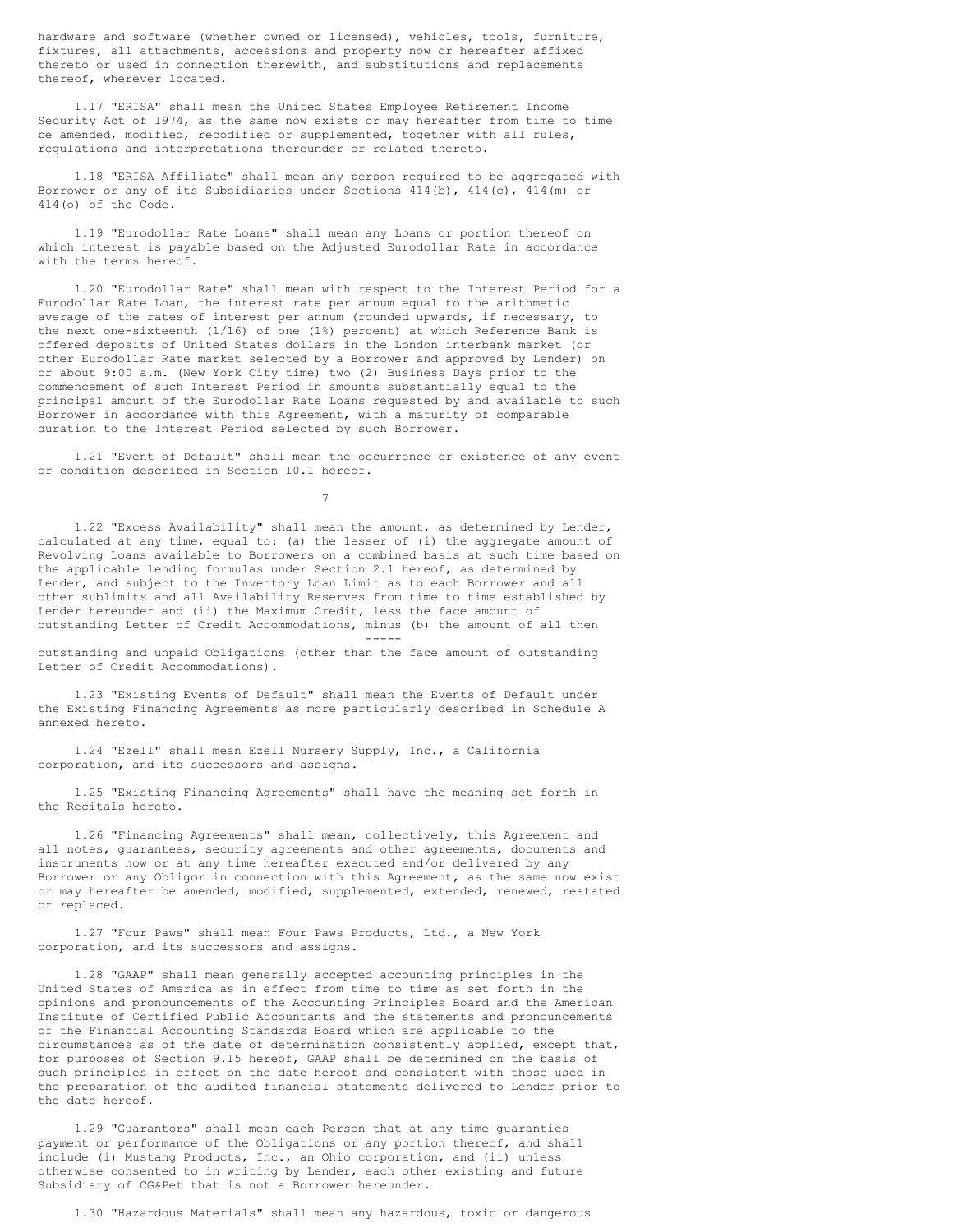hardware and software (whether owned or licensed), vehicles, tools, furniture, fixtures, all attachments, accessions and property now or hereafter affixed thereto or used in connection therewith, and substitutions and replacements thereof, wherever located.

1.17 "ERISA" shall mean the United States Employee Retirement Income Security Act of 1974, as the same now exists or may hereafter from time to time be amended, modified, recodified or supplemented, together with all rules, regulations and interpretations thereunder or related thereto.

1.18 "ERISA Affiliate" shall mean any person required to be aggregated with Borrower or any of its Subsidiaries under Sections 414(b), 414(c), 414(m) or 414(o) of the Code.

1.19 "Eurodollar Rate Loans" shall mean any Loans or portion thereof on which interest is payable based on the Adjusted Eurodollar Rate in accordance with the terms hereof.

1.20 "Eurodollar Rate" shall mean with respect to the Interest Period for a Eurodollar Rate Loan, the interest rate per annum equal to the arithmetic average of the rates of interest per annum (rounded upwards, if necessary, to the next one-sixteenth (1/16) of one (1%) percent) at which Reference Bank is offered deposits of United States dollars in the London interbank market (or other Eurodollar Rate market selected by a Borrower and approved by Lender) on or about 9:00 a.m. (New York City time) two (2) Business Days prior to the commencement of such Interest Period in amounts substantially equal to the principal amount of the Eurodollar Rate Loans requested by and available to such Borrower in accordance with this Agreement, with a maturity of comparable duration to the Interest Period selected by such Borrower.

1.21 "Event of Default" shall mean the occurrence or existence of any event or condition described in Section 10.1 hereof.

7

1.22 "Excess Availability" shall mean the amount, as determined by Lender, calculated at any time, equal to: (a) the lesser of (i) the aggregate amount of Revolving Loans available to Borrowers on a combined basis at such time based on the applicable lending formulas under Section 2.1 hereof, as determined by Lender, and subject to the Inventory Loan Limit as to each Borrower and all other sublimits and all Availability Reserves from time to time established by Lender hereunder and (ii) the Maximum Credit, less the face amount of outstanding Letter of Credit Accommodations, minus (b) the amount of all then

-----

outstanding and unpaid Obligations (other than the face amount of outstanding Letter of Credit Accommodations).

1.23 "Existing Events of Default" shall mean the Events of Default under the Existing Financing Agreements as more particularly described in Schedule A annexed hereto.

1.24 "Ezell" shall mean Ezell Nursery Supply, Inc., a California corporation, and its successors and assigns.

1.25 "Existing Financing Agreements" shall have the meaning set forth in the Recitals hereto.

1.26 "Financing Agreements" shall mean, collectively, this Agreement and all notes, guarantees, security agreements and other agreements, documents and instruments now or at any time hereafter executed and/or delivered by any Borrower or any Obligor in connection with this Agreement, as the same now exist or may hereafter be amended, modified, supplemented, extended, renewed, restated or replaced.

1.27 "Four Paws" shall mean Four Paws Products, Ltd., a New York corporation, and its successors and assigns.

1.28 "GAAP" shall mean generally accepted accounting principles in the United States of America as in effect from time to time as set forth in the opinions and pronouncements of the Accounting Principles Board and the American Institute of Certified Public Accountants and the statements and pronouncements of the Financial Accounting Standards Board which are applicable to the circumstances as of the date of determination consistently applied, except that, for purposes of Section 9.15 hereof, GAAP shall be determined on the basis of such principles in effect on the date hereof and consistent with those used in the preparation of the audited financial statements delivered to Lender prior to the date hereof.

1.29 "Guarantors" shall mean each Person that at any time guaranties payment or performance of the Obligations or any portion thereof, and shall include (i) Mustang Products, Inc., an Ohio corporation, and (ii) unless otherwise consented to in writing by Lender, each other existing and future Subsidiary of CG&Pet that is not a Borrower hereunder.

1.30 "Hazardous Materials" shall mean any hazardous, toxic or dangerous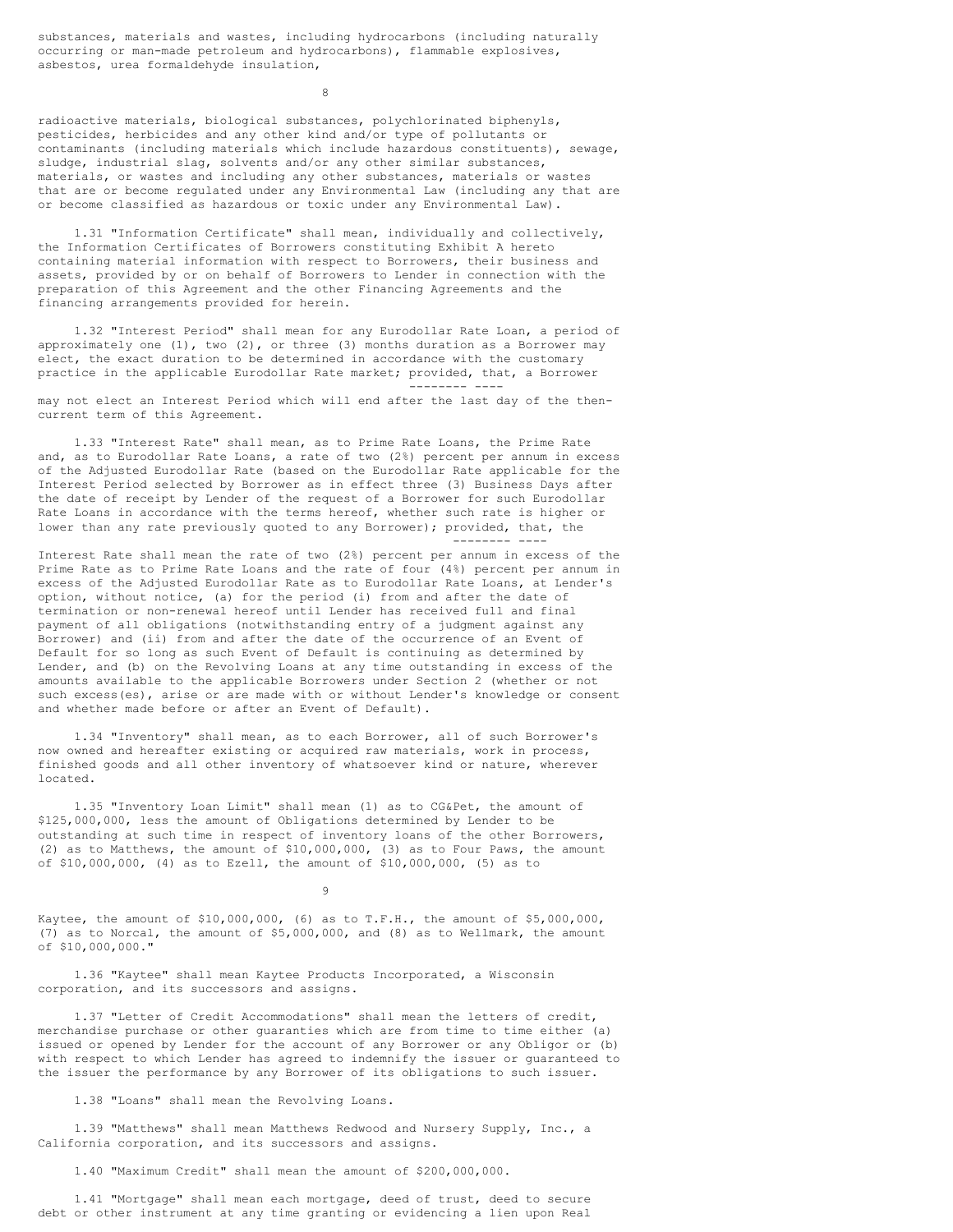substances, materials and wastes, including hydrocarbons (including naturally occurring or man-made petroleum and hydrocarbons), flammable explosives, asbestos, urea formaldehyde insulation,

8

radioactive materials, biological substances, polychlorinated biphenyls, pesticides, herbicides and any other kind and/or type of pollutants or contaminants (including materials which include hazardous constituents), sewage, sludge, industrial slag, solvents and/or any other similar substances, materials, or wastes and including any other substances, materials or wastes that are or become regulated under any Environmental Law (including any that are or become classified as hazardous or toxic under any Environmental Law).

1.31 "Information Certificate" shall mean, individually and collectively, the Information Certificates of Borrowers constituting Exhibit A hereto containing material information with respect to Borrowers, their business and assets, provided by or on behalf of Borrowers to Lender in connection with the preparation of this Agreement and the other Financing Agreements and the financing arrangements provided for herein.

1.32 "Interest Period" shall mean for any Eurodollar Rate Loan, a period of approximately one  $(1)$ , two  $(2)$ , or three  $(3)$  months duration as a Borrower may elect, the exact duration to be determined in accordance with the customary practice in the applicable Eurodollar Rate market; provided, that, a Borrower

-------- ----

may not elect an Interest Period which will end after the last day of the thencurrent term of this Agreement.

1.33 "Interest Rate" shall mean, as to Prime Rate Loans, the Prime Rate and, as to Eurodollar Rate Loans, a rate of two (2%) percent per annum in excess of the Adjusted Eurodollar Rate (based on the Eurodollar Rate applicable for the Interest Period selected by Borrower as in effect three (3) Business Days after the date of receipt by Lender of the request of a Borrower for such Eurodollar Rate Loans in accordance with the terms hereof, whether such rate is higher or lower than any rate previously quoted to any Borrower); provided, that, the -------- ----

Interest Rate shall mean the rate of two (2%) percent per annum in excess of the Prime Rate as to Prime Rate Loans and the rate of four (4%) percent per annum in excess of the Adjusted Eurodollar Rate as to Eurodollar Rate Loans, at Lender's option, without notice, (a) for the period (i) from and after the date of termination or non-renewal hereof until Lender has received full and final payment of all obligations (notwithstanding entry of a judgment against any Borrower) and (ii) from and after the date of the occurrence of an Event of Default for so long as such Event of Default is continuing as determined by Lender, and (b) on the Revolving Loans at any time outstanding in excess of the amounts available to the applicable Borrowers under Section 2 (whether or not such excess(es), arise or are made with or without Lender's knowledge or consent and whether made before or after an Event of Default).

1.34 "Inventory" shall mean, as to each Borrower, all of such Borrower's now owned and hereafter existing or acquired raw materials, work in process, finished goods and all other inventory of whatsoever kind or nature, wherever located.

1.35 "Inventory Loan Limit" shall mean (1) as to CG&Pet, the amount of \$125,000,000, less the amount of Obligations determined by Lender to be outstanding at such time in respect of inventory loans of the other Borrowers, (2) as to Matthews, the amount of \$10,000,000, (3) as to Four Paws, the amount of \$10,000,000, (4) as to Ezell, the amount of \$10,000,000, (5) as to

9

Kaytee, the amount of \$10,000,000, (6) as to T.F.H., the amount of \$5,000,000, (7) as to Norcal, the amount of \$5,000,000, and (8) as to Wellmark, the amount of \$10,000,000."

1.36 "Kaytee" shall mean Kaytee Products Incorporated, a Wisconsin corporation, and its successors and assigns.

1.37 "Letter of Credit Accommodations" shall mean the letters of credit, merchandise purchase or other guaranties which are from time to time either (a) issued or opened by Lender for the account of any Borrower or any Obligor or (b) with respect to which Lender has agreed to indemnify the issuer or guaranteed to the issuer the performance by any Borrower of its obligations to such issuer.

1.38 "Loans" shall mean the Revolving Loans.

1.39 "Matthews" shall mean Matthews Redwood and Nursery Supply, Inc., a California corporation, and its successors and assigns.

1.40 "Maximum Credit" shall mean the amount of \$200,000,000.

1.41 "Mortgage" shall mean each mortgage, deed of trust, deed to secure debt or other instrument at any time granting or evidencing a lien upon Real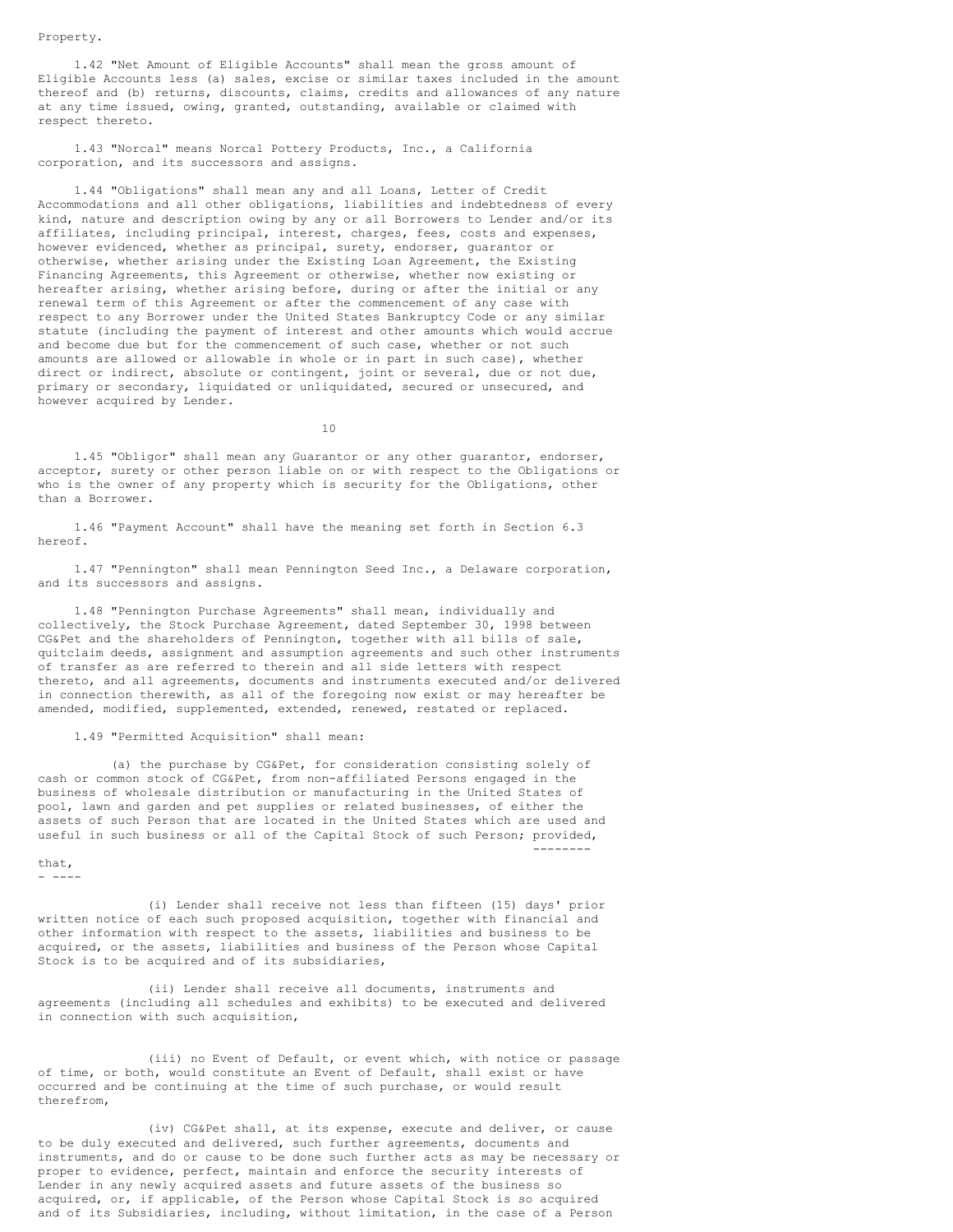### Property.

1.42 "Net Amount of Eligible Accounts" shall mean the gross amount of Eligible Accounts less (a) sales, excise or similar taxes included in the amount thereof and (b) returns, discounts, claims, credits and allowances of any nature at any time issued, owing, granted, outstanding, available or claimed with respect thereto.

1.43 "Norcal" means Norcal Pottery Products, Inc., a California corporation, and its successors and assigns.

1.44 "Obligations" shall mean any and all Loans, Letter of Credit Accommodations and all other obligations, liabilities and indebtedness of every kind, nature and description owing by any or all Borrowers to Lender and/or its affiliates, including principal, interest, charges, fees, costs and expenses, however evidenced, whether as principal, surety, endorser, guarantor or otherwise, whether arising under the Existing Loan Agreement, the Existing Financing Agreements, this Agreement or otherwise, whether now existing or hereafter arising, whether arising before, during or after the initial or any renewal term of this Agreement or after the commencement of any case with respect to any Borrower under the United States Bankruptcy Code or any similar statute (including the payment of interest and other amounts which would accrue and become due but for the commencement of such case, whether or not such amounts are allowed or allowable in whole or in part in such case), whether direct or indirect, absolute or contingent, joint or several, due or not due, primary or secondary, liquidated or unliquidated, secured or unsecured, and however acquired by Lender.

10

1.45 "Obligor" shall mean any Guarantor or any other guarantor, endorser, acceptor, surety or other person liable on or with respect to the Obligations or who is the owner of any property which is security for the Obligations, other than a Borrower.

1.46 "Payment Account" shall have the meaning set forth in Section 6.3 hereof.

1.47 "Pennington" shall mean Pennington Seed Inc., a Delaware corporation, and its successors and assigns.

1.48 "Pennington Purchase Agreements" shall mean, individually and collectively, the Stock Purchase Agreement, dated September 30, 1998 between CG&Pet and the shareholders of Pennington, together with all bills of sale, quitclaim deeds, assignment and assumption agreements and such other instruments of transfer as are referred to therein and all side letters with respect thereto, and all agreements, documents and instruments executed and/or delivered in connection therewith, as all of the foregoing now exist or may hereafter be amended, modified, supplemented, extended, renewed, restated or replaced.

## 1.49 "Permitted Acquisition" shall mean:

(a) the purchase by CG&Pet, for consideration consisting solely of cash or common stock of CG&Pet, from non-affiliated Persons engaged in the business of wholesale distribution or manufacturing in the United States of pool, lawn and garden and pet supplies or related businesses, of either the assets of such Person that are located in the United States which are used and useful in such business or all of the Capital Stock of such Person; provided,

--------

that, - ----

(i) Lender shall receive not less than fifteen (15) days' prior written notice of each such proposed acquisition, together with financial and other information with respect to the assets, liabilities and business to be acquired, or the assets, liabilities and business of the Person whose Capital Stock is to be acquired and of its subsidiaries,

(ii) Lender shall receive all documents, instruments and agreements (including all schedules and exhibits) to be executed and delivered in connection with such acquisition,

(iii) no Event of Default, or event which, with notice or passage of time, or both, would constitute an Event of Default, shall exist or have occurred and be continuing at the time of such purchase, or would result therefrom,

(iv) CG&Pet shall, at its expense, execute and deliver, or cause to be duly executed and delivered, such further agreements, documents and instruments, and do or cause to be done such further acts as may be necessary or proper to evidence, perfect, maintain and enforce the security interests of Lender in any newly acquired assets and future assets of the business so acquired, or, if applicable, of the Person whose Capital Stock is so acquired and of its Subsidiaries, including, without limitation, in the case of a Person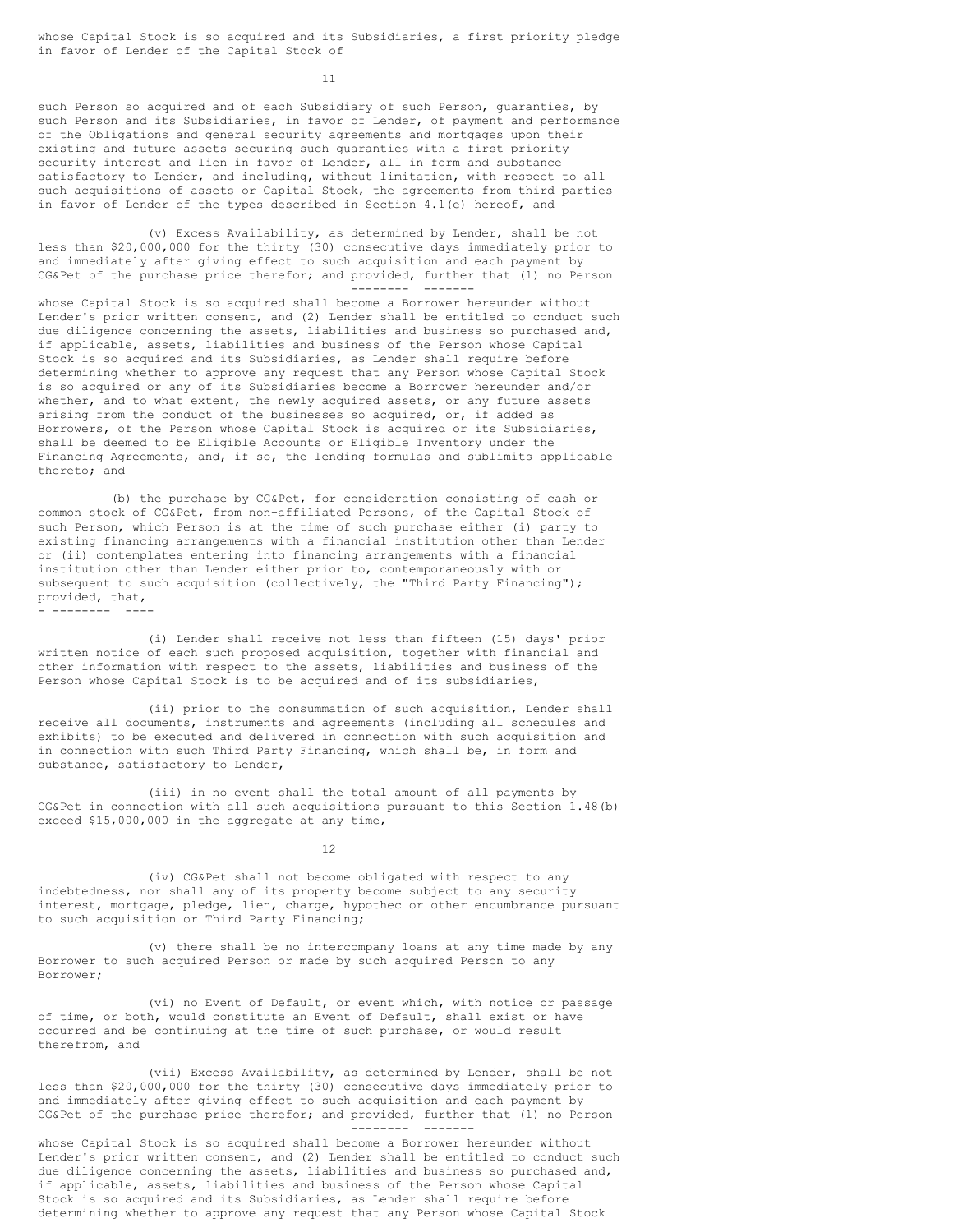whose Capital Stock is so acquired and its Subsidiaries, a first priority pledge in favor of Lender of the Capital Stock of

11

such Person so acquired and of each Subsidiary of such Person, guaranties, by such Person and its Subsidiaries, in favor of Lender, of payment and performance of the Obligations and general security agreements and mortgages upon their existing and future assets securing such guaranties with a first priority security interest and lien in favor of Lender, all in form and substance satisfactory to Lender, and including, without limitation, with respect to all such acquisitions of assets or Capital Stock, the agreements from third parties in favor of Lender of the types described in Section 4.1(e) hereof, and

(v) Excess Availability, as determined by Lender, shall be not less than \$20,000,000 for the thirty (30) consecutive days immediately prior to and immediately after giving effect to such acquisition and each payment by CG&Pet of the purchase price therefor; and provided, further that (1) no Person -------- -------

whose Capital Stock is so acquired shall become a Borrower hereunder without Lender's prior written consent, and (2) Lender shall be entitled to conduct such due diligence concerning the assets, liabilities and business so purchased and, if applicable, assets, liabilities and business of the Person whose Capital Stock is so acquired and its Subsidiaries, as Lender shall require before determining whether to approve any request that any Person whose Capital Stock is so acquired or any of its Subsidiaries become a Borrower hereunder and/or whether, and to what extent, the newly acquired assets, or any future assets arising from the conduct of the businesses so acquired, or, if added as Borrowers, of the Person whose Capital Stock is acquired or its Subsidiaries, shall be deemed to be Eligible Accounts or Eligible Inventory under the Financing Agreements, and, if so, the lending formulas and sublimits applicable thereto; and

(b) the purchase by CG&Pet, for consideration consisting of cash or common stock of CG&Pet, from non-affiliated Persons, of the Capital Stock of such Person, which Person is at the time of such purchase either (i) party to existing financing arrangements with a financial institution other than Lender or (ii) contemplates entering into financing arrangements with a financial institution other than Lender either prior to, contemporaneously with or subsequent to such acquisition (collectively, the "Third Party Financing"); provided, that, - -------- ----

(i) Lender shall receive not less than fifteen (15) days' prior written notice of each such proposed acquisition, together with financial and other information with respect to the assets, liabilities and business of the Person whose Capital Stock is to be acquired and of its subsidiaries,

(ii) prior to the consummation of such acquisition, Lender shall receive all documents, instruments and agreements (including all schedules and exhibits) to be executed and delivered in connection with such acquisition and in connection with such Third Party Financing, which shall be, in form and substance, satisfactory to Lender,

(iii) in no event shall the total amount of all payments by CG&Pet in connection with all such acquisitions pursuant to this Section 1.48(b) exceed \$15,000,000 in the aggregate at any time,

12

(iv) CG&Pet shall not become obligated with respect to any indebtedness, nor shall any of its property become subject to any security interest, mortgage, pledge, lien, charge, hypothec or other encumbrance pursuant to such acquisition or Third Party Financing;

(v) there shall be no intercompany loans at any time made by any Borrower to such acquired Person or made by such acquired Person to any Borrower;

(vi) no Event of Default, or event which, with notice or passage of time, or both, would constitute an Event of Default, shall exist or have occurred and be continuing at the time of such purchase, or would result therefrom, and

(vii) Excess Availability, as determined by Lender, shall be not less than \$20,000,000 for the thirty (30) consecutive days immediately prior to and immediately after giving effect to such acquisition and each payment by CG&Pet of the purchase price therefor; and provided, further that (1) no Person -------- -------

whose Capital Stock is so acquired shall become a Borrower hereunder without Lender's prior written consent, and (2) Lender shall be entitled to conduct such due diligence concerning the assets, liabilities and business so purchased and, if applicable, assets, liabilities and business of the Person whose Capital Stock is so acquired and its Subsidiaries, as Lender shall require before determining whether to approve any request that any Person whose Capital Stock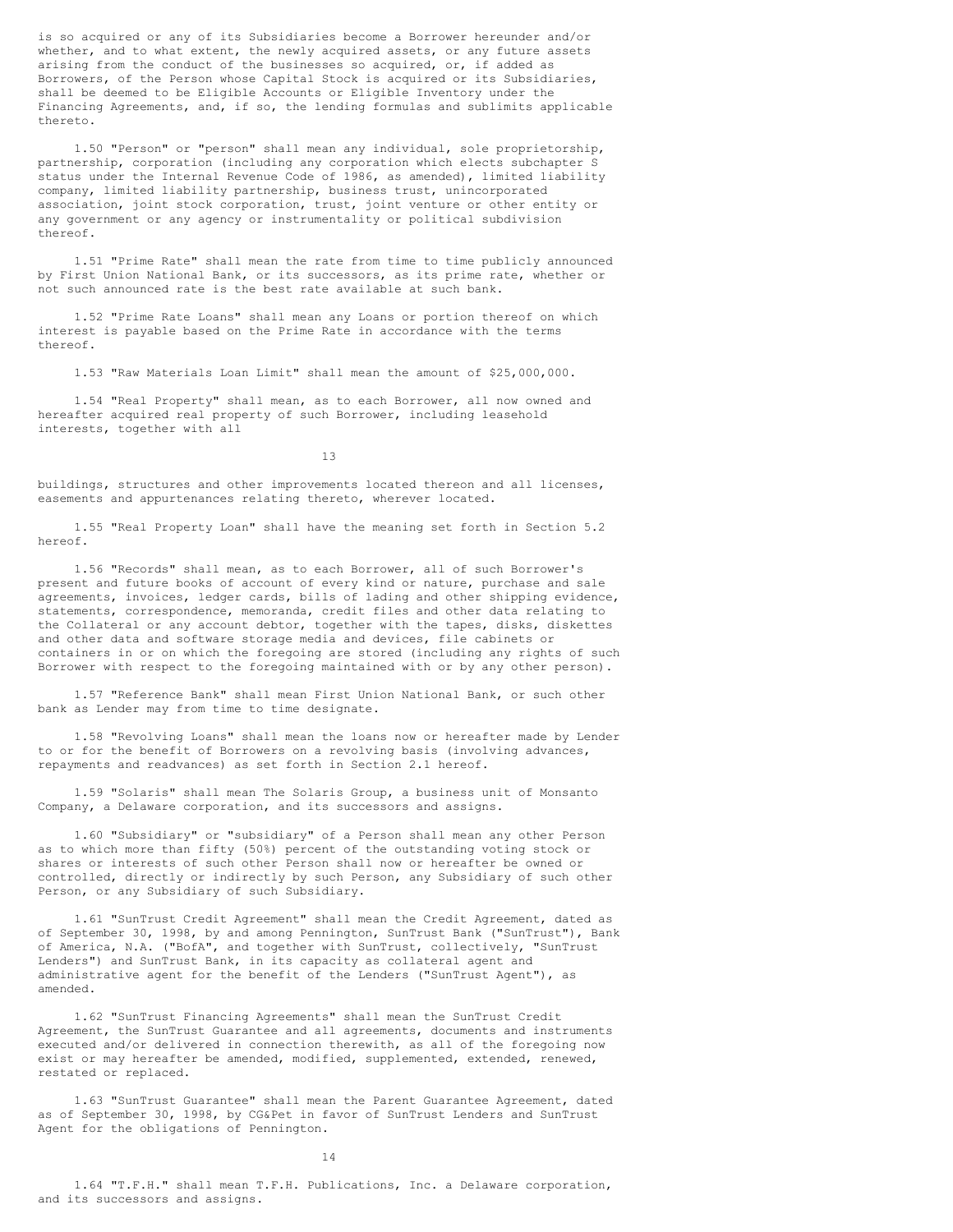is so acquired or any of its Subsidiaries become a Borrower hereunder and/or whether, and to what extent, the newly acquired assets, or any future assets arising from the conduct of the businesses so acquired, or, if added as Borrowers, of the Person whose Capital Stock is acquired or its Subsidiaries, shall be deemed to be Eligible Accounts or Eligible Inventory under the Financing Agreements, and, if so, the lending formulas and sublimits applicable thereto.

1.50 "Person" or "person" shall mean any individual, sole proprietorship, partnership, corporation (including any corporation which elects subchapter S status under the Internal Revenue Code of 1986, as amended), limited liability company, limited liability partnership, business trust, unincorporated association, joint stock corporation, trust, joint venture or other entity or any government or any agency or instrumentality or political subdivision thereof.

1.51 "Prime Rate" shall mean the rate from time to time publicly announced by First Union National Bank, or its successors, as its prime rate, whether or not such announced rate is the best rate available at such bank.

1.52 "Prime Rate Loans" shall mean any Loans or portion thereof on which interest is payable based on the Prime Rate in accordance with the terms thereof.

1.53 "Raw Materials Loan Limit" shall mean the amount of \$25,000,000.

1.54 "Real Property" shall mean, as to each Borrower, all now owned and hereafter acquired real property of such Borrower, including leasehold interests, together with all

13

buildings, structures and other improvements located thereon and all licenses, easements and appurtenances relating thereto, wherever located.

1.55 "Real Property Loan" shall have the meaning set forth in Section 5.2 hereof.

1.56 "Records" shall mean, as to each Borrower, all of such Borrower's present and future books of account of every kind or nature, purchase and sale agreements, invoices, ledger cards, bills of lading and other shipping evidence, statements, correspondence, memoranda, credit files and other data relating to the Collateral or any account debtor, together with the tapes, disks, diskettes and other data and software storage media and devices, file cabinets or containers in or on which the foregoing are stored (including any rights of such Borrower with respect to the foregoing maintained with or by any other person).

1.57 "Reference Bank" shall mean First Union National Bank, or such other bank as Lender may from time to time designate.

1.58 "Revolving Loans" shall mean the loans now or hereafter made by Lender to or for the benefit of Borrowers on a revolving basis (involving advances, repayments and readvances) as set forth in Section 2.1 hereof.

1.59 "Solaris" shall mean The Solaris Group, a business unit of Monsanto Company, a Delaware corporation, and its successors and assigns.

1.60 "Subsidiary" or "subsidiary" of a Person shall mean any other Person as to which more than fifty (50%) percent of the outstanding voting stock or shares or interests of such other Person shall now or hereafter be owned or controlled, directly or indirectly by such Person, any Subsidiary of such other Person, or any Subsidiary of such Subsidiary.

1.61 "SunTrust Credit Agreement" shall mean the Credit Agreement, dated as of September 30, 1998, by and among Pennington, SunTrust Bank ("SunTrust"), Bank of America, N.A. ("BofA", and together with SunTrust, collectively, "SunTrust Lenders") and SunTrust Bank, in its capacity as collateral agent and administrative agent for the benefit of the Lenders ("SunTrust Agent"), as amended.

1.62 "SunTrust Financing Agreements" shall mean the SunTrust Credit Agreement, the SunTrust Guarantee and all agreements, documents and instruments executed and/or delivered in connection therewith, as all of the foregoing now exist or may hereafter be amended, modified, supplemented, extended, renewed, restated or replaced.

1.63 "SunTrust Guarantee" shall mean the Parent Guarantee Agreement, dated as of September 30, 1998, by CG&Pet in favor of SunTrust Lenders and SunTrust Agent for the obligations of Pennington.

14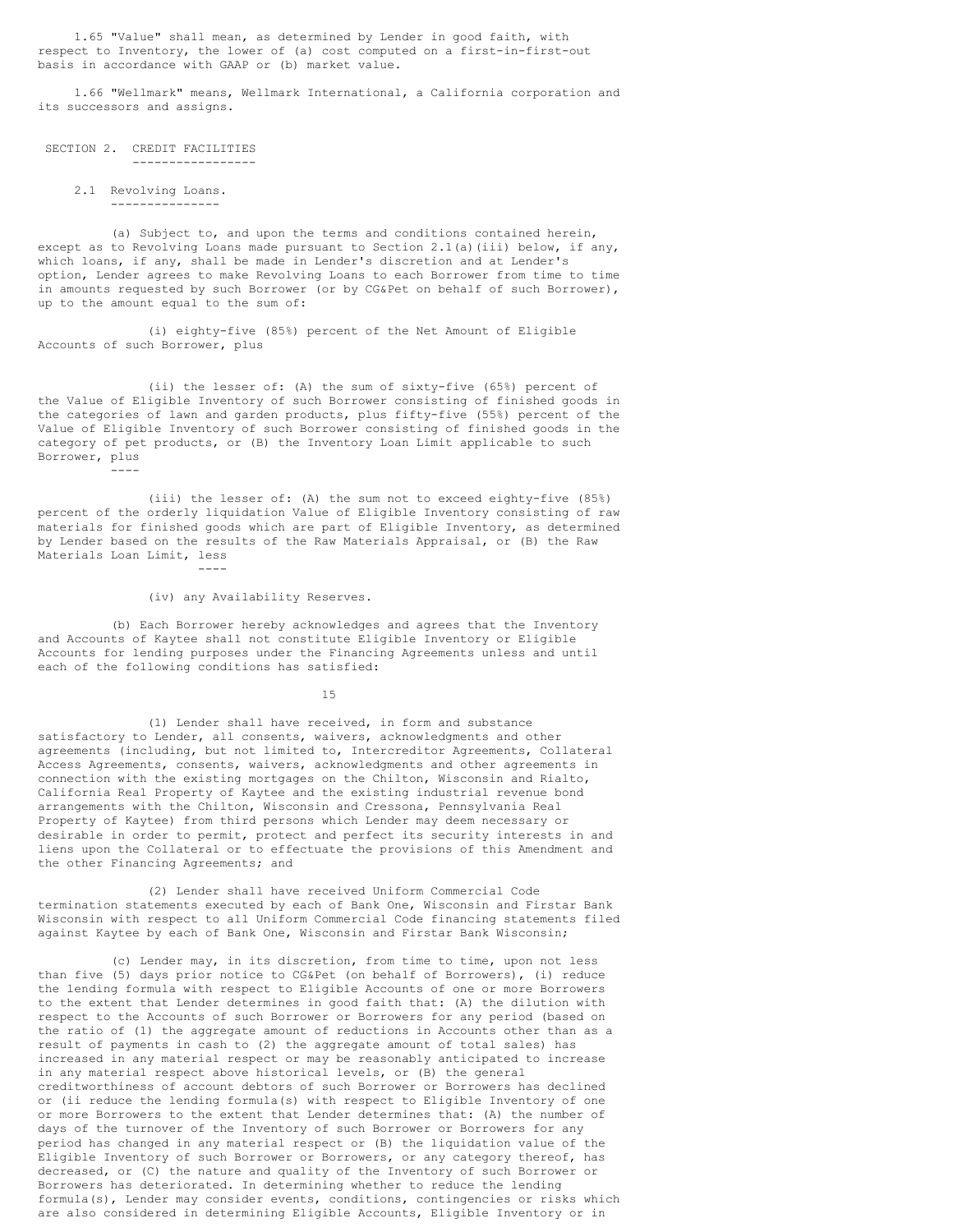1.65 "Value" shall mean, as determined by Lender in good faith, with respect to Inventory, the lower of (a) cost computed on a first-in-first-out basis in accordance with GAAP or (b) market value.

1.66 "Wellmark" means, Wellmark International, a California corporation and its successors and assigns.

SECTION 2. CREDIT FACILITIES -----------------

> 2.1 Revolving Loans. ---------------

(a) Subject to, and upon the terms and conditions contained herein, except as to Revolving Loans made pursuant to Section  $2.1(a)$  (iii) below, if any, which loans, if any, shall be made in Lender's discretion and at Lender's option, Lender agrees to make Revolving Loans to each Borrower from time to time in amounts requested by such Borrower (or by CG&Pet on behalf of such Borrower), up to the amount equal to the sum of:

(i) eighty-five (85%) percent of the Net Amount of Eligible Accounts of such Borrower, plus

(ii) the lesser of: (A) the sum of sixty-five (65%) percent of the Value of Eligible Inventory of such Borrower consisting of finished goods in the categories of lawn and garden products, plus fifty-five (55%) percent of the Value of Eligible Inventory of such Borrower consisting of finished goods in the category of pet products, or (B) the Inventory Loan Limit applicable to such Borrower, plus ----

(iii) the lesser of: (A) the sum not to exceed eighty-five (85%) percent of the orderly liquidation Value of Eligible Inventory consisting of raw materials for finished goods which are part of Eligible Inventory, as determined by Lender based on the results of the Raw Materials Appraisal, or (B) the Raw Materials Loan Limit, less ----

(iv) any Availability Reserves.

(b) Each Borrower hereby acknowledges and agrees that the Inventory and Accounts of Kaytee shall not constitute Eligible Inventory or Eligible Accounts for lending purposes under the Financing Agreements unless and until each of the following conditions has satisfied:

15

(1) Lender shall have received, in form and substance satisfactory to Lender, all consents, waivers, acknowledgments and other agreements (including, but not limited to, Intercreditor Agreements, Collateral Access Agreements, consents, waivers, acknowledgments and other agreements in connection with the existing mortgages on the Chilton, Wisconsin and Rialto, California Real Property of Kaytee and the existing industrial revenue bond arrangements with the Chilton, Wisconsin and Cressona, Pennsylvania Real Property of Kaytee) from third persons which Lender may deem necessary or desirable in order to permit, protect and perfect its security interests in and liens upon the Collateral or to effectuate the provisions of this Amendment and the other Financing Agreements; and

(2) Lender shall have received Uniform Commercial Code termination statements executed by each of Bank One, Wisconsin and Firstar Bank Wisconsin with respect to all Uniform Commercial Code financing statements filed against Kaytee by each of Bank One, Wisconsin and Firstar Bank Wisconsin;

(c) Lender may, in its discretion, from time to time, upon not less than five (5) days prior notice to CG&Pet (on behalf of Borrowers), (i) reduce the lending formula with respect to Eligible Accounts of one or more Borrowers to the extent that Lender determines in good faith that: (A) the dilution with respect to the Accounts of such Borrower or Borrowers for any period (based on the ratio of (1) the aggregate amount of reductions in Accounts other than as a result of payments in cash to (2) the aggregate amount of total sales) has increased in any material respect or may be reasonably anticipated to increase in any material respect above historical levels, or (B) the general creditworthiness of account debtors of such Borrower or Borrowers has declined or (ii reduce the lending formula(s) with respect to Eligible Inventory of one or more Borrowers to the extent that Lender determines that: (A) the number of days of the turnover of the Inventory of such Borrower or Borrowers for any period has changed in any material respect or (B) the liquidation value of the Eligible Inventory of such Borrower or Borrowers, or any category thereof, has decreased, or (C) the nature and quality of the Inventory of such Borrower or Borrowers has deteriorated. In determining whether to reduce the lending formula(s), Lender may consider events, conditions, contingencies or risks which are also considered in determining Eligible Accounts, Eligible Inventory or in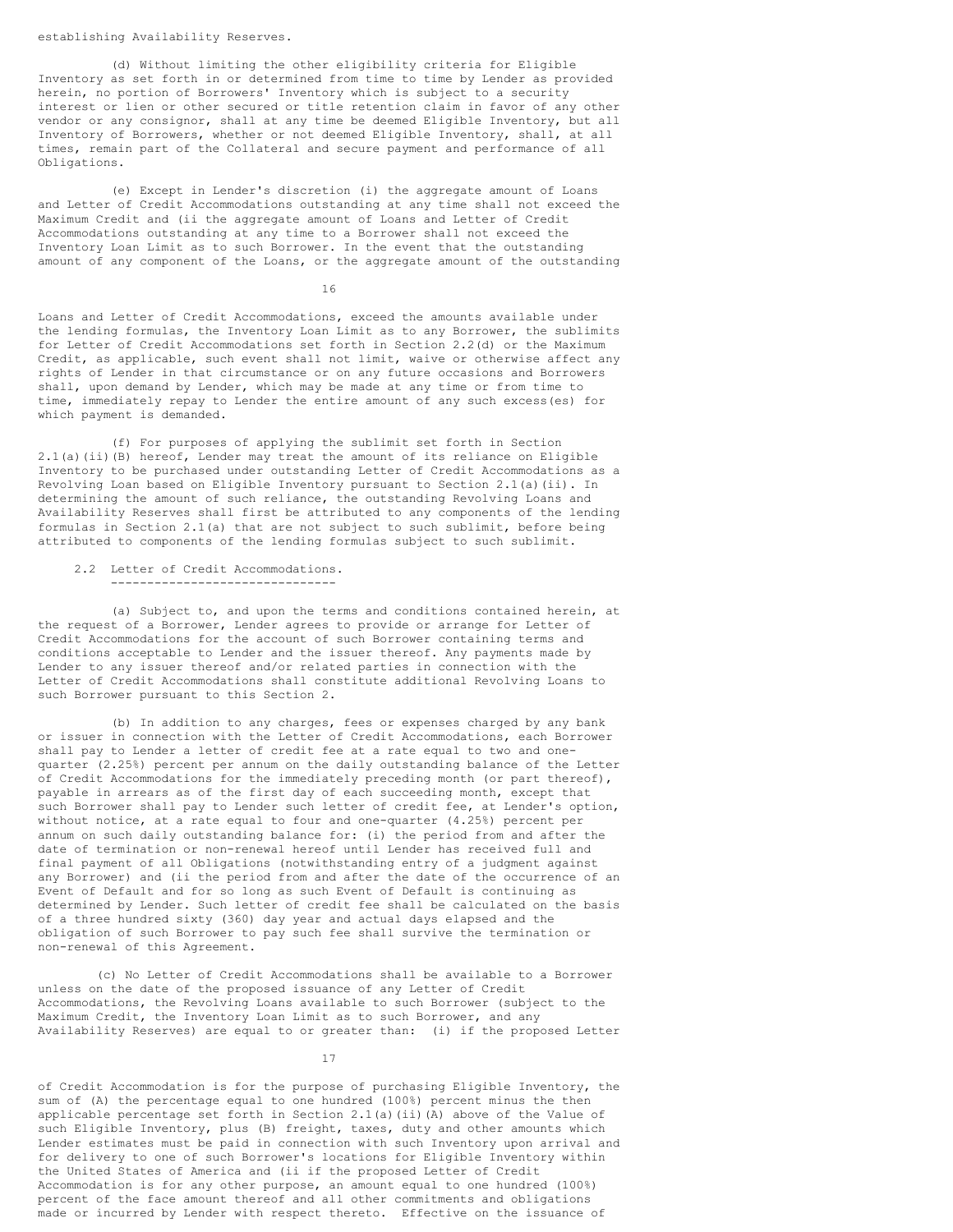establishing Availability Reserves.

(d) Without limiting the other eligibility criteria for Eligible Inventory as set forth in or determined from time to time by Lender as provided herein, no portion of Borrowers' Inventory which is subject to a security interest or lien or other secured or title retention claim in favor of any other vendor or any consignor, shall at any time be deemed Eligible Inventory, but all Inventory of Borrowers, whether or not deemed Eligible Inventory, shall, at all times, remain part of the Collateral and secure payment and performance of all Obligations.

(e) Except in Lender's discretion (i) the aggregate amount of Loans and Letter of Credit Accommodations outstanding at any time shall not exceed the Maximum Credit and (ii the aggregate amount of Loans and Letter of Credit Accommodations outstanding at any time to a Borrower shall not exceed the Inventory Loan Limit as to such Borrower. In the event that the outstanding amount of any component of the Loans, or the aggregate amount of the outstanding

16

Loans and Letter of Credit Accommodations, exceed the amounts available under the lending formulas, the Inventory Loan Limit as to any Borrower, the sublimits for Letter of Credit Accommodations set forth in Section 2.2(d) or the Maximum Credit, as applicable, such event shall not limit, waive or otherwise affect any rights of Lender in that circumstance or on any future occasions and Borrowers shall, upon demand by Lender, which may be made at any time or from time to time, immediately repay to Lender the entire amount of any such excess(es) for which payment is demanded.

(f) For purposes of applying the sublimit set forth in Section 2.1(a)(ii)(B) hereof, Lender may treat the amount of its reliance on Eligible Inventory to be purchased under outstanding Letter of Credit Accommodations as a Revolving Loan based on Eligible Inventory pursuant to Section 2.1(a)(ii). In determining the amount of such reliance, the outstanding Revolving Loans and Availability Reserves shall first be attributed to any components of the lending formulas in Section 2.1(a) that are not subject to such sublimit, before being attributed to components of the lending formulas subject to such sublimit.

2.2 Letter of Credit Accommodations. -------------------------------

(a) Subject to, and upon the terms and conditions contained herein, at the request of a Borrower, Lender agrees to provide or arrange for Letter of Credit Accommodations for the account of such Borrower containing terms and conditions acceptable to Lender and the issuer thereof. Any payments made by Lender to any issuer thereof and/or related parties in connection with the Letter of Credit Accommodations shall constitute additional Revolving Loans to such Borrower pursuant to this Section 2.

(b) In addition to any charges, fees or expenses charged by any bank or issuer in connection with the Letter of Credit Accommodations, each Borrower shall pay to Lender a letter of credit fee at a rate equal to two and onequarter (2.25%) percent per annum on the daily outstanding balance of the Letter of Credit Accommodations for the immediately preceding month (or part thereof), payable in arrears as of the first day of each succeeding month, except that such Borrower shall pay to Lender such letter of credit fee, at Lender's option, without notice, at a rate equal to four and one-quarter (4.25%) percent per annum on such daily outstanding balance for: (i) the period from and after the date of termination or non-renewal hereof until Lender has received full and final payment of all Obligations (notwithstanding entry of a judgment against any Borrower) and (ii the period from and after the date of the occurrence of an Event of Default and for so long as such Event of Default is continuing as determined by Lender. Such letter of credit fee shall be calculated on the basis of a three hundred sixty (360) day year and actual days elapsed and the obligation of such Borrower to pay such fee shall survive the termination or non-renewal of this Agreement.

(c) No Letter of Credit Accommodations shall be available to a Borrower unless on the date of the proposed issuance of any Letter of Credit Accommodations, the Revolving Loans available to such Borrower (subject to the Maximum Credit, the Inventory Loan Limit as to such Borrower, and any Availability Reserves) are equal to or greater than: (i) if the proposed Letter

17

of Credit Accommodation is for the purpose of purchasing Eligible Inventory, the sum of (A) the percentage equal to one hundred (100%) percent minus the then applicable percentage set forth in Section 2.1(a)(ii)(A) above of the Value of such Eligible Inventory, plus (B) freight, taxes, duty and other amounts which Lender estimates must be paid in connection with such Inventory upon arrival and for delivery to one of such Borrower's locations for Eligible Inventory within the United States of America and (ii if the proposed Letter of Credit Accommodation is for any other purpose, an amount equal to one hundred (100%) percent of the face amount thereof and all other commitments and obligations made or incurred by Lender with respect thereto. Effective on the issuance of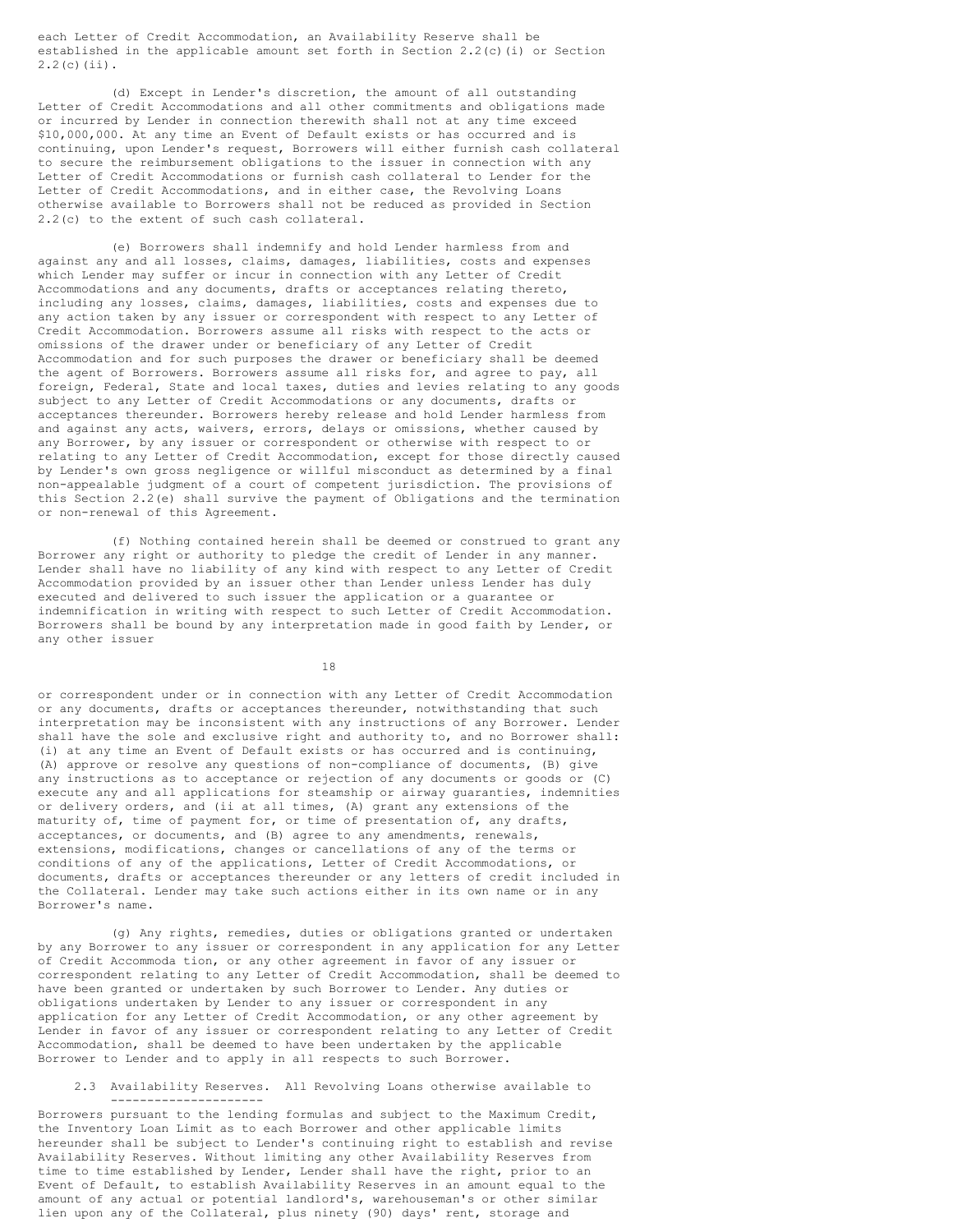each Letter of Credit Accommodation, an Availability Reserve shall be established in the applicable amount set forth in Section 2.2(c)(i) or Section 2.2(c)(ii).

(d) Except in Lender's discretion, the amount of all outstanding Letter of Credit Accommodations and all other commitments and obligations made or incurred by Lender in connection therewith shall not at any time exceed \$10,000,000. At any time an Event of Default exists or has occurred and is continuing, upon Lender's request, Borrowers will either furnish cash collateral to secure the reimbursement obligations to the issuer in connection with any Letter of Credit Accommodations or furnish cash collateral to Lender for the Letter of Credit Accommodations, and in either case, the Revolving Loans otherwise available to Borrowers shall not be reduced as provided in Section 2.2(c) to the extent of such cash collateral.

(e) Borrowers shall indemnify and hold Lender harmless from and against any and all losses, claims, damages, liabilities, costs and expenses which Lender may suffer or incur in connection with any Letter of Credit Accommodations and any documents, drafts or acceptances relating thereto, including any losses, claims, damages, liabilities, costs and expenses due to any action taken by any issuer or correspondent with respect to any Letter of Credit Accommodation. Borrowers assume all risks with respect to the acts or omissions of the drawer under or beneficiary of any Letter of Credit Accommodation and for such purposes the drawer or beneficiary shall be deemed the agent of Borrowers. Borrowers assume all risks for, and agree to pay, all foreign, Federal, State and local taxes, duties and levies relating to any goods subject to any Letter of Credit Accommodations or any documents, drafts or acceptances thereunder. Borrowers hereby release and hold Lender harmless from and against any acts, waivers, errors, delays or omissions, whether caused by any Borrower, by any issuer or correspondent or otherwise with respect to or relating to any Letter of Credit Accommodation, except for those directly caused by Lender's own gross negligence or willful misconduct as determined by a final non-appealable judgment of a court of competent jurisdiction. The provisions of this Section 2.2(e) shall survive the payment of Obligations and the termination or non-renewal of this Agreement.

(f) Nothing contained herein shall be deemed or construed to grant any Borrower any right or authority to pledge the credit of Lender in any manner. Lender shall have no liability of any kind with respect to any Letter of Credit Accommodation provided by an issuer other than Lender unless Lender has duly executed and delivered to such issuer the application or a guarantee or indemnification in writing with respect to such Letter of Credit Accommodation. Borrowers shall be bound by any interpretation made in good faith by Lender, or any other issuer

18

or correspondent under or in connection with any Letter of Credit Accommodation or any documents, drafts or acceptances thereunder, notwithstanding that such interpretation may be inconsistent with any instructions of any Borrower. Lender shall have the sole and exclusive right and authority to, and no Borrower shall: (i) at any time an Event of Default exists or has occurred and is continuing, (A) approve or resolve any questions of non-compliance of documents, (B) give any instructions as to acceptance or rejection of any documents or goods or (C) execute any and all applications for steamship or airway guaranties, indemnities or delivery orders, and (ii at all times, (A) grant any extensions of the maturity of, time of payment for, or time of presentation of, any drafts, acceptances, or documents, and (B) agree to any amendments, renewals, extensions, modifications, changes or cancellations of any of the terms or conditions of any of the applications, Letter of Credit Accommodations, or documents, drafts or acceptances thereunder or any letters of credit included in the Collateral. Lender may take such actions either in its own name or in any Borrower's name.

(g) Any rights, remedies, duties or obligations granted or undertaken by any Borrower to any issuer or correspondent in any application for any Letter of Credit Accommoda tion, or any other agreement in favor of any issuer or correspondent relating to any Letter of Credit Accommodation, shall be deemed to have been granted or undertaken by such Borrower to Lender. Any duties or obligations undertaken by Lender to any issuer or correspondent in any application for any Letter of Credit Accommodation, or any other agreement by Lender in favor of any issuer or correspondent relating to any Letter of Credit Accommodation, shall be deemed to have been undertaken by the applicable Borrower to Lender and to apply in all respects to such Borrower.

2.3 Availability Reserves. All Revolving Loans otherwise available to ---------------------

Borrowers pursuant to the lending formulas and subject to the Maximum Credit, the Inventory Loan Limit as to each Borrower and other applicable limits hereunder shall be subject to Lender's continuing right to establish and revise Availability Reserves. Without limiting any other Availability Reserves from time to time established by Lender, Lender shall have the right, prior to an Event of Default, to establish Availability Reserves in an amount equal to the amount of any actual or potential landlord's, warehouseman's or other similar lien upon any of the Collateral, plus ninety (90) days' rent, storage and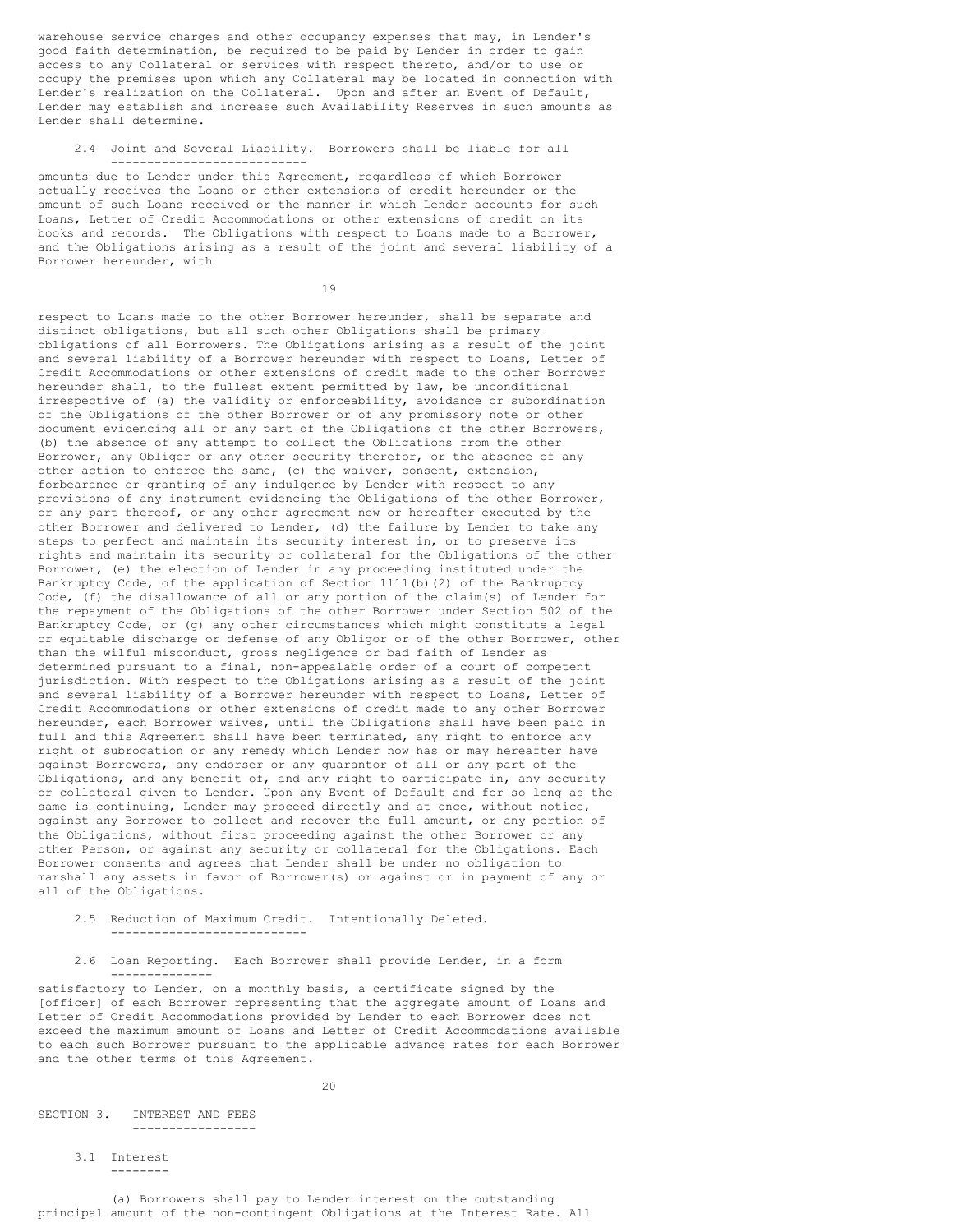warehouse service charges and other occupancy expenses that may, in Lender's good faith determination, be required to be paid by Lender in order to gain access to any Collateral or services with respect thereto, and/or to use or occupy the premises upon which any Collateral may be located in connection with Lender's realization on the Collateral. Upon and after an Event of Default, Lender may establish and increase such Availability Reserves in such amounts as Lender shall determine.

### 2.4 Joint and Several Liability. Borrowers shall be liable for all ---------------------------

amounts due to Lender under this Agreement, regardless of which Borrower actually receives the Loans or other extensions of credit hereunder or the amount of such Loans received or the manner in which Lender accounts for such Loans, Letter of Credit Accommodations or other extensions of credit on its books and records. The Obligations with respect to Loans made to a Borrower, and the Obligations arising as a result of the joint and several liability of a Borrower hereunder, with

19

respect to Loans made to the other Borrower hereunder, shall be separate and distinct obligations, but all such other Obligations shall be primary obligations of all Borrowers. The Obligations arising as a result of the joint and several liability of a Borrower hereunder with respect to Loans, Letter of Credit Accommodations or other extensions of credit made to the other Borrower hereunder shall, to the fullest extent permitted by law, be unconditional irrespective of (a) the validity or enforceability, avoidance or subordination of the Obligations of the other Borrower or of any promissory note or other document evidencing all or any part of the Obligations of the other Borrowers, (b) the absence of any attempt to collect the Obligations from the other Borrower, any Obligor or any other security therefor, or the absence of any other action to enforce the same, (c) the waiver, consent, extension, forbearance or granting of any indulgence by Lender with respect to any provisions of any instrument evidencing the Obligations of the other Borrower, or any part thereof, or any other agreement now or hereafter executed by the other Borrower and delivered to Lender, (d) the failure by Lender to take any steps to perfect and maintain its security interest in, or to preserve its rights and maintain its security or collateral for the Obligations of the other Borrower, (e) the election of Lender in any proceeding instituted under the Bankruptcy Code, of the application of Section 1111(b)(2) of the Bankruptcy Code, (f) the disallowance of all or any portion of the claim(s) of Lender for the repayment of the Obligations of the other Borrower under Section 502 of the Bankruptcy Code, or (g) any other circumstances which might constitute a legal or equitable discharge or defense of any Obligor or of the other Borrower, other than the wilful misconduct, gross negligence or bad faith of Lender as determined pursuant to a final, non-appealable order of a court of competent jurisdiction. With respect to the Obligations arising as a result of the joint and several liability of a Borrower hereunder with respect to Loans, Letter of Credit Accommodations or other extensions of credit made to any other Borrower hereunder, each Borrower waives, until the Obligations shall have been paid in full and this Agreement shall have been terminated, any right to enforce any right of subrogation or any remedy which Lender now has or may hereafter have against Borrowers, any endorser or any guarantor of all or any part of the Obligations, and any benefit of, and any right to participate in, any security or collateral given to Lender. Upon any Event of Default and for so long as the same is continuing, Lender may proceed directly and at once, without notice, against any Borrower to collect and recover the full amount, or any portion of the Obligations, without first proceeding against the other Borrower or any other Person, or against any security or collateral for the Obligations. Each Borrower consents and agrees that Lender shall be under no obligation to marshall any assets in favor of Borrower(s) or against or in payment of any or all of the Obligations.

- 2.5 Reduction of Maximum Credit. Intentionally Deleted. ---------------------------
- 2.6 Loan Reporting. Each Borrower shall provide Lender, in a form --------------

satisfactory to Lender, on a monthly basis, a certificate signed by the [officer] of each Borrower representing that the aggregate amount of Loans and Letter of Credit Accommodations provided by Lender to each Borrower does not exceed the maximum amount of Loans and Letter of Credit Accommodations available to each such Borrower pursuant to the applicable advance rates for each Borrower and the other terms of this Agreement.

 $20$ 

SECTION 3. INTEREST AND FEES -----------------

> 3.1 Interest --------

(a) Borrowers shall pay to Lender interest on the outstanding principal amount of the non-contingent Obligations at the Interest Rate. All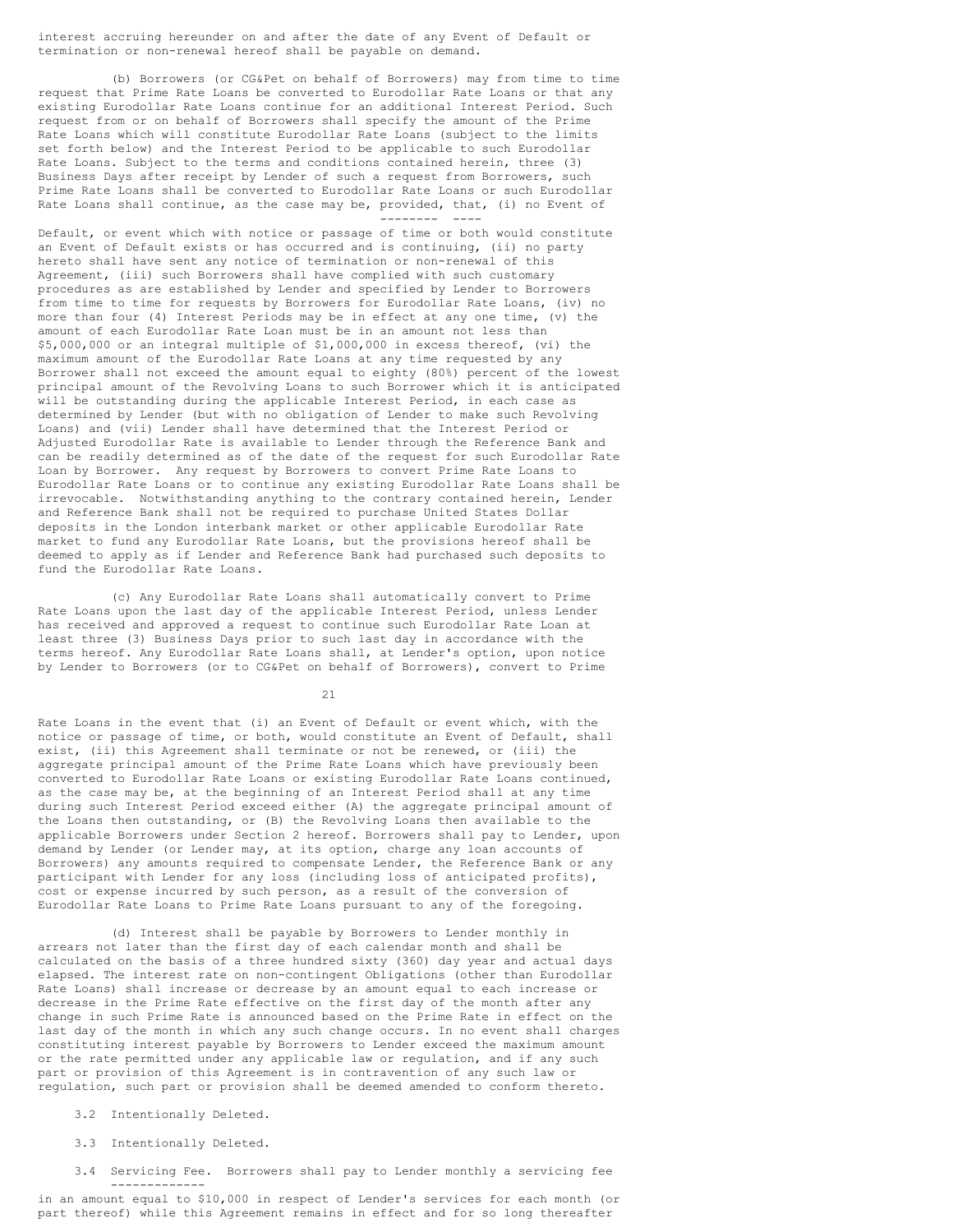interest accruing hereunder on and after the date of any Event of Default or termination or non-renewal hereof shall be payable on demand.

(b) Borrowers (or CG&Pet on behalf of Borrowers) may from time to time request that Prime Rate Loans be converted to Eurodollar Rate Loans or that any existing Eurodollar Rate Loans continue for an additional Interest Period. Such request from or on behalf of Borrowers shall specify the amount of the Prime Rate Loans which will constitute Eurodollar Rate Loans (subject to the limits set forth below) and the Interest Period to be applicable to such Eurodollar Rate Loans. Subject to the terms and conditions contained herein, three (3) Business Days after receipt by Lender of such a request from Borrowers, such Prime Rate Loans shall be converted to Eurodollar Rate Loans or such Eurodollar Rate Loans shall continue, as the case may be, provided, that, (i) no Event of -------- ----

Default, or event which with notice or passage of time or both would constitute an Event of Default exists or has occurred and is continuing, (ii) no party hereto shall have sent any notice of termination or non-renewal of this Agreement, (iii) such Borrowers shall have complied with such customary procedures as are established by Lender and specified by Lender to Borrowers from time to time for requests by Borrowers for Eurodollar Rate Loans, (iv) no more than four (4) Interest Periods may be in effect at any one time, (v) the amount of each Eurodollar Rate Loan must be in an amount not less than \$5,000,000 or an integral multiple of \$1,000,000 in excess thereof, (vi) the maximum amount of the Eurodollar Rate Loans at any time requested by any Borrower shall not exceed the amount equal to eighty (80%) percent of the lowest principal amount of the Revolving Loans to such Borrower which it is anticipated will be outstanding during the applicable Interest Period, in each case as determined by Lender (but with no obligation of Lender to make such Revolving Loans) and (vii) Lender shall have determined that the Interest Period or Adjusted Eurodollar Rate is available to Lender through the Reference Bank and can be readily determined as of the date of the request for such Eurodollar Rate Loan by Borrower. Any request by Borrowers to convert Prime Rate Loans to Eurodollar Rate Loans or to continue any existing Eurodollar Rate Loans shall be irrevocable. Notwithstanding anything to the contrary contained herein, Lender and Reference Bank shall not be required to purchase United States Dollar deposits in the London interbank market or other applicable Eurodollar Rate market to fund any Eurodollar Rate Loans, but the provisions hereof shall be deemed to apply as if Lender and Reference Bank had purchased such deposits to fund the Eurodollar Rate Loans.

(c) Any Eurodollar Rate Loans shall automatically convert to Prime Rate Loans upon the last day of the applicable Interest Period, unless Lender has received and approved a request to continue such Eurodollar Rate Loan at least three (3) Business Days prior to such last day in accordance with the terms hereof. Any Eurodollar Rate Loans shall, at Lender's option, upon notice by Lender to Borrowers (or to CG&Pet on behalf of Borrowers), convert to Prime

21

Rate Loans in the event that (i) an Event of Default or event which, with the notice or passage of time, or both, would constitute an Event of Default, shall exist, (ii) this Agreement shall terminate or not be renewed, or (iii) the aggregate principal amount of the Prime Rate Loans which have previously been converted to Eurodollar Rate Loans or existing Eurodollar Rate Loans continued, as the case may be, at the beginning of an Interest Period shall at any time during such Interest Period exceed either (A) the aggregate principal amount of the Loans then outstanding, or (B) the Revolving Loans then available to the applicable Borrowers under Section 2 hereof. Borrowers shall pay to Lender, upon demand by Lender (or Lender may, at its option, charge any loan accounts of Borrowers) any amounts required to compensate Lender, the Reference Bank or any participant with Lender for any loss (including loss of anticipated profits), cost or expense incurred by such person, as a result of the conversion of Eurodollar Rate Loans to Prime Rate Loans pursuant to any of the foregoing.

(d) Interest shall be payable by Borrowers to Lender monthly in arrears not later than the first day of each calendar month and shall be calculated on the basis of a three hundred sixty (360) day year and actual days elapsed. The interest rate on non-contingent Obligations (other than Eurodollar Rate Loans) shall increase or decrease by an amount equal to each increase or decrease in the Prime Rate effective on the first day of the month after any change in such Prime Rate is announced based on the Prime Rate in effect on the last day of the month in which any such change occurs. In no event shall charges constituting interest payable by Borrowers to Lender exceed the maximum amount or the rate permitted under any applicable law or regulation, and if any such part or provision of this Agreement is in contravention of any such law or regulation, such part or provision shall be deemed amended to conform thereto.

3.2 Intentionally Deleted.

3.3 Intentionally Deleted.

3.4 Servicing Fee. Borrowers shall pay to Lender monthly a servicing fee -------------

in an amount equal to \$10,000 in respect of Lender's services for each month (or part thereof) while this Agreement remains in effect and for so long thereafter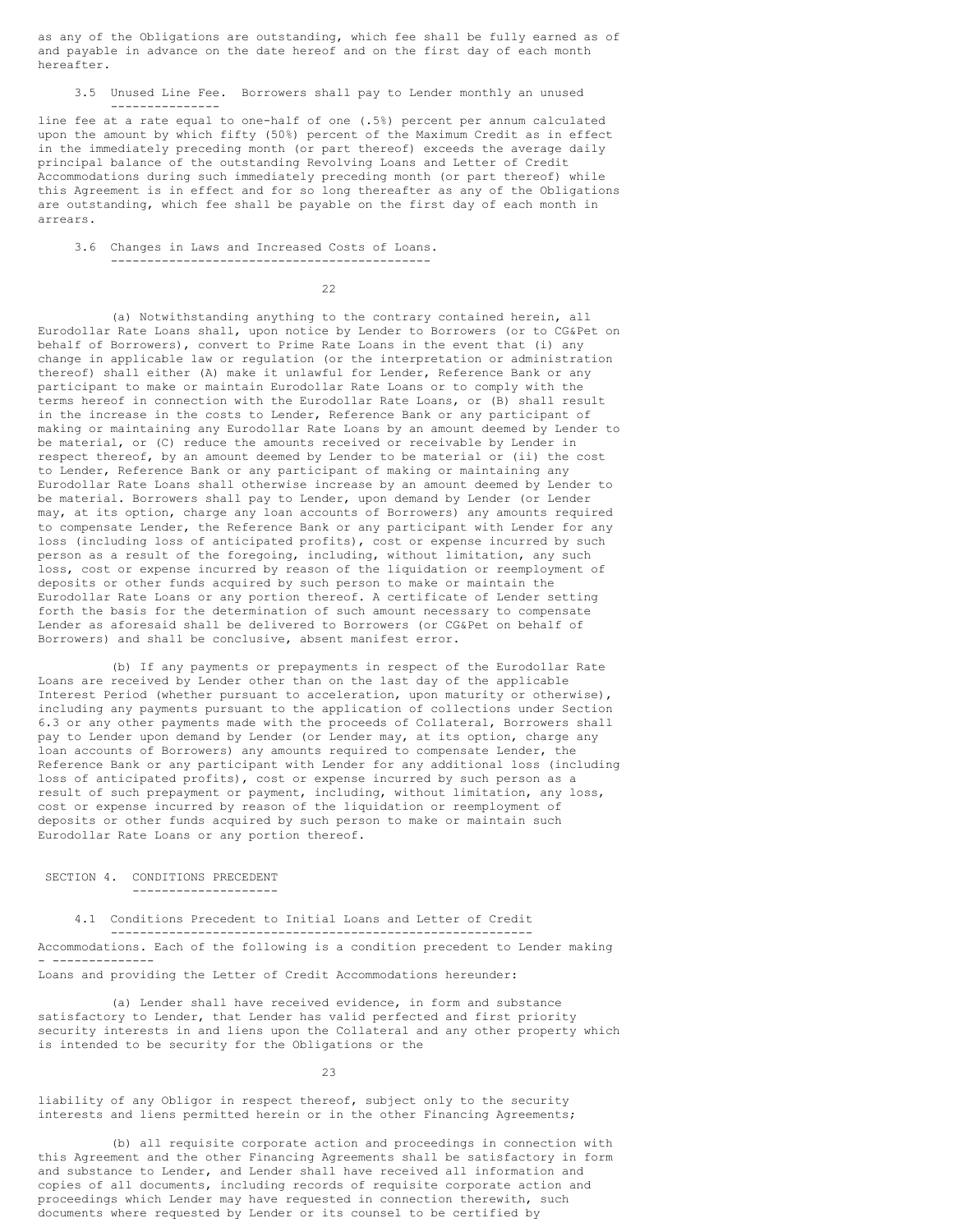as any of the Obligations are outstanding, which fee shall be fully earned as of and payable in advance on the date hereof and on the first day of each month hereafter.

3.5 Unused Line Fee. Borrowers shall pay to Lender monthly an unused ---------------

line fee at a rate equal to one-half of one (.5%) percent per annum calculated upon the amount by which fifty (50%) percent of the Maximum Credit as in effect in the immediately preceding month (or part thereof) exceeds the average daily principal balance of the outstanding Revolving Loans and Letter of Credit Accommodations during such immediately preceding month (or part thereof) while this Agreement is in effect and for so long thereafter as any of the Obligations are outstanding, which fee shall be payable on the first day of each month in arrears.

3.6 Changes in Laws and Increased Costs of Loans. --------------------------------------------

22

(a) Notwithstanding anything to the contrary contained herein, all Eurodollar Rate Loans shall, upon notice by Lender to Borrowers (or to CG&Pet on behalf of Borrowers), convert to Prime Rate Loans in the event that (i) any change in applicable law or regulation (or the interpretation or administration thereof) shall either (A) make it unlawful for Lender, Reference Bank or any participant to make or maintain Eurodollar Rate Loans or to comply with the terms hereof in connection with the Eurodollar Rate Loans, or (B) shall result in the increase in the costs to Lender, Reference Bank or any participant of making or maintaining any Eurodollar Rate Loans by an amount deemed by Lender to be material, or (C) reduce the amounts received or receivable by Lender in respect thereof, by an amount deemed by Lender to be material or (ii) the cost to Lender, Reference Bank or any participant of making or maintaining any Eurodollar Rate Loans shall otherwise increase by an amount deemed by Lender to be material. Borrowers shall pay to Lender, upon demand by Lender (or Lender may, at its option, charge any loan accounts of Borrowers) any amounts required to compensate Lender, the Reference Bank or any participant with Lender for any loss (including loss of anticipated profits), cost or expense incurred by such person as a result of the foregoing, including, without limitation, any such loss, cost or expense incurred by reason of the liquidation or reemployment of deposits or other funds acquired by such person to make or maintain the Eurodollar Rate Loans or any portion thereof. A certificate of Lender setting forth the basis for the determination of such amount necessary to compensate Lender as aforesaid shall be delivered to Borrowers (or CG&Pet on behalf of Borrowers) and shall be conclusive, absent manifest error.

(b) If any payments or prepayments in respect of the Eurodollar Rate Loans are received by Lender other than on the last day of the applicable Interest Period (whether pursuant to acceleration, upon maturity or otherwise), including any payments pursuant to the application of collections under Section 6.3 or any other payments made with the proceeds of Collateral, Borrowers shall pay to Lender upon demand by Lender (or Lender may, at its option, charge any loan accounts of Borrowers) any amounts required to compensate Lender, the Reference Bank or any participant with Lender for any additional loss (including loss of anticipated profits), cost or expense incurred by such person as a result of such prepayment or payment, including, without limitation, any loss, cost or expense incurred by reason of the liquidation or reemployment of deposits or other funds acquired by such person to make or maintain such Eurodollar Rate Loans or any portion thereof.

SECTION 4. CONDITIONS PRECEDENT --------------------

4.1 Conditions Precedent to Initial Loans and Letter of Credit ---------------------------------------------------------- Accommodations. Each of the following is a condition precedent to Lender making - -------------- Loans and providing the Letter of Credit Accommodations hereunder:

(a) Lender shall have received evidence, in form and substance satisfactory to Lender, that Lender has valid perfected and first priority security interests in and liens upon the Collateral and any other property which is intended to be security for the Obligations or the

23

liability of any Obligor in respect thereof, subject only to the security interests and liens permitted herein or in the other Financing Agreements;

(b) all requisite corporate action and proceedings in connection with this Agreement and the other Financing Agreements shall be satisfactory in form and substance to Lender, and Lender shall have received all information and copies of all documents, including records of requisite corporate action and proceedings which Lender may have requested in connection therewith, such documents where requested by Lender or its counsel to be certified by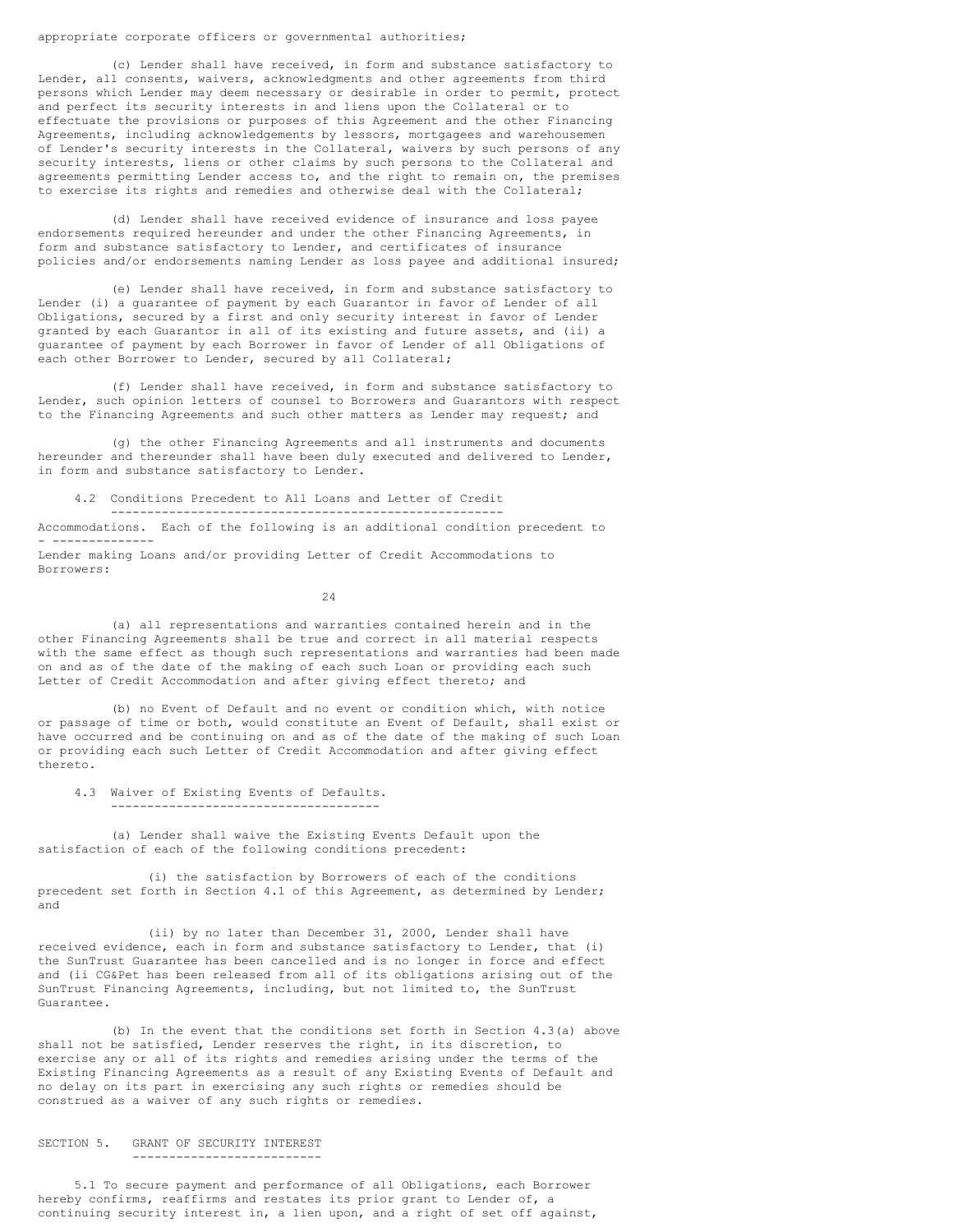## appropriate corporate officers or governmental authorities;

(c) Lender shall have received, in form and substance satisfactory to Lender, all consents, waivers, acknowledgments and other agreements from third persons which Lender may deem necessary or desirable in order to permit, protect and perfect its security interests in and liens upon the Collateral or to effectuate the provisions or purposes of this Agreement and the other Financing Agreements, including acknowledgements by lessors, mortgagees and warehousemen of Lender's security interests in the Collateral, waivers by such persons of any security interests, liens or other claims by such persons to the Collateral and agreements permitting Lender access to, and the right to remain on, the premises to exercise its rights and remedies and otherwise deal with the Collateral;

(d) Lender shall have received evidence of insurance and loss payee endorsements required hereunder and under the other Financing Agreements, in form and substance satisfactory to Lender, and certificates of insurance policies and/or endorsements naming Lender as loss payee and additional insured;

(e) Lender shall have received, in form and substance satisfactory to Lender (i) a guarantee of payment by each Guarantor in favor of Lender of all Obligations, secured by a first and only security interest in favor of Lender granted by each Guarantor in all of its existing and future assets, and (ii) a guarantee of payment by each Borrower in favor of Lender of all Obligations of each other Borrower to Lender, secured by all Collateral;

(f) Lender shall have received, in form and substance satisfactory to Lender, such opinion letters of counsel to Borrowers and Guarantors with respect to the Financing Agreements and such other matters as Lender may request; and

(g) the other Financing Agreements and all instruments and documents hereunder and thereunder shall have been duly executed and delivered to Lender, in form and substance satisfactory to Lender.

4.2 Conditions Precedent to All Loans and Letter of Credit

------------------------------------------------------

Accommodations. Each of the following is an additional condition precedent to - --------------

Lender making Loans and/or providing Letter of Credit Accommodations to Borrowers:

24

(a) all representations and warranties contained herein and in the other Financing Agreements shall be true and correct in all material respects with the same effect as though such representations and warranties had been made on and as of the date of the making of each such Loan or providing each such Letter of Credit Accommodation and after giving effect thereto; and

(b) no Event of Default and no event or condition which, with notice or passage of time or both, would constitute an Event of Default, shall exist or have occurred and be continuing on and as of the date of the making of such Loan or providing each such Letter of Credit Accommodation and after giving effect thereto.

4.3 Waiver of Existing Events of Defaults.

-------------------------------------

(a) Lender shall waive the Existing Events Default upon the satisfaction of each of the following conditions precedent:

(i) the satisfaction by Borrowers of each of the conditions precedent set forth in Section 4.1 of this Agreement, as determined by Lender; and

(ii) by no later than December 31, 2000, Lender shall have received evidence, each in form and substance satisfactory to Lender, that (i) the SunTrust Guarantee has been cancelled and is no longer in force and effect and (ii CG&Pet has been released from all of its obligations arising out of the SunTrust Financing Agreements, including, but not limited to, the SunTrust Guarantee.

(b) In the event that the conditions set forth in Section 4.3(a) above shall not be satisfied, Lender reserves the right, in its discretion, to exercise any or all of its rights and remedies arising under the terms of the Existing Financing Agreements as a result of any Existing Events of Default and no delay on its part in exercising any such rights or remedies should be construed as a waiver of any such rights or remedies.

#### SECTION 5. GRANT OF SECURITY INTEREST --------------------------

5.1 To secure payment and performance of all Obligations, each Borrower hereby confirms, reaffirms and restates its prior grant to Lender of, a continuing security interest in, a lien upon, and a right of set off against,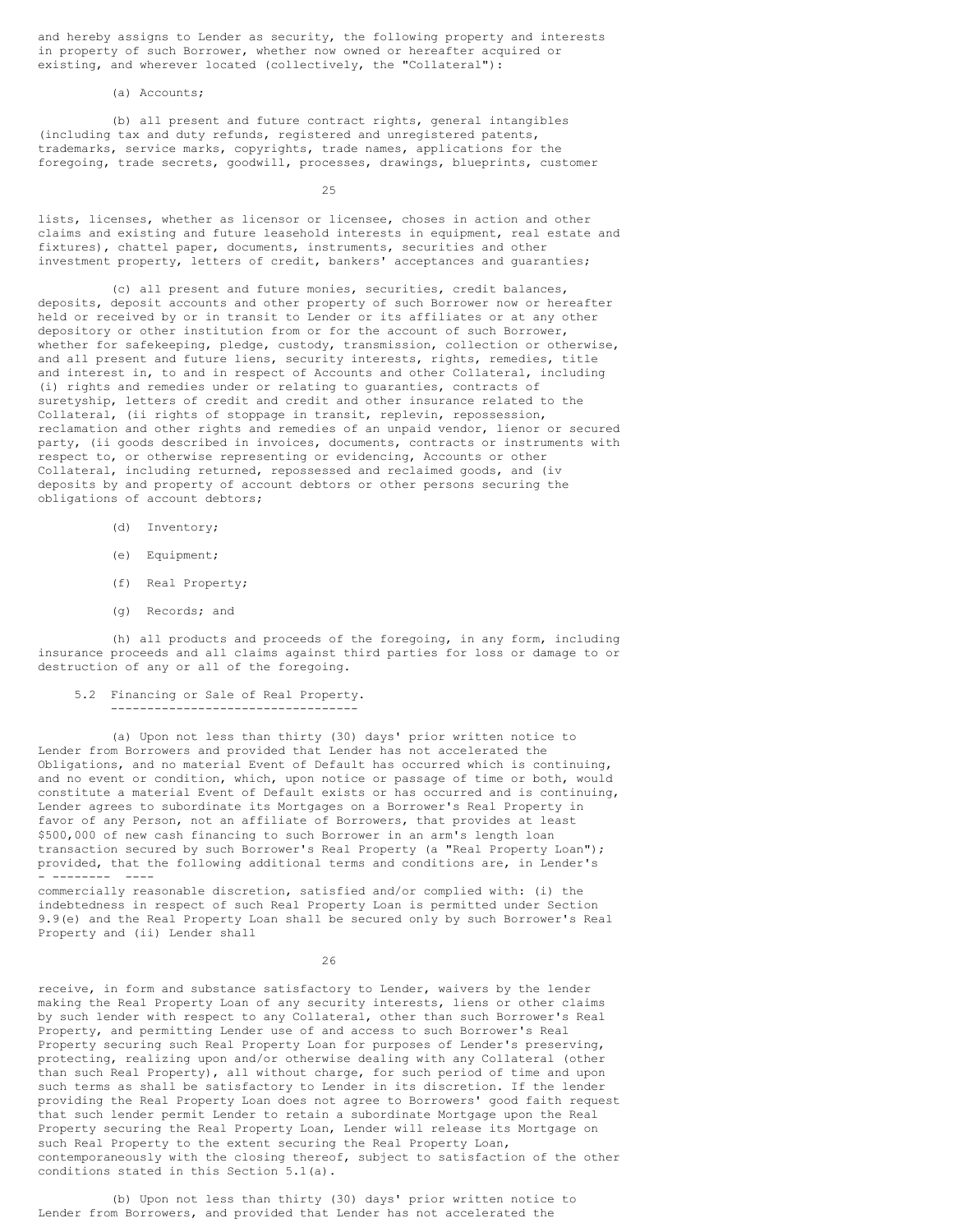and hereby assigns to Lender as security, the following property and interests in property of such Borrower, whether now owned or hereafter acquired or existing, and wherever located (collectively, the "Collateral"):

(a) Accounts;

(b) all present and future contract rights, general intangibles (including tax and duty refunds, registered and unregistered patents, trademarks, service marks, copyrights, trade names, applications for the foregoing, trade secrets, goodwill, processes, drawings, blueprints, customer

25

lists, licenses, whether as licensor or licensee, choses in action and other claims and existing and future leasehold interests in equipment, real estate and fixtures), chattel paper, documents, instruments, securities and other investment property, letters of credit, bankers' acceptances and guaranties;

(c) all present and future monies, securities, credit balances, deposits, deposit accounts and other property of such Borrower now or hereafter held or received by or in transit to Lender or its affiliates or at any other depository or other institution from or for the account of such Borrower, whether for safekeeping, pledge, custody, transmission, collection or otherwise, and all present and future liens, security interests, rights, remedies, title and interest in, to and in respect of Accounts and other Collateral, including (i) rights and remedies under or relating to guaranties, contracts of suretyship, letters of credit and credit and other insurance related to the Collateral, (ii rights of stoppage in transit, replevin, repossession, reclamation and other rights and remedies of an unpaid vendor, lienor or secured party, (ii goods described in invoices, documents, contracts or instruments with respect to, or otherwise representing or evidencing, Accounts or other Collateral, including returned, repossessed and reclaimed goods, and (iv deposits by and property of account debtors or other persons securing the obligations of account debtors;

- (d) Inventory;
- (e) Equipment;
- (f) Real Property;
- (g) Records; and

(h) all products and proceeds of the foregoing, in any form, including insurance proceeds and all claims against third parties for loss or damage to or destruction of any or all of the foregoing.

5.2 Financing or Sale of Real Property. ----------------------------------

(a) Upon not less than thirty (30) days' prior written notice to Lender from Borrowers and provided that Lender has not accelerated the Obligations, and no material Event of Default has occurred which is continuing, and no event or condition, which, upon notice or passage of time or both, would constitute a material Event of Default exists or has occurred and is continuing, Lender agrees to subordinate its Mortgages on a Borrower's Real Property in favor of any Person, not an affiliate of Borrowers, that provides at least \$500,000 of new cash financing to such Borrower in an arm's length loan transaction secured by such Borrower's Real Property (a "Real Property Loan"); provided, that the following additional terms and conditions are, in Lender's - -------- ----

commercially reasonable discretion, satisfied and/or complied with: (i) the indebtedness in respect of such Real Property Loan is permitted under Section 9.9(e) and the Real Property Loan shall be secured only by such Borrower's Real Property and (ii) Lender shall

26

receive, in form and substance satisfactory to Lender, waivers by the lender making the Real Property Loan of any security interests, liens or other claims by such lender with respect to any Collateral, other than such Borrower's Real Property, and permitting Lender use of and access to such Borrower's Real Property securing such Real Property Loan for purposes of Lender's preserving, protecting, realizing upon and/or otherwise dealing with any Collateral (other than such Real Property), all without charge, for such period of time and upon such terms as shall be satisfactory to Lender in its discretion. If the lender providing the Real Property Loan does not agree to Borrowers' good faith request that such lender permit Lender to retain a subordinate Mortgage upon the Real Property securing the Real Property Loan, Lender will release its Mortgage on such Real Property to the extent securing the Real Property Loan, contemporaneously with the closing thereof, subject to satisfaction of the other conditions stated in this Section 5.1(a).

(b) Upon not less than thirty (30) days' prior written notice to Lender from Borrowers, and provided that Lender has not accelerated the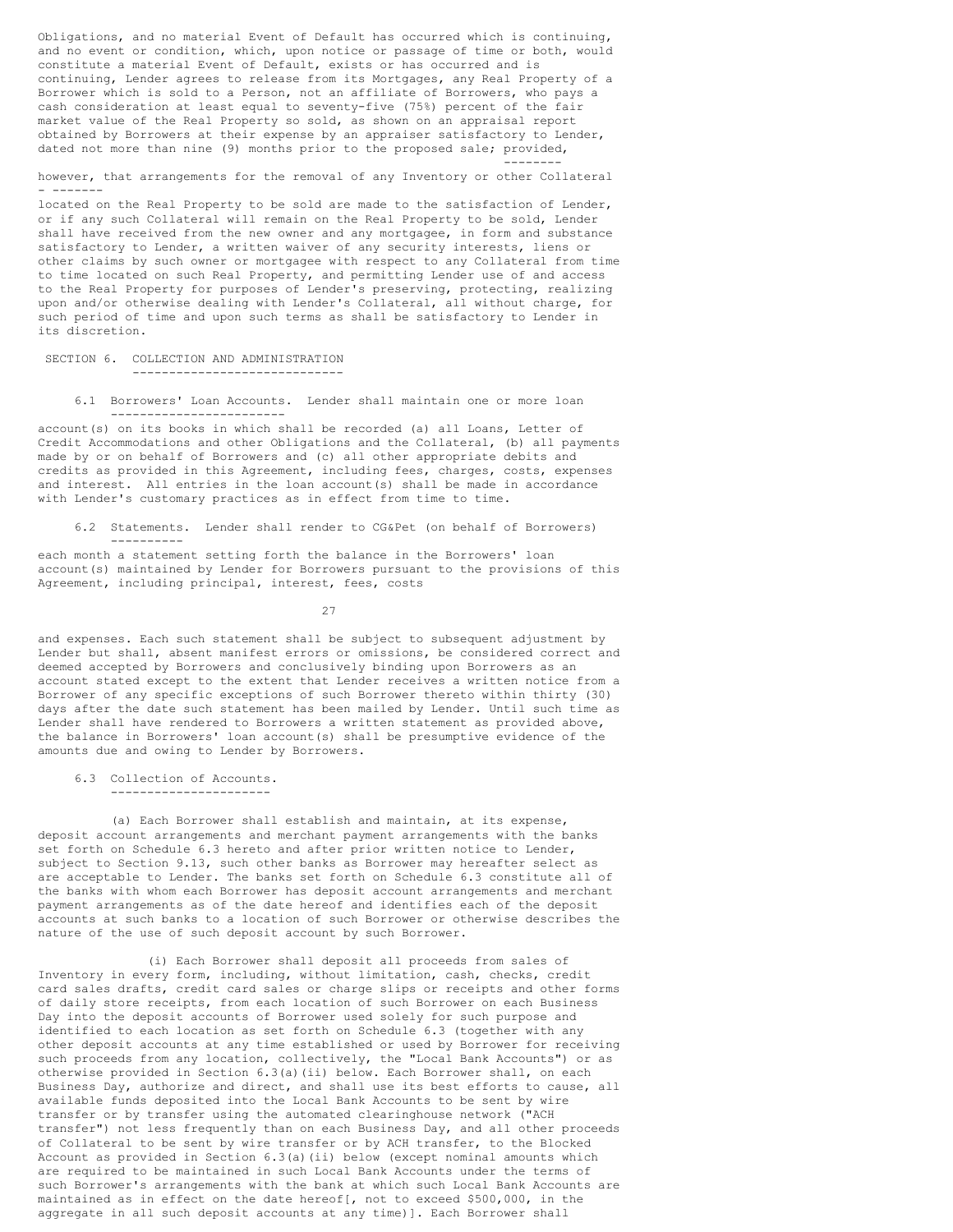Obligations, and no material Event of Default has occurred which is continuing, and no event or condition, which, upon notice or passage of time or both, would constitute a material Event of Default, exists or has occurred and is continuing, Lender agrees to release from its Mortgages, any Real Property of a Borrower which is sold to a Person, not an affiliate of Borrowers, who pays a cash consideration at least equal to seventy-five (75%) percent of the fair market value of the Real Property so sold, as shown on an appraisal report obtained by Borrowers at their expense by an appraiser satisfactory to Lender, dated not more than nine (9) months prior to the proposed sale; provided,

however, that arrangements for the removal of any Inventory or other Collateral - -------

--------

located on the Real Property to be sold are made to the satisfaction of Lender, or if any such Collateral will remain on the Real Property to be sold, Lender shall have received from the new owner and any mortgagee, in form and substance satisfactory to Lender, a written waiver of any security interests, liens or other claims by such owner or mortgagee with respect to any Collateral from time to time located on such Real Property, and permitting Lender use of and access to the Real Property for purposes of Lender's preserving, protecting, realizing upon and/or otherwise dealing with Lender's Collateral, all without charge, for such period of time and upon such terms as shall be satisfactory to Lender in its discretion.

SECTION 6. COLLECTION AND ADMINISTRATION -----------------------------

6.1 Borrowers' Loan Accounts. Lender shall maintain one or more loan ------------------------

account(s) on its books in which shall be recorded (a) all Loans, Letter of Credit Accommodations and other Obligations and the Collateral, (b) all payments made by or on behalf of Borrowers and (c) all other appropriate debits and credits as provided in this Agreement, including fees, charges, costs, expenses and interest. All entries in the loan account(s) shall be made in accordance with Lender's customary practices as in effect from time to time.

6.2 Statements. Lender shall render to CG&Pet (on behalf of Borrowers) ----------

each month a statement setting forth the balance in the Borrowers' loan account (s) maintained by Lender for Borrowers pursuant to the provisions of this Agreement, including principal, interest, fees, costs

27

and expenses. Each such statement shall be subject to subsequent adjustment by Lender but shall, absent manifest errors or omissions, be considered correct and deemed accepted by Borrowers and conclusively binding upon Borrowers as an account stated except to the extent that Lender receives a written notice from a Borrower of any specific exceptions of such Borrower thereto within thirty (30) days after the date such statement has been mailed by Lender. Until such time as Lender shall have rendered to Borrowers a written statement as provided above, the balance in Borrowers' loan account(s) shall be presumptive evidence of the amounts due and owing to Lender by Borrowers.

6.3 Collection of Accounts.

----------------------

(a) Each Borrower shall establish and maintain, at its expense, deposit account arrangements and merchant payment arrangements with the banks set forth on Schedule 6.3 hereto and after prior written notice to Lender, subject to Section 9.13, such other banks as Borrower may hereafter select as are acceptable to Lender. The banks set forth on Schedule 6.3 constitute all of the banks with whom each Borrower has deposit account arrangements and merchant payment arrangements as of the date hereof and identifies each of the deposit accounts at such banks to a location of such Borrower or otherwise describes the nature of the use of such deposit account by such Borrower.

(i) Each Borrower shall deposit all proceeds from sales of Inventory in every form, including, without limitation, cash, checks, credit card sales drafts, credit card sales or charge slips or receipts and other forms of daily store receipts, from each location of such Borrower on each Business Day into the deposit accounts of Borrower used solely for such purpose and identified to each location as set forth on Schedule 6.3 (together with any other deposit accounts at any time established or used by Borrower for receiving such proceeds from any location, collectively, the "Local Bank Accounts") or as otherwise provided in Section 6.3(a)(ii) below. Each Borrower shall, on each Business Day, authorize and direct, and shall use its best efforts to cause, all available funds deposited into the Local Bank Accounts to be sent by wire transfer or by transfer using the automated clearinghouse network ("ACH transfer") not less frequently than on each Business Day, and all other proceeds of Collateral to be sent by wire transfer or by ACH transfer, to the Blocked Account as provided in Section 6.3(a)(ii) below (except nominal amounts which are required to be maintained in such Local Bank Accounts under the terms of such Borrower's arrangements with the bank at which such Local Bank Accounts are maintained as in effect on the date hereof[, not to exceed \$500,000, in the aggregate in all such deposit accounts at any time)]. Each Borrower shall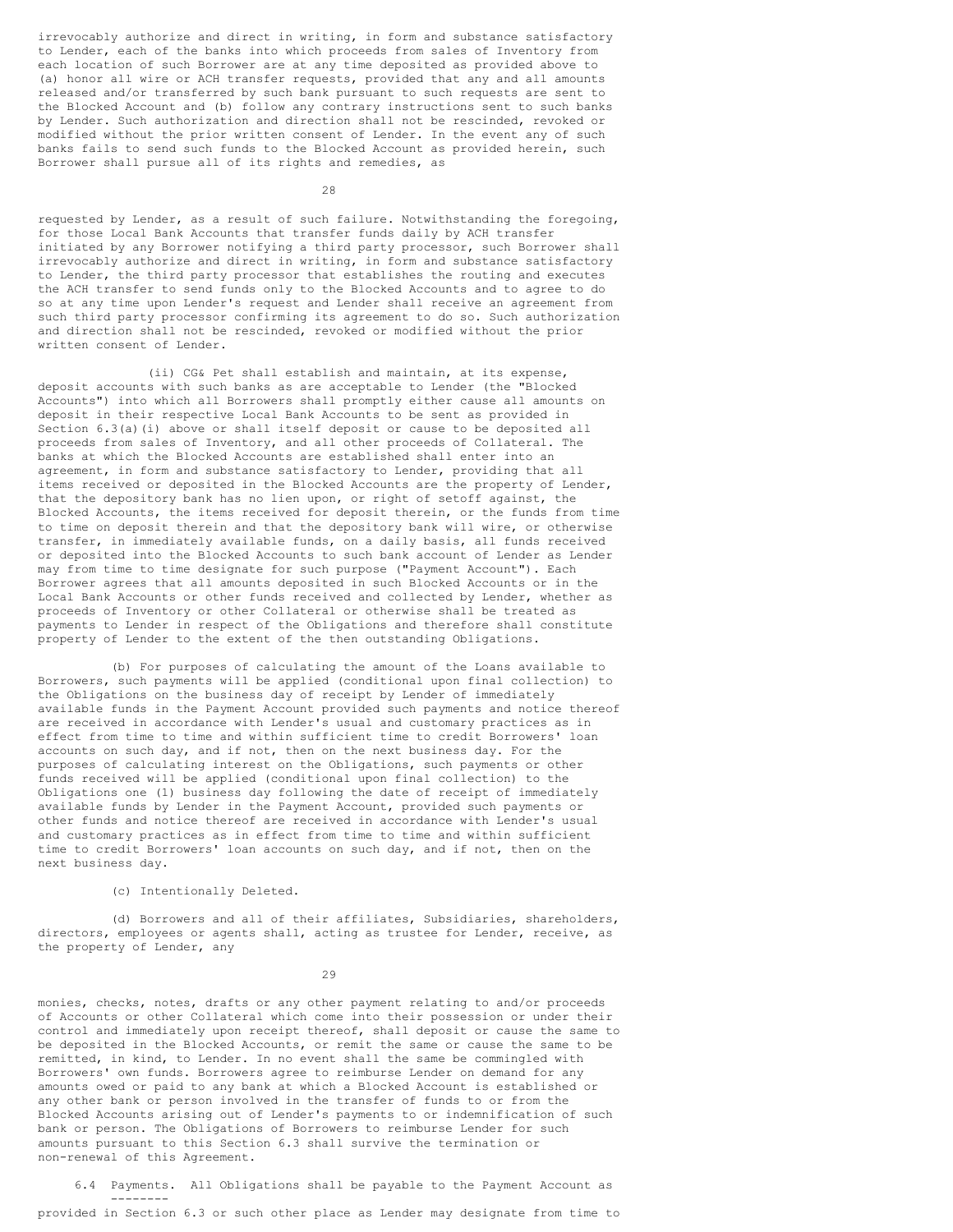irrevocably authorize and direct in writing, in form and substance satisfactory to Lender, each of the banks into which proceeds from sales of Inventory from each location of such Borrower are at any time deposited as provided above to (a) honor all wire or ACH transfer requests, provided that any and all amounts released and/or transferred by such bank pursuant to such requests are sent to the Blocked Account and (b) follow any contrary instructions sent to such banks by Lender. Such authorization and direction shall not be rescinded, revoked or modified without the prior written consent of Lender. In the event any of such banks fails to send such funds to the Blocked Account as provided herein, such Borrower shall pursue all of its rights and remedies, as

28

requested by Lender, as a result of such failure. Notwithstanding the foregoing, for those Local Bank Accounts that transfer funds daily by ACH transfer initiated by any Borrower notifying a third party processor, such Borrower shall irrevocably authorize and direct in writing, in form and substance satisfactory to Lender, the third party processor that establishes the routing and executes the ACH transfer to send funds only to the Blocked Accounts and to agree to do so at any time upon Lender's request and Lender shall receive an agreement from such third party processor confirming its agreement to do so. Such authorization and direction shall not be rescinded, revoked or modified without the prior written consent of Lender.

(ii) CG& Pet shall establish and maintain, at its expense, deposit accounts with such banks as are acceptable to Lender (the "Blocked Accounts") into which all Borrowers shall promptly either cause all amounts on deposit in their respective Local Bank Accounts to be sent as provided in Section 6.3(a)(i) above or shall itself deposit or cause to be deposited all proceeds from sales of Inventory, and all other proceeds of Collateral. The banks at which the Blocked Accounts are established shall enter into an agreement, in form and substance satisfactory to Lender, providing that all items received or deposited in the Blocked Accounts are the property of Lender, that the depository bank has no lien upon, or right of setoff against, the Blocked Accounts, the items received for deposit therein, or the funds from time to time on deposit therein and that the depository bank will wire, or otherwise transfer, in immediately available funds, on a daily basis, all funds received or deposited into the Blocked Accounts to such bank account of Lender as Lender may from time to time designate for such purpose ("Payment Account"). Each Borrower agrees that all amounts deposited in such Blocked Accounts or in the Local Bank Accounts or other funds received and collected by Lender, whether as proceeds of Inventory or other Collateral or otherwise shall be treated as payments to Lender in respect of the Obligations and therefore shall constitute property of Lender to the extent of the then outstanding Obligations.

(b) For purposes of calculating the amount of the Loans available to Borrowers, such payments will be applied (conditional upon final collection) to the Obligations on the business day of receipt by Lender of immediately available funds in the Payment Account provided such payments and notice thereof are received in accordance with Lender's usual and customary practices as in effect from time to time and within sufficient time to credit Borrowers' loan accounts on such day, and if not, then on the next business day. For the purposes of calculating interest on the Obligations, such payments or other funds received will be applied (conditional upon final collection) to the Obligations one (1) business day following the date of receipt of immediately available funds by Lender in the Payment Account, provided such payments or other funds and notice thereof are received in accordance with Lender's usual and customary practices as in effect from time to time and within sufficient time to credit Borrowers' loan accounts on such day, and if not, then on the next business day.

# (c) Intentionally Deleted.

(d) Borrowers and all of their affiliates, Subsidiaries, shareholders, directors, employees or agents shall, acting as trustee for Lender, receive, as the property of Lender, any

29

monies, checks, notes, drafts or any other payment relating to and/or proceeds of Accounts or other Collateral which come into their possession or under their control and immediately upon receipt thereof, shall deposit or cause the same to be deposited in the Blocked Accounts, or remit the same or cause the same to be remitted, in kind, to Lender. In no event shall the same be commingled with Borrowers' own funds. Borrowers agree to reimburse Lender on demand for any amounts owed or paid to any bank at which a Blocked Account is established or any other bank or person involved in the transfer of funds to or from the Blocked Accounts arising out of Lender's payments to or indemnification of such bank or person. The Obligations of Borrowers to reimburse Lender for such amounts pursuant to this Section 6.3 shall survive the termination or non-renewal of this Agreement.

6.4 Payments. All Obligations shall be payable to the Payment Account as --------

provided in Section 6.3 or such other place as Lender may designate from time to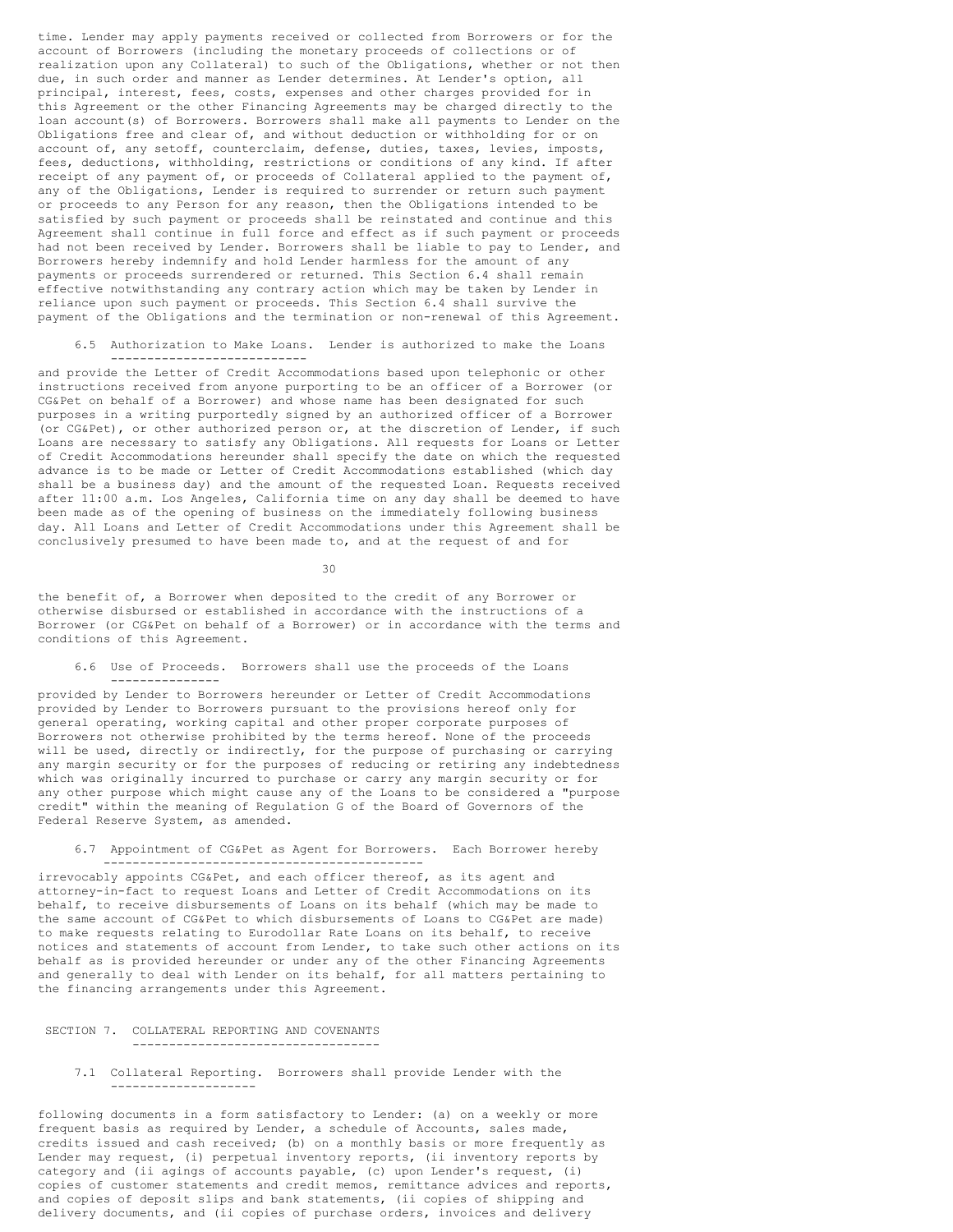time. Lender may apply payments received or collected from Borrowers or for the account of Borrowers (including the monetary proceeds of collections or of realization upon any Collateral) to such of the Obligations, whether or not then due, in such order and manner as Lender determines. At Lender's option, all principal, interest, fees, costs, expenses and other charges provided for in this Agreement or the other Financing Agreements may be charged directly to the loan account(s) of Borrowers. Borrowers shall make all payments to Lender on the Obligations free and clear of, and without deduction or withholding for or on account of, any setoff, counterclaim, defense, duties, taxes, levies, imposts, fees, deductions, withholding, restrictions or conditions of any kind. If after receipt of any payment of, or proceeds of Collateral applied to the payment of, any of the Obligations, Lender is required to surrender or return such payment or proceeds to any Person for any reason, then the Obligations intended to be satisfied by such payment or proceeds shall be reinstated and continue and this Agreement shall continue in full force and effect as if such payment or proceeds had not been received by Lender. Borrowers shall be liable to pay to Lender, and Borrowers hereby indemnify and hold Lender harmless for the amount of any payments or proceeds surrendered or returned. This Section 6.4 shall remain effective notwithstanding any contrary action which may be taken by Lender in reliance upon such payment or proceeds. This Section 6.4 shall survive the payment of the Obligations and the termination or non-renewal of this Agreement.

6.5 Authorization to Make Loans. Lender is authorized to make the Loans ---------------------------

and provide the Letter of Credit Accommodations based upon telephonic or other instructions received from anyone purporting to be an officer of a Borrower (or CG&Pet on behalf of a Borrower) and whose name has been designated for such purposes in a writing purportedly signed by an authorized officer of a Borrower (or CG&Pet), or other authorized person or, at the discretion of Lender, if such Loans are necessary to satisfy any Obligations. All requests for Loans or Letter of Credit Accommodations hereunder shall specify the date on which the requested advance is to be made or Letter of Credit Accommodations established (which day shall be a business day) and the amount of the requested Loan. Requests received after 11:00 a.m. Los Angeles, California time on any day shall be deemed to have been made as of the opening of business on the immediately following business day. All Loans and Letter of Credit Accommodations under this Agreement shall be conclusively presumed to have been made to, and at the request of and for

30

the benefit of, a Borrower when deposited to the credit of any Borrower or otherwise disbursed or established in accordance with the instructions of a Borrower (or CG&Pet on behalf of a Borrower) or in accordance with the terms and conditions of this Agreement.

6.6 Use of Proceeds. Borrowers shall use the proceeds of the Loans ---------------

provided by Lender to Borrowers hereunder or Letter of Credit Accommodations provided by Lender to Borrowers pursuant to the provisions hereof only for general operating, working capital and other proper corporate purposes of Borrowers not otherwise prohibited by the terms hereof. None of the proceeds will be used, directly or indirectly, for the purpose of purchasing or carrying any margin security or for the purposes of reducing or retiring any indebtedness which was originally incurred to purchase or carry any margin security or for any other purpose which might cause any of the Loans to be considered a "purpose credit" within the meaning of Regulation G of the Board of Governors of the Federal Reserve System, as amended.

6.7 Appointment of CG&Pet as Agent for Borrowers. Each Borrower hereby --------------------------------------------

irrevocably appoints CG&Pet, and each officer thereof, as its agent and attorney-in-fact to request Loans and Letter of Credit Accommodations on its behalf, to receive disbursements of Loans on its behalf (which may be made to the same account of CG&Pet to which disbursements of Loans to CG&Pet are made) to make requests relating to Eurodollar Rate Loans on its behalf, to receive notices and statements of account from Lender, to take such other actions on its behalf as is provided hereunder or under any of the other Financing Agreements and generally to deal with Lender on its behalf, for all matters pertaining to the financing arrangements under this Agreement.

#### SECTION 7. COLLATERAL REPORTING AND COVENANTS ----------------------------------

7.1 Collateral Reporting. Borrowers shall provide Lender with the --------------------

following documents in a form satisfactory to Lender: (a) on a weekly or more frequent basis as required by Lender, a schedule of Accounts, sales made, credits issued and cash received; (b) on a monthly basis or more frequently as Lender may request, (i) perpetual inventory reports, (ii inventory reports by category and (ii agings of accounts payable, (c) upon Lender's request, (i) copies of customer statements and credit memos, remittance advices and reports, and copies of deposit slips and bank statements, (ii copies of shipping and delivery documents, and (ii copies of purchase orders, invoices and delivery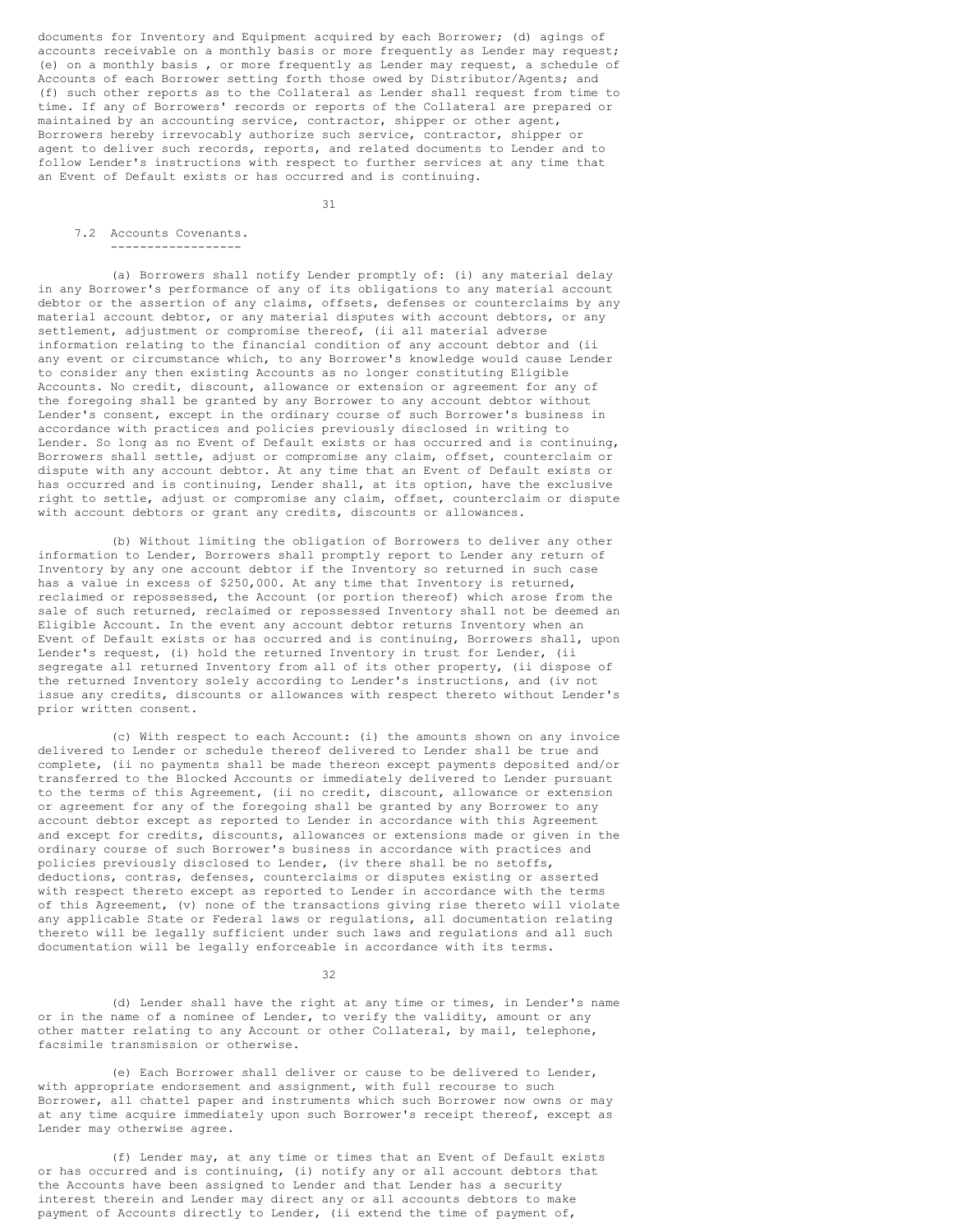documents for Inventory and Equipment acquired by each Borrower; (d) agings of accounts receivable on a monthly basis or more frequently as Lender may request; (e) on a monthly basis , or more frequently as Lender may request, a schedule of Accounts of each Borrower setting forth those owed by Distributor/Agents; and (f) such other reports as to the Collateral as Lender shall request from time to time. If any of Borrowers' records or reports of the Collateral are prepared or maintained by an accounting service, contractor, shipper or other agent, Borrowers hereby irrevocably authorize such service, contractor, shipper or agent to deliver such records, reports, and related documents to Lender and to follow Lender's instructions with respect to further services at any time that an Event of Default exists or has occurred and is continuing.

31

## 7.2 Accounts Covenants. ------------------

(a) Borrowers shall notify Lender promptly of: (i) any material delay in any Borrower's performance of any of its obligations to any material account debtor or the assertion of any claims, offsets, defenses or counterclaims by any material account debtor, or any material disputes with account debtors, or any settlement, adjustment or compromise thereof, (ii all material adverse information relating to the financial condition of any account debtor and (ii any event or circumstance which, to any Borrower's knowledge would cause Lender to consider any then existing Accounts as no longer constituting Eligible Accounts. No credit, discount, allowance or extension or agreement for any of the foregoing shall be granted by any Borrower to any account debtor without Lender's consent, except in the ordinary course of such Borrower's business in accordance with practices and policies previously disclosed in writing to Lender. So long as no Event of Default exists or has occurred and is continuing, Borrowers shall settle, adjust or compromise any claim, offset, counterclaim or dispute with any account debtor. At any time that an Event of Default exists or has occurred and is continuing, Lender shall, at its option, have the exclusive right to settle, adjust or compromise any claim, offset, counterclaim or dispute with account debtors or grant any credits, discounts or allowances.

(b) Without limiting the obligation of Borrowers to deliver any other information to Lender, Borrowers shall promptly report to Lender any return of Inventory by any one account debtor if the Inventory so returned in such case has a value in excess of \$250,000. At any time that Inventory is returned, reclaimed or repossessed, the Account (or portion thereof) which arose from the sale of such returned, reclaimed or repossessed Inventory shall not be deemed an Eligible Account. In the event any account debtor returns Inventory when an Event of Default exists or has occurred and is continuing, Borrowers shall, upon Lender's request, (i) hold the returned Inventory in trust for Lender, (ii segregate all returned Inventory from all of its other property, (ii dispose of the returned Inventory solely according to Lender's instructions, and (iv not issue any credits, discounts or allowances with respect thereto without Lender's prior written consent.

(c) With respect to each Account: (i) the amounts shown on any invoice delivered to Lender or schedule thereof delivered to Lender shall be true and complete, (ii no payments shall be made thereon except payments deposited and/or transferred to the Blocked Accounts or immediately delivered to Lender pursuant to the terms of this Agreement, (ii no credit, discount, allowance or extension or agreement for any of the foregoing shall be granted by any Borrower to any account debtor except as reported to Lender in accordance with this Agreement and except for credits, discounts, allowances or extensions made or given in the ordinary course of such Borrower's business in accordance with practices and policies previously disclosed to Lender, (iv there shall be no setoffs, deductions, contras, defenses, counterclaims or disputes existing or asserted with respect thereto except as reported to Lender in accordance with the terms of this Agreement, (v) none of the transactions giving rise thereto will violate any applicable State or Federal laws or regulations, all documentation relating thereto will be legally sufficient under such laws and regulations and all such documentation will be legally enforceable in accordance with its terms.

32

(d) Lender shall have the right at any time or times, in Lender's name or in the name of a nominee of Lender, to verify the validity, amount or any other matter relating to any Account or other Collateral, by mail, telephone, facsimile transmission or otherwise.

(e) Each Borrower shall deliver or cause to be delivered to Lender, with appropriate endorsement and assignment, with full recourse to such Borrower, all chattel paper and instruments which such Borrower now owns or may at any time acquire immediately upon such Borrower's receipt thereof, except as Lender may otherwise agree.

(f) Lender may, at any time or times that an Event of Default exists or has occurred and is continuing, (i) notify any or all account debtors that the Accounts have been assigned to Lender and that Lender has a security interest therein and Lender may direct any or all accounts debtors to make payment of Accounts directly to Lender, (ii extend the time of payment of,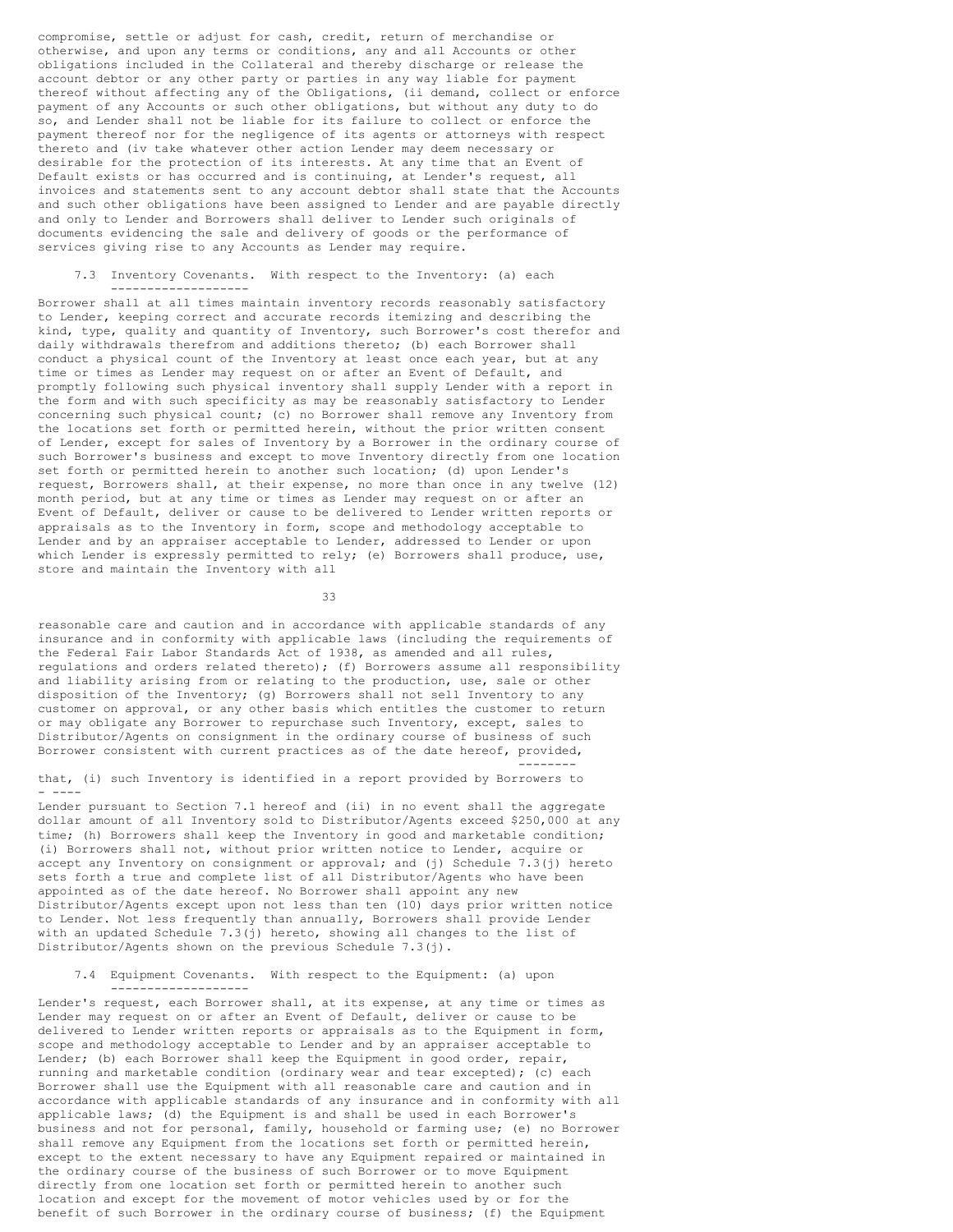compromise, settle or adjust for cash, credit, return of merchandise or otherwise, and upon any terms or conditions, any and all Accounts or other obligations included in the Collateral and thereby discharge or release the account debtor or any other party or parties in any way liable for payment thereof without affecting any of the Obligations, (ii demand, collect or enforce payment of any Accounts or such other obligations, but without any duty to do so, and Lender shall not be liable for its failure to collect or enforce the payment thereof nor for the negligence of its agents or attorneys with respect thereto and (iv take whatever other action Lender may deem necessary or desirable for the protection of its interests. At any time that an Event of Default exists or has occurred and is continuing, at Lender's request, all invoices and statements sent to any account debtor shall state that the Accounts and such other obligations have been assigned to Lender and are payable directly and only to Lender and Borrowers shall deliver to Lender such originals of documents evidencing the sale and delivery of goods or the performance of services giving rise to any Accounts as Lender may require.

7.3 Inventory Covenants. With respect to the Inventory: (a) each -------------------

Borrower shall at all times maintain inventory records reasonably satisfactory to Lender, keeping correct and accurate records itemizing and describing the kind, type, quality and quantity of Inventory, such Borrower's cost therefor and daily withdrawals therefrom and additions thereto; (b) each Borrower shall conduct a physical count of the Inventory at least once each year, but at any time or times as Lender may request on or after an Event of Default, and promptly following such physical inventory shall supply Lender with a report in the form and with such specificity as may be reasonably satisfactory to Lender concerning such physical count; (c) no Borrower shall remove any Inventory from the locations set forth or permitted herein, without the prior written consent of Lender, except for sales of Inventory by a Borrower in the ordinary course of such Borrower's business and except to move Inventory directly from one location set forth or permitted herein to another such location; (d) upon Lender's request, Borrowers shall, at their expense, no more than once in any twelve (12) month period, but at any time or times as Lender may request on or after an Event of Default, deliver or cause to be delivered to Lender written reports or appraisals as to the Inventory in form, scope and methodology acceptable to Lender and by an appraiser acceptable to Lender, addressed to Lender or upon which Lender is expressly permitted to rely; (e) Borrowers shall produce, use, store and maintain the Inventory with all

33

reasonable care and caution and in accordance with applicable standards of any insurance and in conformity with applicable laws (including the requirements of the Federal Fair Labor Standards Act of 1938, as amended and all rules, regulations and orders related thereto); (f) Borrowers assume all responsibility and liability arising from or relating to the production, use, sale or other disposition of the Inventory; (g) Borrowers shall not sell Inventory to any customer on approval, or any other basis which entitles the customer to return or may obligate any Borrower to repurchase such Inventory, except, sales to Distributor/Agents on consignment in the ordinary course of business of such Borrower consistent with current practices as of the date hereof, provided, --------

that, (i) such Inventory is identified in a report provided by Borrowers to - ----

Lender pursuant to Section 7.1 hereof and (ii) in no event shall the aggregate dollar amount of all Inventory sold to Distributor/Agents exceed \$250,000 at any time; (h) Borrowers shall keep the Inventory in good and marketable condition; (i) Borrowers shall not, without prior written notice to Lender, acquire or accept any Inventory on consignment or approval; and (j) Schedule  $7.3$ (j) hereto sets forth a true and complete list of all Distributor/Agents who have been appointed as of the date hereof. No Borrower shall appoint any new Distributor/Agents except upon not less than ten (10) days prior written notice to Lender. Not less frequently than annually, Borrowers shall provide Lender with an updated Schedule 7.3(j) hereto, showing all changes to the list of Distributor/Agents shown on the previous Schedule 7.3(j).

7.4 Equipment Covenants. With respect to the Equipment: (a) upon -------------------

Lender's request, each Borrower shall, at its expense, at any time or times as Lender may request on or after an Event of Default, deliver or cause to be delivered to Lender written reports or appraisals as to the Equipment in form, scope and methodology acceptable to Lender and by an appraiser acceptable to Lender; (b) each Borrower shall keep the Equipment in good order, repair, running and marketable condition (ordinary wear and tear excepted); (c) each Borrower shall use the Equipment with all reasonable care and caution and in accordance with applicable standards of any insurance and in conformity with all applicable laws; (d) the Equipment is and shall be used in each Borrower's business and not for personal, family, household or farming use; (e) no Borrower shall remove any Equipment from the locations set forth or permitted herein, except to the extent necessary to have any Equipment repaired or maintained in the ordinary course of the business of such Borrower or to move Equipment directly from one location set forth or permitted herein to another such location and except for the movement of motor vehicles used by or for the benefit of such Borrower in the ordinary course of business; (f) the Equipment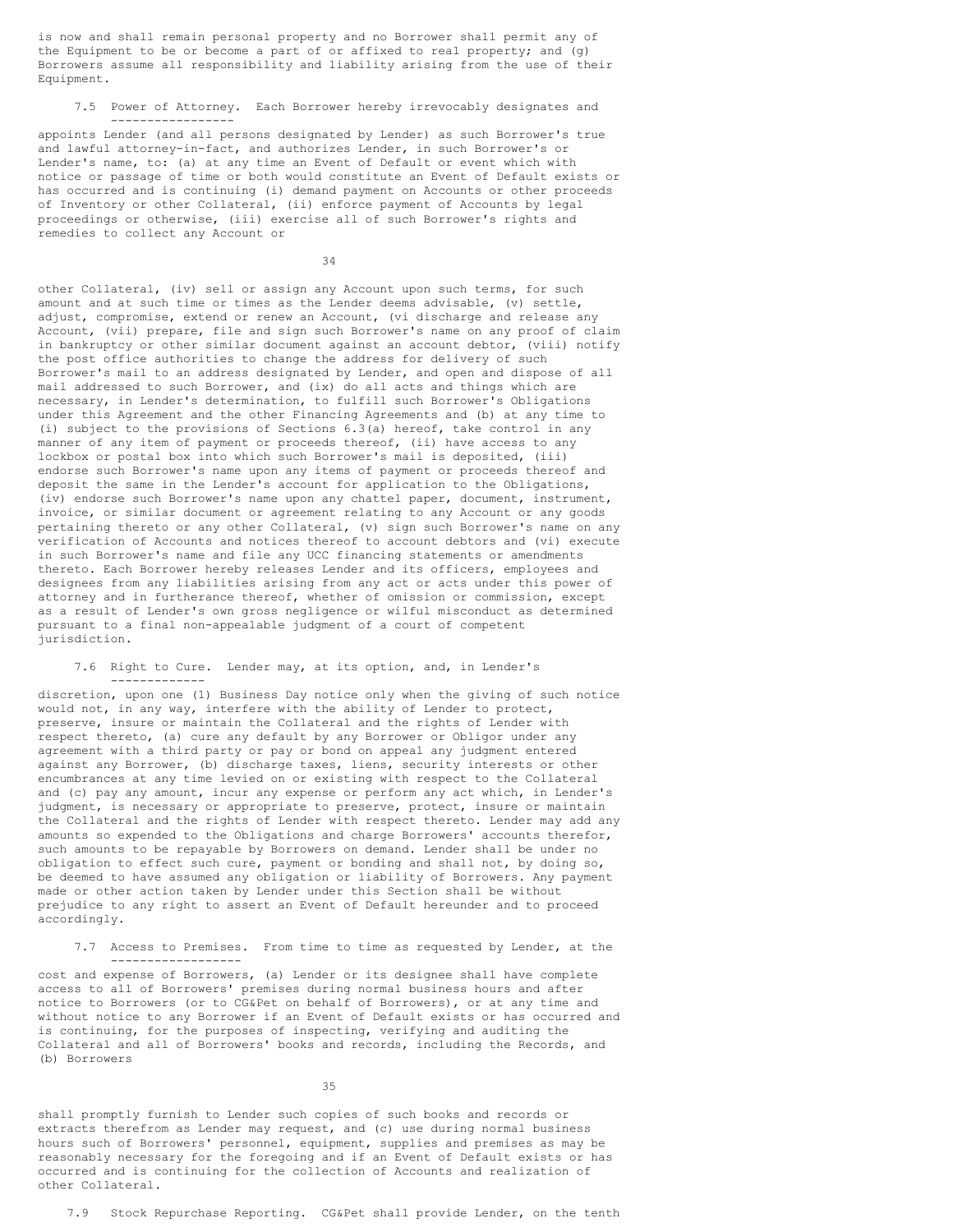is now and shall remain personal property and no Borrower shall permit any of the Equipment to be or become a part of or affixed to real property; and (g) Borrowers assume all responsibility and liability arising from the use of their Equipment.

7.5 Power of Attorney. Each Borrower hereby irrevocably designates and

-----------------

appoints Lender (and all persons designated by Lender) as such Borrower's true and lawful attorney-in-fact, and authorizes Lender, in such Borrower's or Lender's name, to: (a) at any time an Event of Default or event which with notice or passage of time or both would constitute an Event of Default exists or has occurred and is continuing (i) demand payment on Accounts or other proceeds of Inventory or other Collateral, (ii) enforce payment of Accounts by legal proceedings or otherwise, (iii) exercise all of such Borrower's rights and remedies to collect any Account or

34

other Collateral, (iv) sell or assign any Account upon such terms, for such amount and at such time or times as the Lender deems advisable, (v) settle, adjust, compromise, extend or renew an Account, (vi discharge and release any Account, (vii) prepare, file and sign such Borrower's name on any proof of claim in bankruptcy or other similar document against an account debtor, (viii) notify the post office authorities to change the address for delivery of such Borrower's mail to an address designated by Lender, and open and dispose of all mail addressed to such Borrower, and (ix) do all acts and things which are necessary, in Lender's determination, to fulfill such Borrower's Obligations under this Agreement and the other Financing Agreements and (b) at any time to (i) subject to the provisions of Sections 6.3(a) hereof, take control in any manner of any item of payment or proceeds thereof, (ii) have access to any lockbox or postal box into which such Borrower's mail is deposited, (iii) endorse such Borrower's name upon any items of payment or proceeds thereof and deposit the same in the Lender's account for application to the Obligations, (iv) endorse such Borrower's name upon any chattel paper, document, instrument, invoice, or similar document or agreement relating to any Account or any goods pertaining thereto or any other Collateral, (v) sign such Borrower's name on any verification of Accounts and notices thereof to account debtors and (vi) execute in such Borrower's name and file any UCC financing statements or amendments thereto. Each Borrower hereby releases Lender and its officers, employees and designees from any liabilities arising from any act or acts under this power of attorney and in furtherance thereof, whether of omission or commission, except as a result of Lender's own gross negligence or wilful misconduct as determined pursuant to a final non-appealable judgment of a court of competent jurisdiction.

7.6 Right to Cure. Lender may, at its option, and, in Lender's -------------

discretion, upon one (1) Business Day notice only when the giving of such notice would not, in any way, interfere with the ability of Lender to protect, preserve, insure or maintain the Collateral and the rights of Lender with respect thereto, (a) cure any default by any Borrower or Obligor under any agreement with a third party or pay or bond on appeal any judgment entered against any Borrower, (b) discharge taxes, liens, security interests or other encumbrances at any time levied on or existing with respect to the Collateral and (c) pay any amount, incur any expense or perform any act which, in Lender's judgment, is necessary or appropriate to preserve, protect, insure or maintain the Collateral and the rights of Lender with respect thereto. Lender may add any amounts so expended to the Obligations and charge Borrowers' accounts therefor, such amounts to be repayable by Borrowers on demand. Lender shall be under no obligation to effect such cure, payment or bonding and shall not, by doing so, be deemed to have assumed any obligation or liability of Borrowers. Any payment made or other action taken by Lender under this Section shall be without prejudice to any right to assert an Event of Default hereunder and to proceed accordingly.

7.7 Access to Premises. From time to time as requested by Lender, at the

cost and expense of Borrowers, (a) Lender or its designee shall have complete access to all of Borrowers' premises during normal business hours and after notice to Borrowers (or to CG&Pet on behalf of Borrowers), or at any time and without notice to any Borrower if an Event of Default exists or has occurred and is continuing, for the purposes of inspecting, verifying and auditing the Collateral and all of Borrowers' books and records, including the Records, and (b) Borrowers

------------------

35

shall promptly furnish to Lender such copies of such books and records or extracts therefrom as Lender may request, and (c) use during normal business hours such of Borrowers' personnel, equipment, supplies and premises as may be reasonably necessary for the foregoing and if an Event of Default exists or has occurred and is continuing for the collection of Accounts and realization of other Collateral.

7.9 Stock Repurchase Reporting. CG&Pet shall provide Lender, on the tenth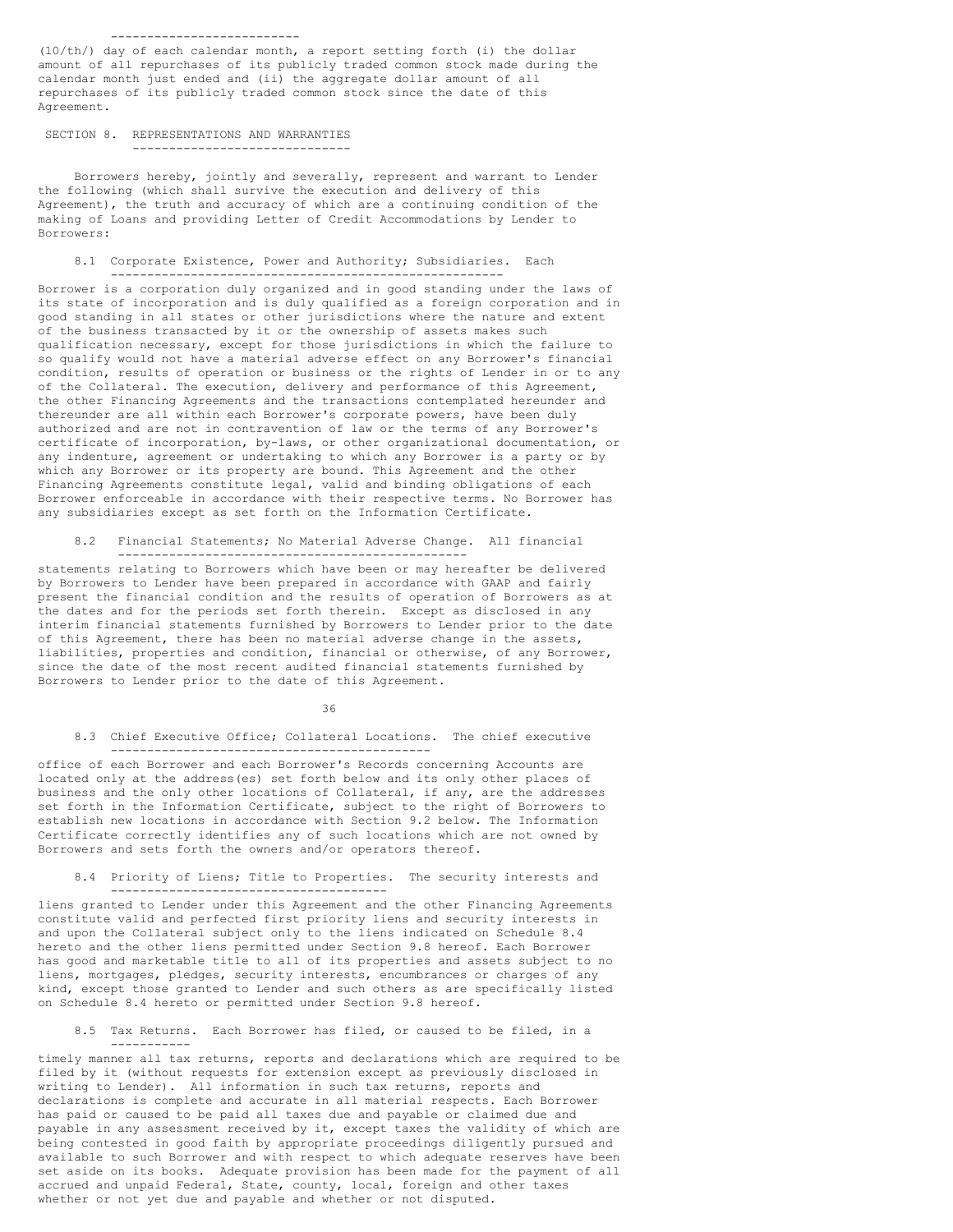### --------------------------

(10/th/) day of each calendar month, a report setting forth (i) the dollar amount of all repurchases of its publicly traded common stock made during the calendar month just ended and (ii) the aggregate dollar amount of all repurchases of its publicly traded common stock since the date of this Agreement.

# SECTION 8. REPRESENTATIONS AND WARRANTIES ------------------------------

Borrowers hereby, jointly and severally, represent and warrant to Lender the following (which shall survive the execution and delivery of this Agreement), the truth and accuracy of which are a continuing condition of the making of Loans and providing Letter of Credit Accommodations by Lender to Borrowers:

# 8.1 Corporate Existence, Power and Authority; Subsidiaries. Each

------------------------------------------------------ Borrower is a corporation duly organized and in good standing under the laws of its state of incorporation and is duly qualified as a foreign corporation and in good standing in all states or other jurisdictions where the nature and extent of the business transacted by it or the ownership of assets makes such qualification necessary, except for those jurisdictions in which the failure to so qualify would not have a material adverse effect on any Borrower's financial condition, results of operation or business or the rights of Lender in or to any of the Collateral. The execution, delivery and performance of this Agreement, the other Financing Agreements and the transactions contemplated hereunder and thereunder are all within each Borrower's corporate powers, have been duly authorized and are not in contravention of law or the terms of any Borrower's certificate of incorporation, by-laws, or other organizational documentation, or any indenture, agreement or undertaking to which any Borrower is a party or by which any Borrower or its property are bound. This Agreement and the other Financing Agreements constitute legal, valid and binding obligations of each Borrower enforceable in accordance with their respective terms. No Borrower has any subsidiaries except as set forth on the Information Certificate.

#### 8.2 Financial Statements; No Material Adverse Change. All financial ------------------------------------------------

statements relating to Borrowers which have been or may hereafter be delivered by Borrowers to Lender have been prepared in accordance with GAAP and fairly present the financial condition and the results of operation of Borrowers as at the dates and for the periods set forth therein. Except as disclosed in any interim financial statements furnished by Borrowers to Lender prior to the date of this Agreement, there has been no material adverse change in the assets, liabilities, properties and condition, financial or otherwise, of any Borrower, since the date of the most recent audited financial statements furnished by Borrowers to Lender prior to the date of this Agreement.

### 36

# 8.3 Chief Executive Office; Collateral Locations. The chief executive --------------------------------------------

office of each Borrower and each Borrower's Records concerning Accounts are located only at the address(es) set forth below and its only other places of business and the only other locations of Collateral, if any, are the addresses set forth in the Information Certificate, subject to the right of Borrowers to establish new locations in accordance with Section 9.2 below. The Information Certificate correctly identifies any of such locations which are not owned by Borrowers and sets forth the owners and/or operators thereof.

### 8.4 Priority of Liens; Title to Properties. The security interests and --------------------------------------

liens granted to Lender under this Agreement and the other Financing Agreements constitute valid and perfected first priority liens and security interests in and upon the Collateral subject only to the liens indicated on Schedule 8.4 hereto and the other liens permitted under Section 9.8 hereof. Each Borrower has good and marketable title to all of its properties and assets subject to no liens, mortgages, pledges, security interests, encumbrances or charges of any kind, except those granted to Lender and such others as are specifically listed on Schedule 8.4 hereto or permitted under Section 9.8 hereof.

# 8.5 Tax Returns. Each Borrower has filed, or caused to be filed, in a -----------

timely manner all tax returns, reports and declarations which are required to be filed by it (without requests for extension except as previously disclosed in writing to Lender). All information in such tax returns, reports and declarations is complete and accurate in all material respects. Each Borrower has paid or caused to be paid all taxes due and payable or claimed due and payable in any assessment received by it, except taxes the validity of which are being contested in good faith by appropriate proceedings diligently pursued and available to such Borrower and with respect to which adequate reserves have been set aside on its books. Adequate provision has been made for the payment of all accrued and unpaid Federal, State, county, local, foreign and other taxes whether or not yet due and payable and whether or not disputed.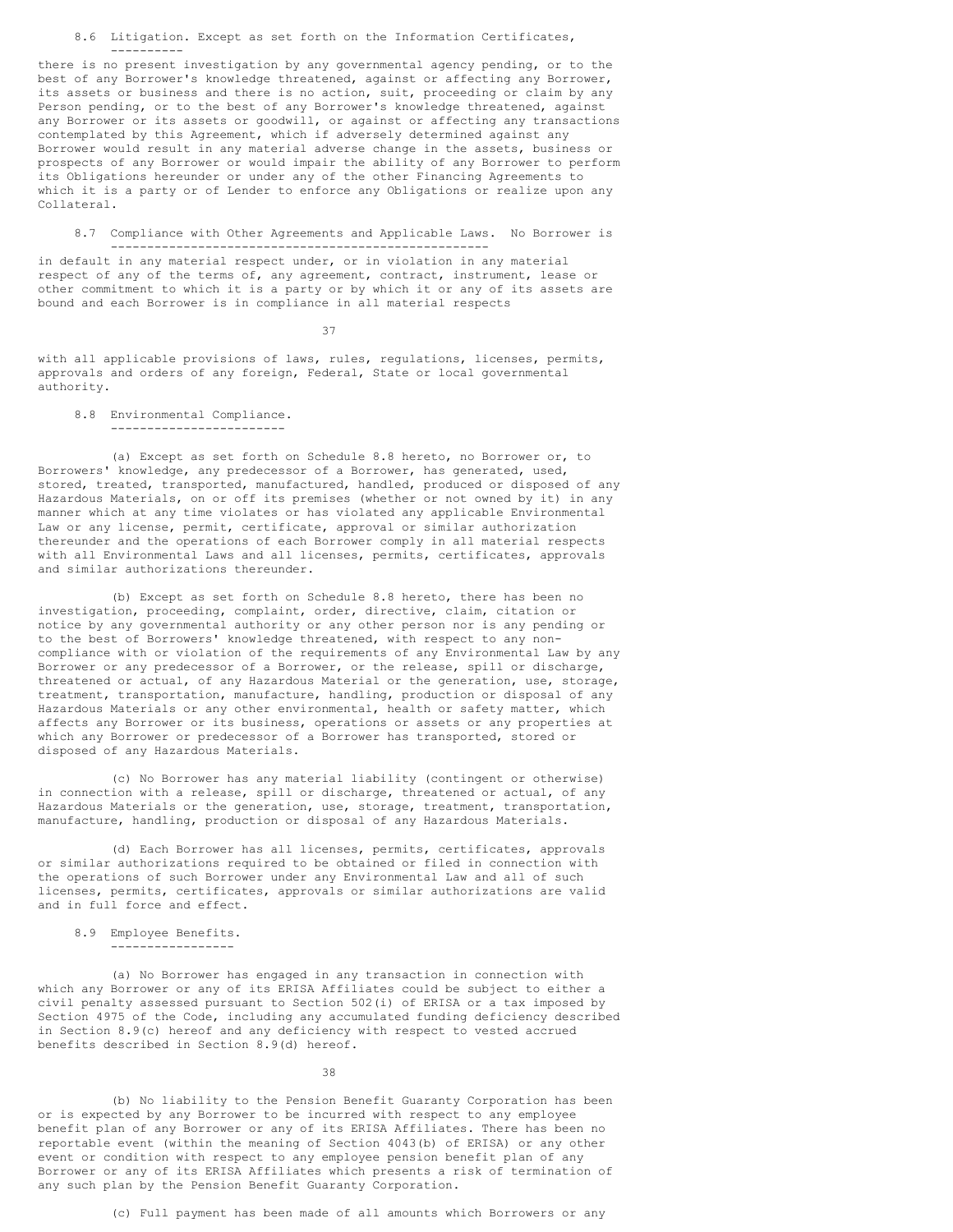8.6 Litigation. Except as set forth on the Information Certificates, ----------

there is no present investigation by any governmental agency pending, or to the best of any Borrower's knowledge threatened, against or affecting any Borrower, its assets or business and there is no action, suit, proceeding or claim by any Person pending, or to the best of any Borrower's knowledge threatened, against any Borrower or its assets or goodwill, or against or affecting any transactions contemplated by this Agreement, which if adversely determined against any Borrower would result in any material adverse change in the assets, business or prospects of any Borrower or would impair the ability of any Borrower to perform its Obligations hereunder or under any of the other Financing Agreements to which it is a party or of Lender to enforce any Obligations or realize upon any Collateral.

8.7 Compliance with Other Agreements and Applicable Laws. No Borrower is ----------------------------------------------------

in default in any material respect under, or in violation in any material respect of any of the terms of, any agreement, contract, instrument, lease or other commitment to which it is a party or by which it or any of its assets are bound and each Borrower is in compliance in all material respects

37

with all applicable provisions of laws, rules, regulations, licenses, permits, approvals and orders of any foreign, Federal, State or local governmental authority.

#### 8.8 Environmental Compliance. ------------------------

(a) Except as set forth on Schedule 8.8 hereto, no Borrower or, to Borrowers' knowledge, any predecessor of a Borrower, has generated, used, stored, treated, transported, manufactured, handled, produced or disposed of any Hazardous Materials, on or off its premises (whether or not owned by it) in any manner which at any time violates or has violated any applicable Environmental Law or any license, permit, certificate, approval or similar authorization thereunder and the operations of each Borrower comply in all material respects with all Environmental Laws and all licenses, permits, certificates, approvals and similar authorizations thereunder.

(b) Except as set forth on Schedule 8.8 hereto, there has been no investigation, proceeding, complaint, order, directive, claim, citation or notice by any governmental authority or any other person nor is any pending or to the best of Borrowers' knowledge threatened, with respect to any noncompliance with or violation of the requirements of any Environmental Law by any Borrower or any predecessor of a Borrower, or the release, spill or discharge, threatened or actual, of any Hazardous Material or the generation, use, storage, treatment, transportation, manufacture, handling, production or disposal of any Hazardous Materials or any other environmental, health or safety matter, which affects any Borrower or its business, operations or assets or any properties at which any Borrower or predecessor of a Borrower has transported, stored or disposed of any Hazardous Materials.

(c) No Borrower has any material liability (contingent or otherwise) in connection with a release, spill or discharge, threatened or actual, of any Hazardous Materials or the generation, use, storage, treatment, transportation, manufacture, handling, production or disposal of any Hazardous Materials.

(d) Each Borrower has all licenses, permits, certificates, approvals or similar authorizations required to be obtained or filed in connection with the operations of such Borrower under any Environmental Law and all of such licenses, permits, certificates, approvals or similar authorizations are valid and in full force and effect.

#### 8.9 Employee Benefits. -----------------

(a) No Borrower has engaged in any transaction in connection with which any Borrower or any of its ERISA Affiliates could be subject to either a civil penalty assessed pursuant to Section 502(i) of ERISA or a tax imposed by Section 4975 of the Code, including any accumulated funding deficiency described in Section 8.9(c) hereof and any deficiency with respect to vested accrued benefits described in Section 8.9(d) hereof.

38

(b) No liability to the Pension Benefit Guaranty Corporation has been or is expected by any Borrower to be incurred with respect to any employee benefit plan of any Borrower or any of its ERISA Affiliates. There has been no reportable event (within the meaning of Section 4043(b) of ERISA) or any other event or condition with respect to any employee pension benefit plan of any Borrower or any of its ERISA Affiliates which presents a risk of termination of any such plan by the Pension Benefit Guaranty Corporation.

(c) Full payment has been made of all amounts which Borrowers or any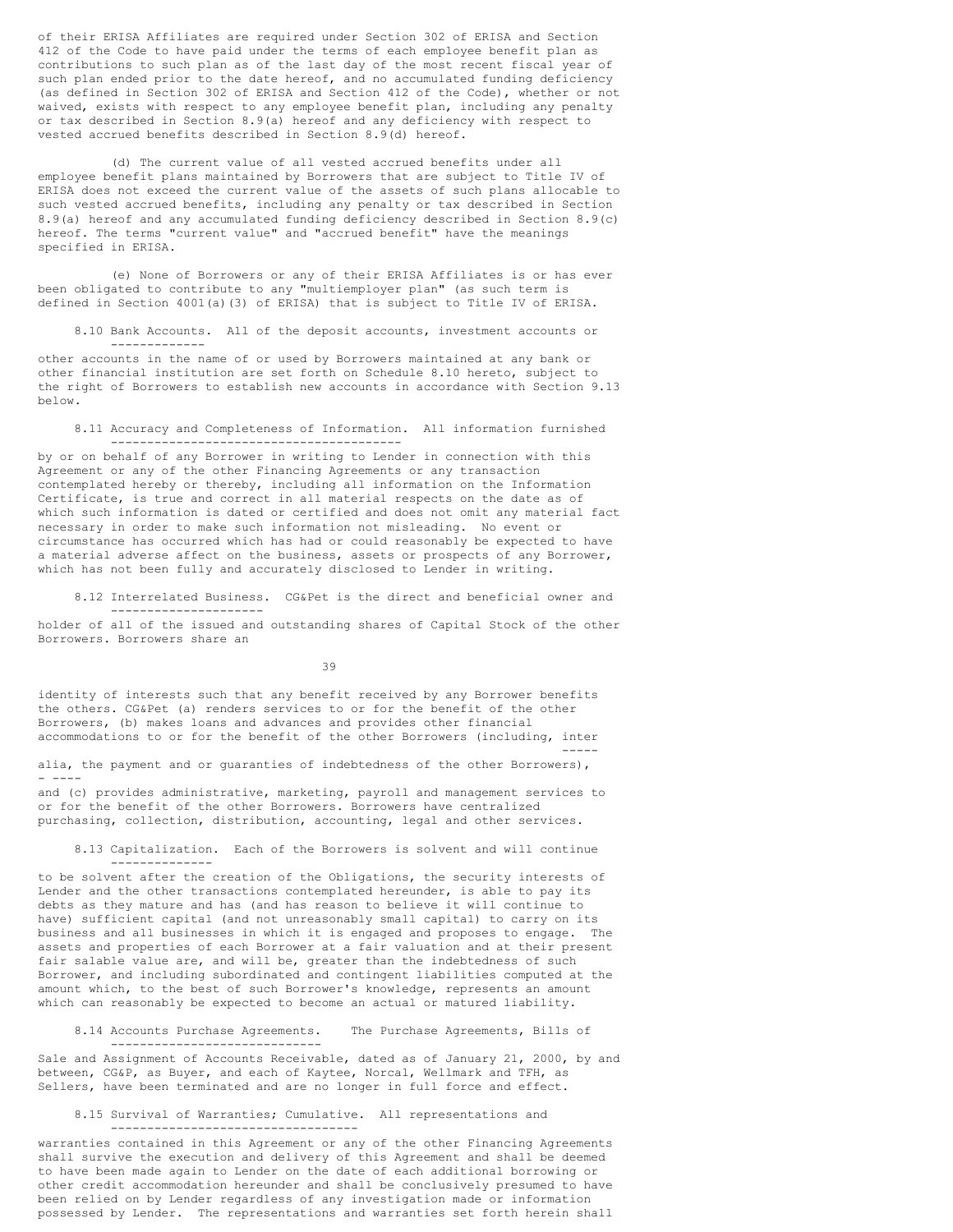of their ERISA Affiliates are required under Section 302 of ERISA and Section 412 of the Code to have paid under the terms of each employee benefit plan as contributions to such plan as of the last day of the most recent fiscal year of such plan ended prior to the date hereof, and no accumulated funding deficiency (as defined in Section 302 of ERISA and Section 412 of the Code), whether or not waived, exists with respect to any employee benefit plan, including any penalty or tax described in Section 8.9(a) hereof and any deficiency with respect to vested accrued benefits described in Section 8.9(d) hereof.

(d) The current value of all vested accrued benefits under all employee benefit plans maintained by Borrowers that are subject to Title IV of ERISA does not exceed the current value of the assets of such plans allocable to such vested accrued benefits, including any penalty or tax described in Section 8.9(a) hereof and any accumulated funding deficiency described in Section 8.9(c) hereof. The terms "current value" and "accrued benefit" have the meanings specified in ERISA.

(e) None of Borrowers or any of their ERISA Affiliates is or has ever been obligated to contribute to any "multiemployer plan" (as such term is defined in Section 4001(a)(3) of ERISA) that is subject to Title IV of ERISA.

-------------

8.10 Bank Accounts. All of the deposit accounts, investment accounts or

other accounts in the name of or used by Borrowers maintained at any bank or other financial institution are set forth on Schedule 8.10 hereto, subject to the right of Borrowers to establish new accounts in accordance with Section 9.13 below.

8.11 Accuracy and Completeness of Information. All information furnished ----------------------------------------

by or on behalf of any Borrower in writing to Lender in connection with this Agreement or any of the other Financing Agreements or any transaction contemplated hereby or thereby, including all information on the Information Certificate, is true and correct in all material respects on the date as of which such information is dated or certified and does not omit any material fact necessary in order to make such information not misleading. No event or circumstance has occurred which has had or could reasonably be expected to have a material adverse affect on the business, assets or prospects of any Borrower, which has not been fully and accurately disclosed to Lender in writing.

8.12 Interrelated Business. CG&Pet is the direct and beneficial owner and ---------------------

holder of all of the issued and outstanding shares of Capital Stock of the other Borrowers. Borrowers share an

39

identity of interests such that any benefit received by any Borrower benefits the others. CG&Pet (a) renders services to or for the benefit of the other Borrowers, (b) makes loans and advances and provides other financial accommodations to or for the benefit of the other Borrowers (including, inter -----

alia, the payment and or guaranties of indebtedness of the other Borrowers), - ----

and (c) provides administrative, marketing, payroll and management services to or for the benefit of the other Borrowers. Borrowers have centralized purchasing, collection, distribution, accounting, legal and other services.

8.13 Capitalization. Each of the Borrowers is solvent and will continue --------------

to be solvent after the creation of the Obligations, the security interests of Lender and the other transactions contemplated hereunder, is able to pay its debts as they mature and has (and has reason to believe it will continue to have) sufficient capital (and not unreasonably small capital) to carry on its business and all businesses in which it is engaged and proposes to engage. The assets and properties of each Borrower at a fair valuation and at their present fair salable value are, and will be, greater than the indebtedness of such Borrower, and including subordinated and contingent liabilities computed at the amount which, to the best of such Borrower's knowledge, represents an amount which can reasonably be expected to become an actual or matured liability.

8.14 Accounts Purchase Agreements. The Purchase Agreements, Bills of

Sale and Assignment of Accounts Receivable, dated as of January 21, 2000, by and between, CG&P, as Buyer, and each of Kaytee, Norcal, Wellmark and TFH, as Sellers, have been terminated and are no longer in full force and effect.

8.15 Survival of Warranties; Cumulative. All representations and ----------------------------------

-----------------------------

warranties contained in this Agreement or any of the other Financing Agreements shall survive the execution and delivery of this Agreement and shall be deemed to have been made again to Lender on the date of each additional borrowing or other credit accommodation hereunder and shall be conclusively presumed to have been relied on by Lender regardless of any investigation made or information possessed by Lender. The representations and warranties set forth herein shall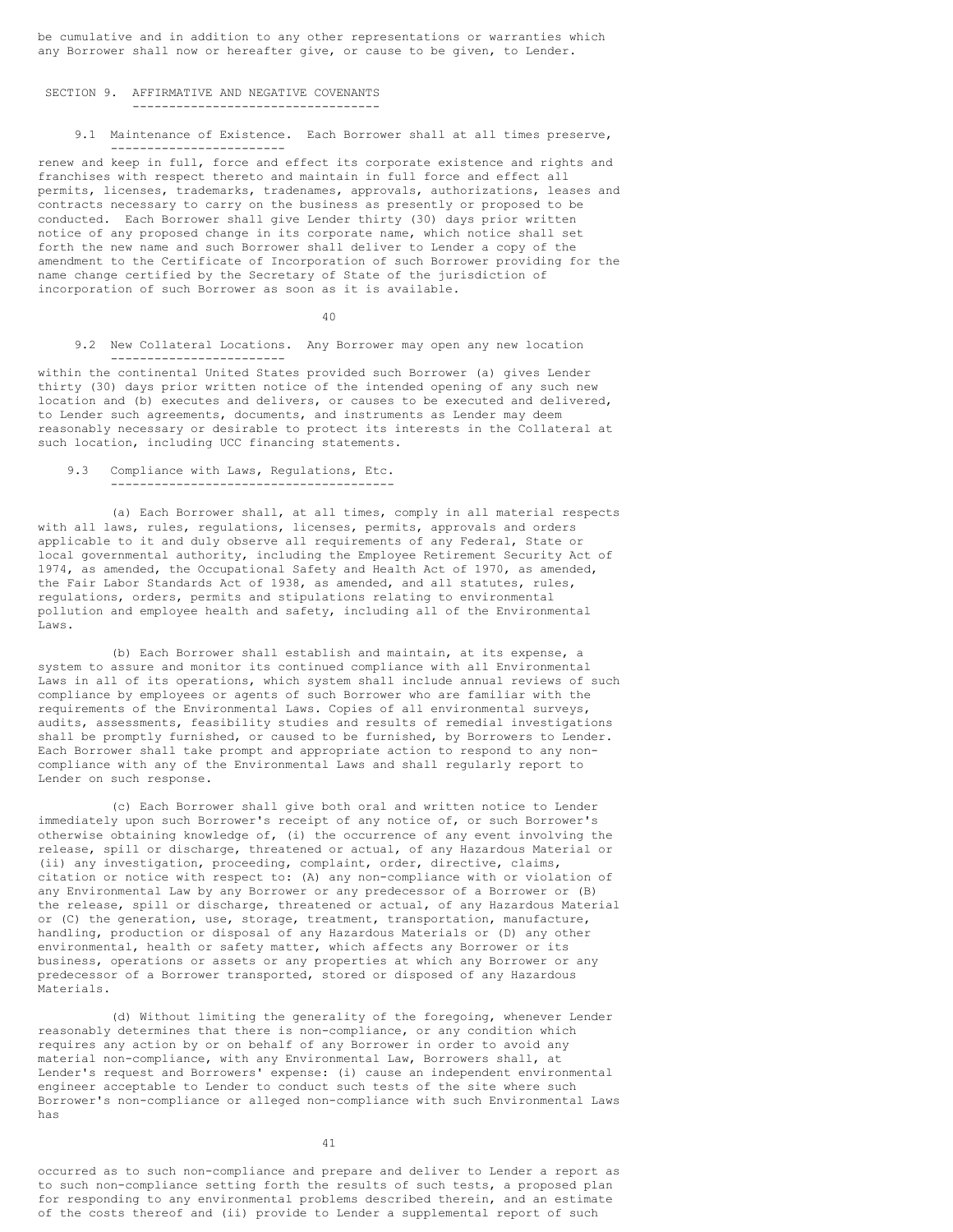be cumulative and in addition to any other representations or warranties which any Borrower shall now or hereafter give, or cause to be given, to Lender.

### SECTION 9. AFFIRMATIVE AND NEGATIVE COVENANTS

### ----------------------------------

9.1 Maintenance of Existence. Each Borrower shall at all times preserve, ------------------------

renew and keep in full, force and effect its corporate existence and rights and franchises with respect thereto and maintain in full force and effect all permits, licenses, trademarks, tradenames, approvals, authorizations, leases and contracts necessary to carry on the business as presently or proposed to be conducted. Each Borrower shall give Lender thirty (30) days prior written notice of any proposed change in its corporate name, which notice shall set forth the new name and such Borrower shall deliver to Lender a copy of the amendment to the Certificate of Incorporation of such Borrower providing for the name change certified by the Secretary of State of the jurisdiction of incorporation of such Borrower as soon as it is available.

40

9.2 New Collateral Locations. Any Borrower may open any new location ------------------------

within the continental United States provided such Borrower (a) gives Lender thirty (30) days prior written notice of the intended opening of any such new location and (b) executes and delivers, or causes to be executed and delivered, to Lender such agreements, documents, and instruments as Lender may deem reasonably necessary or desirable to protect its interests in the Collateral at such location, including UCC financing statements.

# 9.3 Compliance with Laws, Regulations, Etc.

---------------------------------------

(a) Each Borrower shall, at all times, comply in all material respects with all laws, rules, regulations, licenses, permits, approvals and orders applicable to it and duly observe all requirements of any Federal, State or local governmental authority, including the Employee Retirement Security Act of 1974, as amended, the Occupational Safety and Health Act of 1970, as amended, the Fair Labor Standards Act of 1938, as amended, and all statutes, rules, regulations, orders, permits and stipulations relating to environmental pollution and employee health and safety, including all of the Environmental Laws.

(b) Each Borrower shall establish and maintain, at its expense, a system to assure and monitor its continued compliance with all Environmental Laws in all of its operations, which system shall include annual reviews of such compliance by employees or agents of such Borrower who are familiar with the requirements of the Environmental Laws. Copies of all environmental surveys, audits, assessments, feasibility studies and results of remedial investigations shall be promptly furnished, or caused to be furnished, by Borrowers to Lender. Each Borrower shall take prompt and appropriate action to respond to any noncompliance with any of the Environmental Laws and shall regularly report to Lender on such response.

(c) Each Borrower shall give both oral and written notice to Lender immediately upon such Borrower's receipt of any notice of, or such Borrower's otherwise obtaining knowledge of, (i) the occurrence of any event involving the release, spill or discharge, threatened or actual, of any Hazardous Material or (ii) any investigation, proceeding, complaint, order, directive, claims, citation or notice with respect to: (A) any non-compliance with or violation of any Environmental Law by any Borrower or any predecessor of a Borrower or (B) the release, spill or discharge, threatened or actual, of any Hazardous Material or (C) the generation, use, storage, treatment, transportation, manufacture, handling, production or disposal of any Hazardous Materials or (D) any other environmental, health or safety matter, which affects any Borrower or its business, operations or assets or any properties at which any Borrower or any predecessor of a Borrower transported, stored or disposed of any Hazardous Materials.

(d) Without limiting the generality of the foregoing, whenever Lender reasonably determines that there is non-compliance, or any condition which requires any action by or on behalf of any Borrower in order to avoid any material non-compliance, with any Environmental Law, Borrowers shall, at Lender's request and Borrowers' expense: (i) cause an independent environmental engineer acceptable to Lender to conduct such tests of the site where such Borrower's non-compliance or alleged non-compliance with such Environmental Laws has

41

occurred as to such non-compliance and prepare and deliver to Lender a report as to such non-compliance setting forth the results of such tests, a proposed plan for responding to any environmental problems described therein, and an estimate of the costs thereof and (ii) provide to Lender a supplemental report of such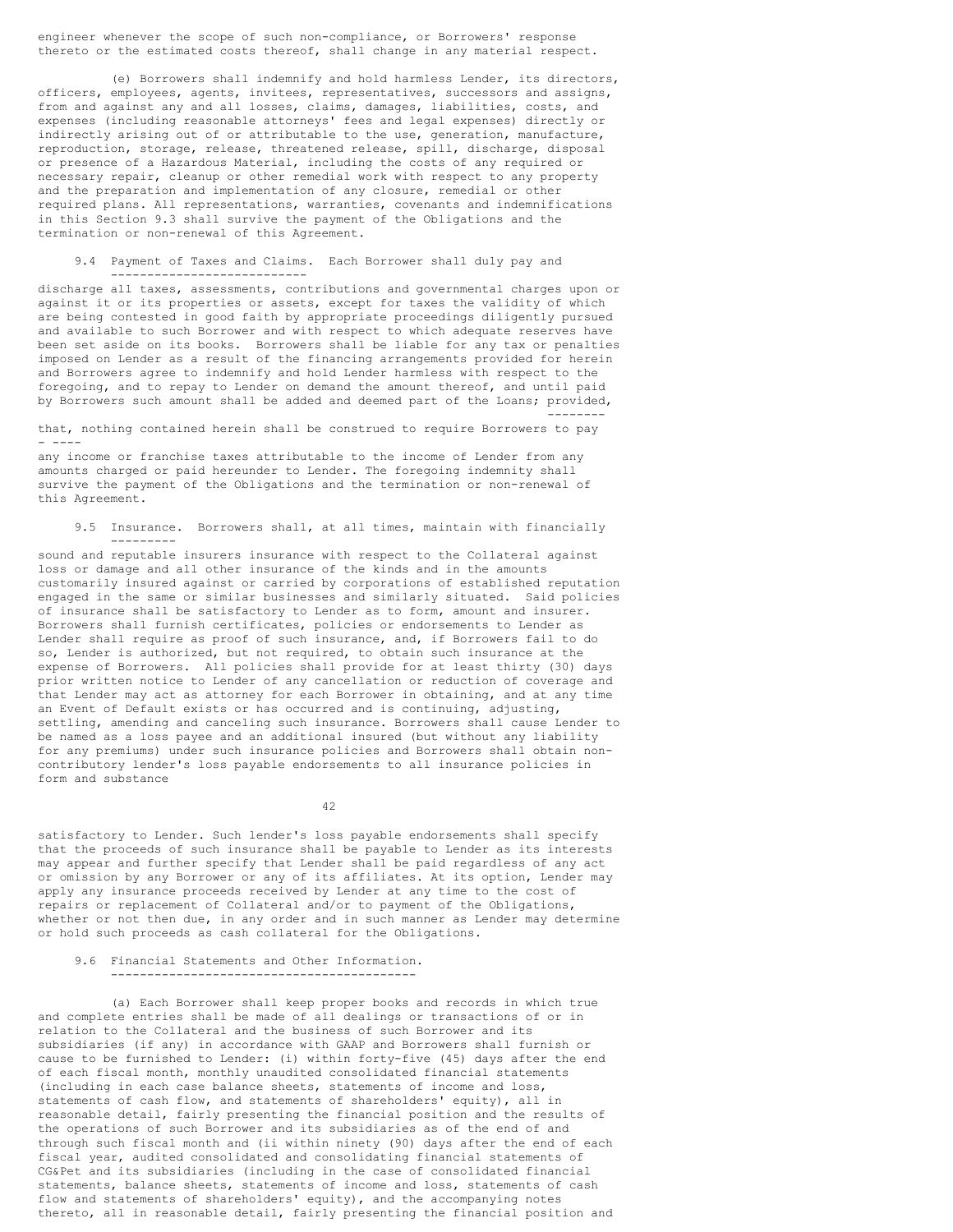engineer whenever the scope of such non-compliance, or Borrowers' response thereto or the estimated costs thereof, shall change in any material respect.

(e) Borrowers shall indemnify and hold harmless Lender, its directors, officers, employees, agents, invitees, representatives, successors and assigns, from and against any and all losses, claims, damages, liabilities, costs, and expenses (including reasonable attorneys' fees and legal expenses) directly or indirectly arising out of or attributable to the use, generation, manufacture, reproduction, storage, release, threatened release, spill, discharge, disposal or presence of a Hazardous Material, including the costs of any required or necessary repair, cleanup or other remedial work with respect to any property and the preparation and implementation of any closure, remedial or other required plans. All representations, warranties, covenants and indemnifications in this Section 9.3 shall survive the payment of the Obligations and the termination or non-renewal of this Agreement.

9.4 Payment of Taxes and Claims. Each Borrower shall duly pay and ---------------------------

discharge all taxes, assessments, contributions and governmental charges upon or against it or its properties or assets, except for taxes the validity of which are being contested in good faith by appropriate proceedings diligently pursued and available to such Borrower and with respect to which adequate reserves have been set aside on its books. Borrowers shall be liable for any tax or penalties imposed on Lender as a result of the financing arrangements provided for herein and Borrowers agree to indemnify and hold Lender harmless with respect to the foregoing, and to repay to Lender on demand the amount thereof, and until paid by Borrowers such amount shall be added and deemed part of the Loans; provided, --------

that, nothing contained herein shall be construed to require Borrowers to pay - ----

any income or franchise taxes attributable to the income of Lender from any amounts charged or paid hereunder to Lender. The foregoing indemnity shall survive the payment of the Obligations and the termination or non-renewal of this Agreement.

9.5 Insurance. Borrowers shall, at all times, maintain with financially ---------

sound and reputable insurers insurance with respect to the Collateral against loss or damage and all other insurance of the kinds and in the amounts customarily insured against or carried by corporations of established reputation engaged in the same or similar businesses and similarly situated. Said policies of insurance shall be satisfactory to Lender as to form, amount and insurer. Borrowers shall furnish certificates, policies or endorsements to Lender as Lender shall require as proof of such insurance, and, if Borrowers fail to do so, Lender is authorized, but not required, to obtain such insurance at the expense of Borrowers. All policies shall provide for at least thirty (30) days prior written notice to Lender of any cancellation or reduction of coverage and that Lender may act as attorney for each Borrower in obtaining, and at any time an Event of Default exists or has occurred and is continuing, adjusting, settling, amending and canceling such insurance. Borrowers shall cause Lender to be named as a loss payee and an additional insured (but without any liability for any premiums) under such insurance policies and Borrowers shall obtain noncontributory lender's loss payable endorsements to all insurance policies in form and substance

42

satisfactory to Lender. Such lender's loss payable endorsements shall specify that the proceeds of such insurance shall be payable to Lender as its interests may appear and further specify that Lender shall be paid regardless of any act or omission by any Borrower or any of its affiliates. At its option, Lender may apply any insurance proceeds received by Lender at any time to the cost of repairs or replacement of Collateral and/or to payment of the Obligations, whether or not then due, in any order and in such manner as Lender may determine or hold such proceeds as cash collateral for the Obligations.

### 9.6 Financial Statements and Other Information. ------------------------------------------

(a) Each Borrower shall keep proper books and records in which true and complete entries shall be made of all dealings or transactions of or in relation to the Collateral and the business of such Borrower and its subsidiaries (if any) in accordance with GAAP and Borrowers shall furnish or cause to be furnished to Lender: (i) within forty-five (45) days after the end of each fiscal month, monthly unaudited consolidated financial statements (including in each case balance sheets, statements of income and loss, statements of cash flow, and statements of shareholders' equity), all in reasonable detail, fairly presenting the financial position and the results of the operations of such Borrower and its subsidiaries as of the end of and through such fiscal month and (ii within ninety (90) days after the end of each fiscal year, audited consolidated and consolidating financial statements of CG&Pet and its subsidiaries (including in the case of consolidated financial statements, balance sheets, statements of income and loss, statements of cash flow and statements of shareholders' equity), and the accompanying notes thereto, all in reasonable detail, fairly presenting the financial position and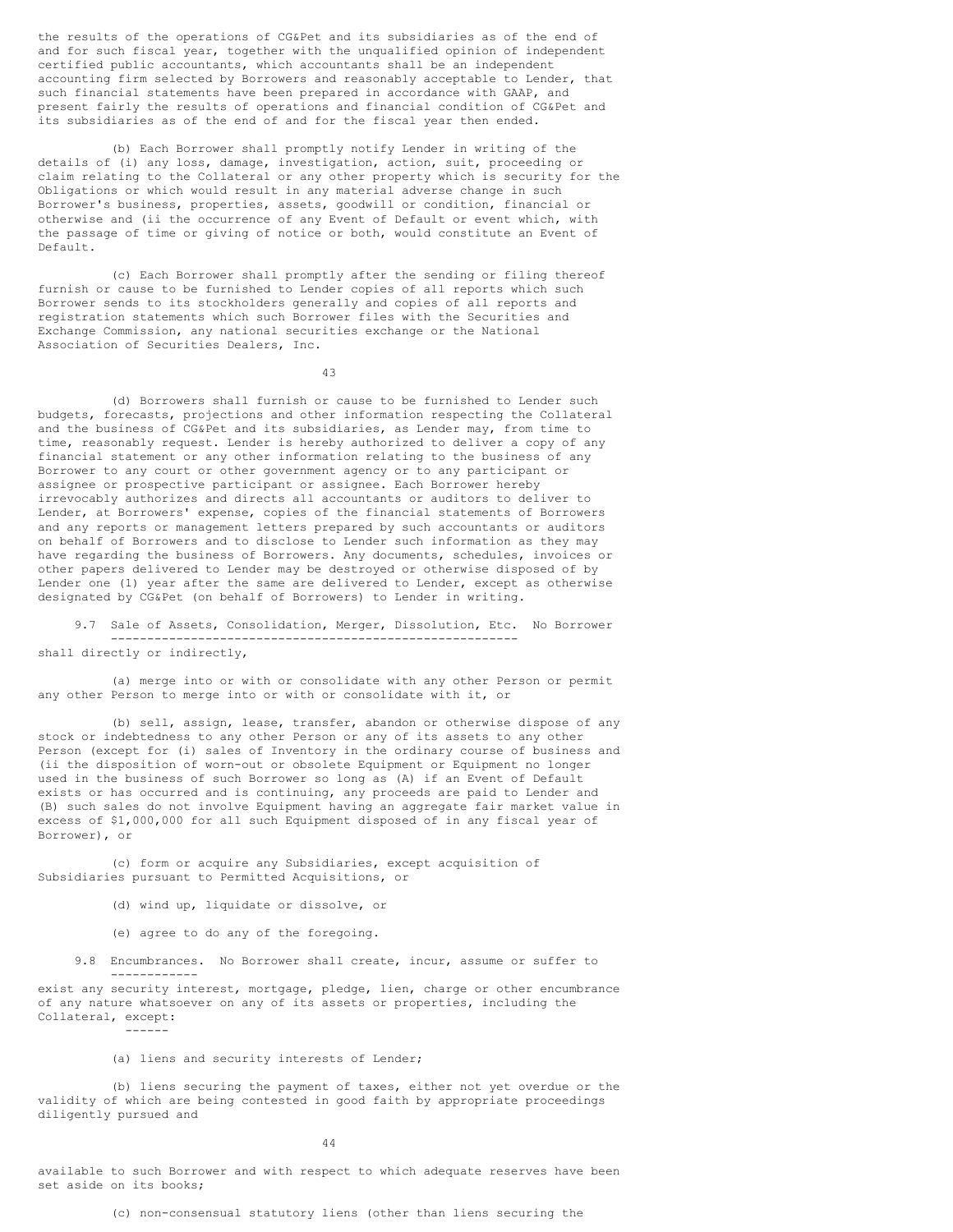the results of the operations of CG&Pet and its subsidiaries as of the end of and for such fiscal year, together with the unqualified opinion of independent certified public accountants, which accountants shall be an independent accounting firm selected by Borrowers and reasonably acceptable to Lender, that such financial statements have been prepared in accordance with GAAP, and present fairly the results of operations and financial condition of CG&Pet and its subsidiaries as of the end of and for the fiscal year then ended.

(b) Each Borrower shall promptly notify Lender in writing of the details of (i) any loss, damage, investigation, action, suit, proceeding or claim relating to the Collateral or any other property which is security for the Obligations or which would result in any material adverse change in such Borrower's business, properties, assets, goodwill or condition, financial or otherwise and (ii the occurrence of any Event of Default or event which, with the passage of time or giving of notice or both, would constitute an Event of Default.

(c) Each Borrower shall promptly after the sending or filing thereof furnish or cause to be furnished to Lender copies of all reports which such Borrower sends to its stockholders generally and copies of all reports and registration statements which such Borrower files with the Securities and Exchange Commission, any national securities exchange or the National Association of Securities Dealers, Inc.

43

(d) Borrowers shall furnish or cause to be furnished to Lender such budgets, forecasts, projections and other information respecting the Collateral and the business of CG&Pet and its subsidiaries, as Lender may, from time to time, reasonably request. Lender is hereby authorized to deliver a copy of any financial statement or any other information relating to the business of any Borrower to any court or other government agency or to any participant or assignee or prospective participant or assignee. Each Borrower hereby irrevocably authorizes and directs all accountants or auditors to deliver to Lender, at Borrowers' expense, copies of the financial statements of Borrowers and any reports or management letters prepared by such accountants or auditors on behalf of Borrowers and to disclose to Lender such information as they may have regarding the business of Borrowers. Any documents, schedules, invoices or other papers delivered to Lender may be destroyed or otherwise disposed of by Lender one (1) year after the same are delivered to Lender, except as otherwise designated by CG&Pet (on behalf of Borrowers) to Lender in writing.

9.7 Sale of Assets, Consolidation, Merger, Dissolution, Etc. No Borrower ------------------------------------------------------- shall directly or indirectly,

(a) merge into or with or consolidate with any other Person or permit any other Person to merge into or with or consolidate with it, or

(b) sell, assign, lease, transfer, abandon or otherwise dispose of any stock or indebtedness to any other Person or any of its assets to any other Person (except for (i) sales of Inventory in the ordinary course of business and (ii the disposition of worn-out or obsolete Equipment or Equipment no longer used in the business of such Borrower so long as (A) if an Event of Default exists or has occurred and is continuing, any proceeds are paid to Lender and (B) such sales do not involve Equipment having an aggregate fair market value in excess of \$1,000,000 for all such Equipment disposed of in any fiscal year of Borrower), or

(c) form or acquire any Subsidiaries, except acquisition of Subsidiaries pursuant to Permitted Acquisitions, or

- (d) wind up, liquidate or dissolve, or
- (e) agree to do any of the foregoing.
- 9.8 Encumbrances. No Borrower shall create, incur, assume or suffer to ------------

exist any security interest, mortgage, pledge, lien, charge or other encumbrance of any nature whatsoever on any of its assets or properties, including the Collateral, except: ------

# (a) liens and security interests of Lender;

(b) liens securing the payment of taxes, either not yet overdue or the validity of which are being contested in good faith by appropriate proceedings diligently pursued and

44

available to such Borrower and with respect to which adequate reserves have been set aside on its books;

(c) non-consensual statutory liens (other than liens securing the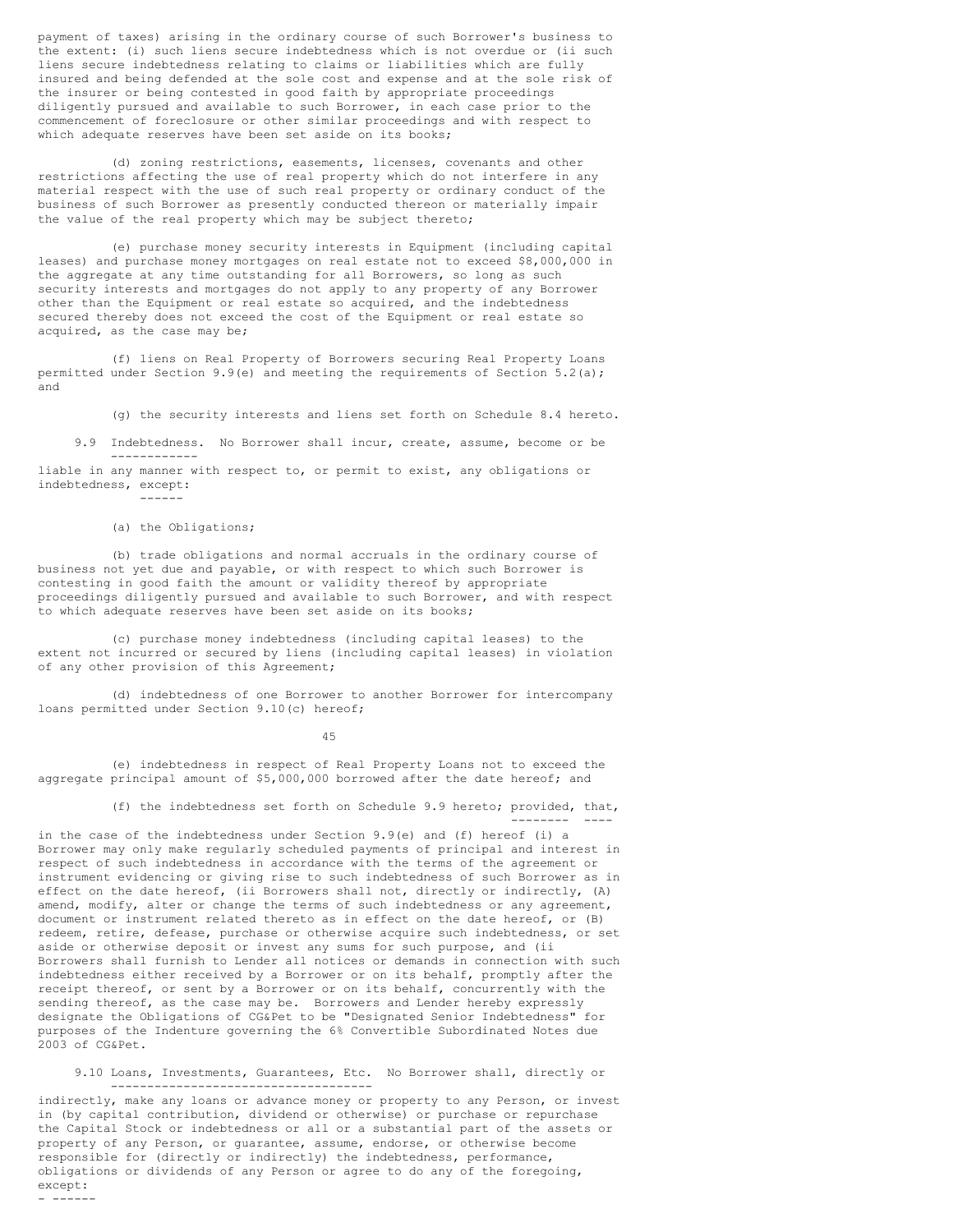payment of taxes) arising in the ordinary course of such Borrower's business to the extent: (i) such liens secure indebtedness which is not overdue or (ii such liens secure indebtedness relating to claims or liabilities which are fully insured and being defended at the sole cost and expense and at the sole risk of the insurer or being contested in good faith by appropriate proceedings diligently pursued and available to such Borrower, in each case prior to the commencement of foreclosure or other similar proceedings and with respect to which adequate reserves have been set aside on its books;

(d) zoning restrictions, easements, licenses, covenants and other restrictions affecting the use of real property which do not interfere in any material respect with the use of such real property or ordinary conduct of the business of such Borrower as presently conducted thereon or materially impair the value of the real property which may be subject thereto;

(e) purchase money security interests in Equipment (including capital leases) and purchase money mortgages on real estate not to exceed \$8,000,000 in the aggregate at any time outstanding for all Borrowers, so long as such security interests and mortgages do not apply to any property of any Borrower other than the Equipment or real estate so acquired, and the indebtedness secured thereby does not exceed the cost of the Equipment or real estate so acquired, as the case may be;

(f) liens on Real Property of Borrowers securing Real Property Loans permitted under Section 9.9(e) and meeting the requirements of Section 5.2(a); and

(g) the security interests and liens set forth on Schedule 8.4 hereto.

9.9 Indebtedness. No Borrower shall incur, create, assume, become or be ----------- liable in any manner with respect to, or permit to exist, any obligations or

indebtedness, except: ------

### (a) the Obligations:

(b) trade obligations and normal accruals in the ordinary course of business not yet due and payable, or with respect to which such Borrower is contesting in good faith the amount or validity thereof by appropriate proceedings diligently pursued and available to such Borrower, and with respect to which adequate reserves have been set aside on its books;

(c) purchase money indebtedness (including capital leases) to the extent not incurred or secured by liens (including capital leases) in violation of any other provision of this Agreement;

(d) indebtedness of one Borrower to another Borrower for intercompany loans permitted under Section 9.10(c) hereof;

45

(e) indebtedness in respect of Real Property Loans not to exceed the aggregate principal amount of \$5,000,000 borrowed after the date hereof; and

> (f) the indebtedness set forth on Schedule 9.9 hereto; provided, that, -------- ----

in the case of the indebtedness under Section 9.9(e) and (f) hereof (i) a Borrower may only make regularly scheduled payments of principal and interest in respect of such indebtedness in accordance with the terms of the agreement or instrument evidencing or giving rise to such indebtedness of such Borrower as in effect on the date hereof, (ii Borrowers shall not, directly or indirectly, (A) amend, modify, alter or change the terms of such indebtedness or any agreement, document or instrument related thereto as in effect on the date hereof, or (B) redeem, retire, defease, purchase or otherwise acquire such indebtedness, or set aside or otherwise deposit or invest any sums for such purpose, and (ii Borrowers shall furnish to Lender all notices or demands in connection with such indebtedness either received by a Borrower or on its behalf, promptly after the receipt thereof, or sent by a Borrower or on its behalf, concurrently with the sending thereof, as the case may be. Borrowers and Lender hereby expressly designate the Obligations of CG&Pet to be "Designated Senior Indebtedness" for purposes of the Indenture governing the 6% Convertible Subordinated Notes due 2003 of CG&Pet.

9.10 Loans, Investments, Guarantees, Etc. No Borrower shall, directly or ------------------------------------

indirectly, make any loans or advance money or property to any Person, or invest in (by capital contribution, dividend or otherwise) or purchase or repurchase the Capital Stock or indebtedness or all or a substantial part of the assets or property of any Person, or guarantee, assume, endorse, or otherwise become responsible for (directly or indirectly) the indebtedness, performance, obligations or dividends of any Person or agree to do any of the foregoing, except: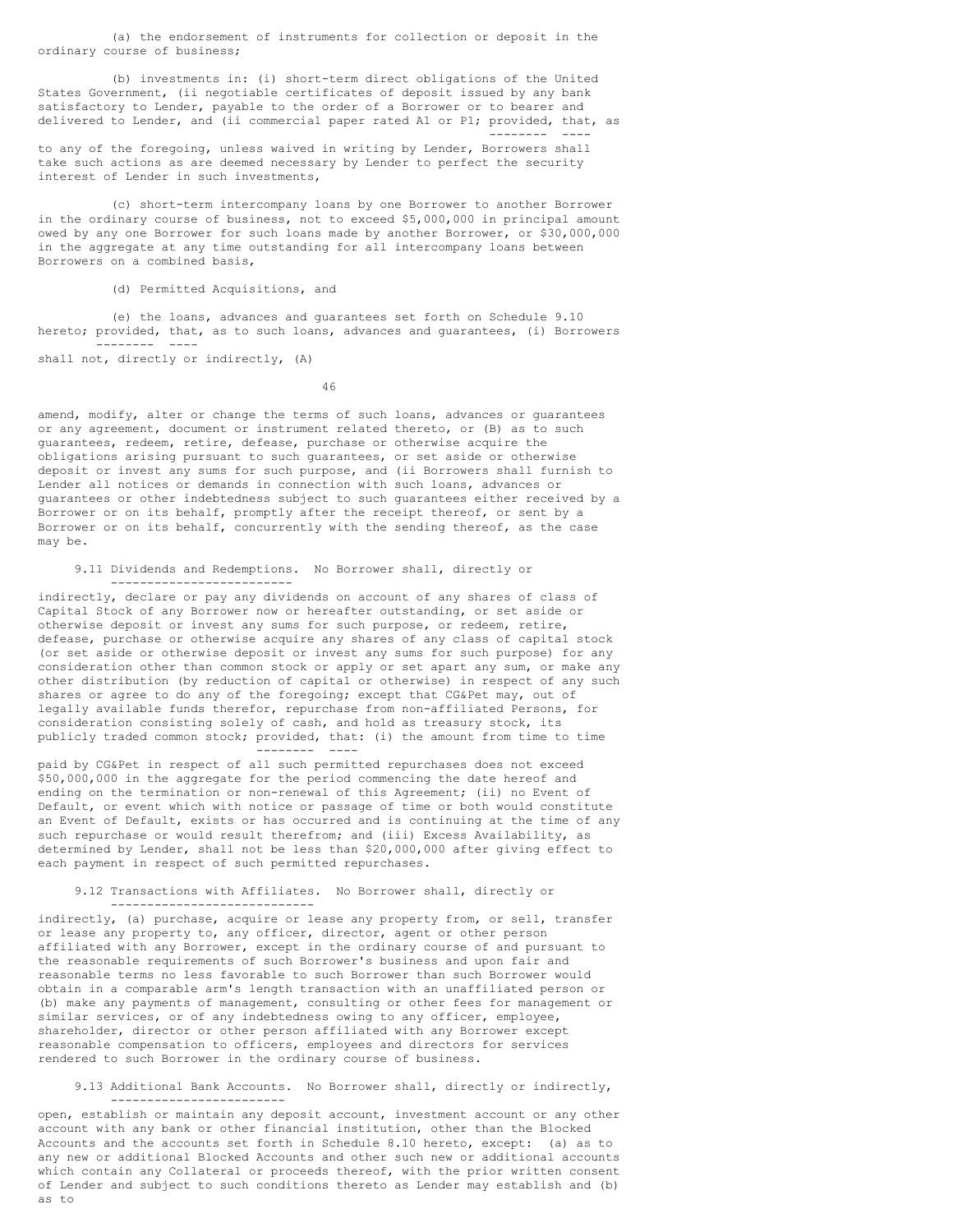(a) the endorsement of instruments for collection or deposit in the ordinary course of business;

(b) investments in: (i) short-term direct obligations of the United States Government, (ii negotiable certificates of deposit issued by any bank satisfactory to Lender, payable to the order of a Borrower or to bearer and delivered to Lender, and (ii commercial paper rated A1 or P1; provided, that, as -------- ----

to any of the foregoing, unless waived in writing by Lender, Borrowers shall take such actions as are deemed necessary by Lender to perfect the security interest of Lender in such investments,

(c) short-term intercompany loans by one Borrower to another Borrower in the ordinary course of business, not to exceed \$5,000,000 in principal amount owed by any one Borrower for such loans made by another Borrower, or \$30,000,000 in the aggregate at any time outstanding for all intercompany loans between Borrowers on a combined basis,

## (d) Permitted Acquisitions, and

(e) the loans, advances and guarantees set forth on Schedule 9.10 hereto; provided, that, as to such loans, advances and guarantees, (i) Borrowers -------- ----

shall not, directly or indirectly, (A)

46

amend, modify, alter or change the terms of such loans, advances or guarantees or any agreement, document or instrument related thereto, or (B) as to such guarantees, redeem, retire, defease, purchase or otherwise acquire the obligations arising pursuant to such guarantees, or set aside or otherwise deposit or invest any sums for such purpose, and (ii Borrowers shall furnish to Lender all notices or demands in connection with such loans, advances or guarantees or other indebtedness subject to such guarantees either received by a Borrower or on its behalf, promptly after the receipt thereof, or sent by a Borrower or on its behalf, concurrently with the sending thereof, as the case may be.

### 9.11 Dividends and Redemptions. No Borrower shall, directly or -------------------------

indirectly, declare or pay any dividends on account of any shares of class of Capital Stock of any Borrower now or hereafter outstanding, or set aside or otherwise deposit or invest any sums for such purpose, or redeem, retire, defease, purchase or otherwise acquire any shares of any class of capital stock (or set aside or otherwise deposit or invest any sums for such purpose) for any consideration other than common stock or apply or set apart any sum, or make any other distribution (by reduction of capital or otherwise) in respect of any such shares or agree to do any of the foregoing; except that CG&Pet may, out of legally available funds therefor, repurchase from non-affiliated Persons, for consideration consisting solely of cash, and hold as treasury stock, its publicly traded common stock; provided, that: (i) the amount from time to time -------- ----

paid by CG&Pet in respect of all such permitted repurchases does not exceed \$50,000,000 in the aggregate for the period commencing the date hereof and ending on the termination or non-renewal of this Agreement; (ii) no Event of Default, or event which with notice or passage of time or both would constitute an Event of Default, exists or has occurred and is continuing at the time of any such repurchase or would result therefrom; and (iii) Excess Availability, as determined by Lender, shall not be less than \$20,000,000 after giving effect to each payment in respect of such permitted repurchases.

#### 9.12 Transactions with Affiliates. No Borrower shall, directly or ----------------------------

indirectly, (a) purchase, acquire or lease any property from, or sell, transfer or lease any property to, any officer, director, agent or other person affiliated with any Borrower, except in the ordinary course of and pursuant to the reasonable requirements of such Borrower's business and upon fair and reasonable terms no less favorable to such Borrower than such Borrower would obtain in a comparable arm's length transaction with an unaffiliated person or (b) make any payments of management, consulting or other fees for management or similar services, or of any indebtedness owing to any officer, employee, shareholder, director or other person affiliated with any Borrower except reasonable compensation to officers, employees and directors for services rendered to such Borrower in the ordinary course of business.

## 9.13 Additional Bank Accounts. No Borrower shall, directly or indirectly, ------------------------

open, establish or maintain any deposit account, investment account or any other account with any bank or other financial institution, other than the Blocked Accounts and the accounts set forth in Schedule 8.10 hereto, except: (a) as to any new or additional Blocked Accounts and other such new or additional accounts which contain any Collateral or proceeds thereof, with the prior written consent of Lender and subject to such conditions thereto as Lender may establish and (b) as to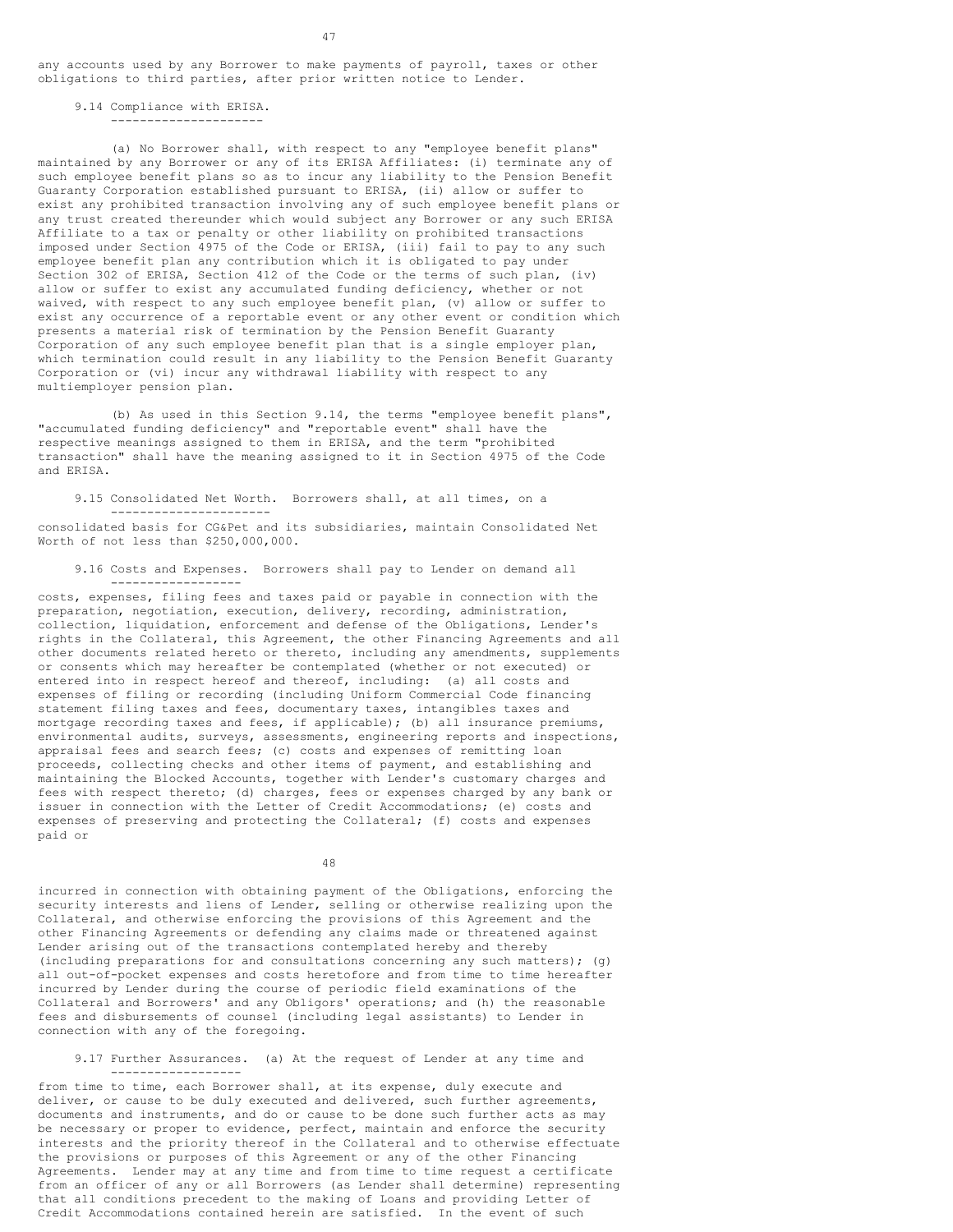any accounts used by any Borrower to make payments of payroll, taxes or other obligations to third parties, after prior written notice to Lender.

### 9.14 Compliance with ERISA.

---------------------

(a) No Borrower shall, with respect to any "employee benefit plans" maintained by any Borrower or any of its ERISA Affiliates: (i) terminate any of such employee benefit plans so as to incur any liability to the Pension Benefit Guaranty Corporation established pursuant to ERISA, (ii) allow or suffer to exist any prohibited transaction involving any of such employee benefit plans or any trust created thereunder which would subject any Borrower or any such ERISA Affiliate to a tax or penalty or other liability on prohibited transactions imposed under Section 4975 of the Code or ERISA, (iii) fail to pay to any such employee benefit plan any contribution which it is obligated to pay under Section 302 of ERISA, Section 412 of the Code or the terms of such plan, (iv) allow or suffer to exist any accumulated funding deficiency, whether or not waived, with respect to any such employee benefit plan, (v) allow or suffer to exist any occurrence of a reportable event or any other event or condition which presents a material risk of termination by the Pension Benefit Guaranty Corporation of any such employee benefit plan that is a single employer plan, which termination could result in any liability to the Pension Benefit Guaranty Corporation or (vi) incur any withdrawal liability with respect to any multiemployer pension plan.

(b) As used in this Section 9.14, the terms "employee benefit plans", "accumulated funding deficiency" and "reportable event" shall have the respective meanings assigned to them in ERISA, and the term "prohibited transaction" shall have the meaning assigned to it in Section 4975 of the Code and ERISA.

9.15 Consolidated Net Worth. Borrowers shall, at all times, on a ----------------------

consolidated basis for CG&Pet and its subsidiaries, maintain Consolidated Net Worth of not less than \$250,000,000.

9.16 Costs and Expenses. Borrowers shall pay to Lender on demand all

----------------- costs, expenses, filing fees and taxes paid or payable in connection with the preparation, negotiation, execution, delivery, recording, administration, collection, liquidation, enforcement and defense of the Obligations, Lender's rights in the Collateral, this Agreement, the other Financing Agreements and all other documents related hereto or thereto, including any amendments, supplements or consents which may hereafter be contemplated (whether or not executed) or entered into in respect hereof and thereof, including: (a) all costs and expenses of filing or recording (including Uniform Commercial Code financing statement filing taxes and fees, documentary taxes, intangibles taxes and mortgage recording taxes and fees, if applicable); (b) all insurance premiums, environmental audits, surveys, assessments, engineering reports and inspections, appraisal fees and search fees; (c) costs and expenses of remitting loan proceeds, collecting checks and other items of payment, and establishing and maintaining the Blocked Accounts, together with Lender's customary charges and fees with respect thereto; (d) charges, fees or expenses charged by any bank or issuer in connection with the Letter of Credit Accommodations; (e) costs and expenses of preserving and protecting the Collateral; (f) costs and expenses paid or

48

incurred in connection with obtaining payment of the Obligations, enforcing the security interests and liens of Lender, selling or otherwise realizing upon the Collateral, and otherwise enforcing the provisions of this Agreement and the other Financing Agreements or defending any claims made or threatened against Lender arising out of the transactions contemplated hereby and thereby (including preparations for and consultations concerning any such matters); (g) all out-of-pocket expenses and costs heretofore and from time to time hereafter incurred by Lender during the course of periodic field examinations of the Collateral and Borrowers' and any Obligors' operations; and (h) the reasonable fees and disbursements of counsel (including legal assistants) to Lender in connection with any of the foregoing.

9.17 Further Assurances. (a) At the request of Lender at any time and ------------------

from time to time, each Borrower shall, at its expense, duly execute and deliver, or cause to be duly executed and delivered, such further agreements, documents and instruments, and do or cause to be done such further acts as may be necessary or proper to evidence, perfect, maintain and enforce the security interests and the priority thereof in the Collateral and to otherwise effectuate the provisions or purposes of this Agreement or any of the other Financing Agreements. Lender may at any time and from time to time request a certificate from an officer of any or all Borrowers (as Lender shall determine) representing that all conditions precedent to the making of Loans and providing Letter of Credit Accommodations contained herein are satisfied. In the event of such

47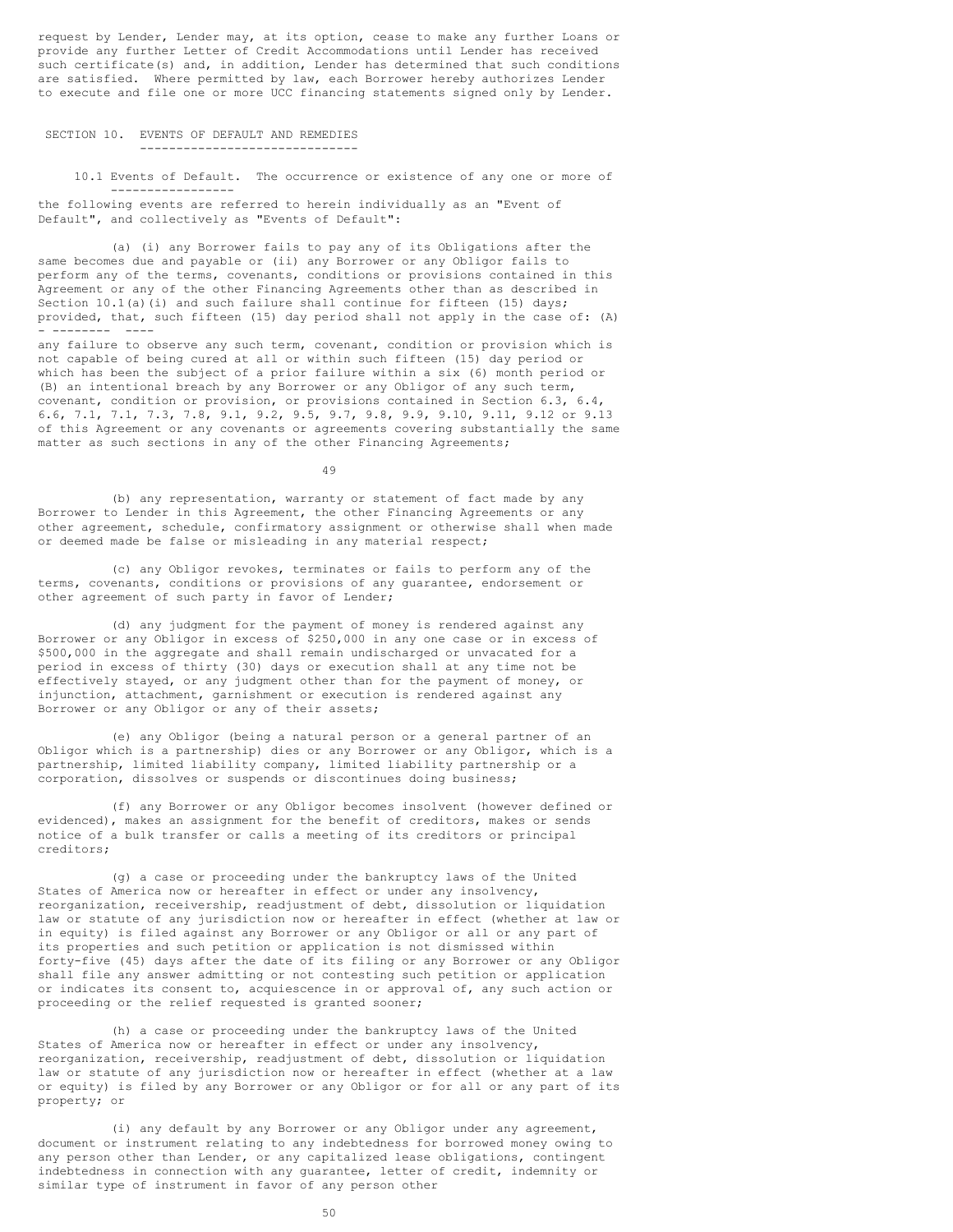request by Lender, Lender may, at its option, cease to make any further Loans or provide any further Letter of Credit Accommodations until Lender has received such certificate(s) and, in addition, Lender has determined that such conditions are satisfied. Where permitted by law, each Borrower hereby authorizes Lender to execute and file one or more UCC financing statements signed only by Lender.

# SECTION 10. EVENTS OF DEFAULT AND REMEDIES ------------------------------

10.1 Events of Default. The occurrence or existence of any one or more of -----------------

the following events are referred to herein individually as an "Event of Default", and collectively as "Events of Default":

(a) (i) any Borrower fails to pay any of its Obligations after the same becomes due and payable or (ii) any Borrower or any Obligor fails to perform any of the terms, covenants, conditions or provisions contained in this Agreement or any of the other Financing Agreements other than as described in Section  $10.1(a)$  (i) and such failure shall continue for fifteen (15) days; provided, that, such fifteen (15) day period shall not apply in the case of: (A)  $- - -$ 

any failure to observe any such term, covenant, condition or provision which is not capable of being cured at all or within such fifteen (15) day period or which has been the subject of a prior failure within a six (6) month period or (B) an intentional breach by any Borrower or any Obligor of any such term, covenant, condition or provision, or provisions contained in Section 6.3, 6.4, 6.6, 7.1, 7.1, 7.3, 7.8, 9.1, 9.2, 9.5, 9.7, 9.8, 9.9, 9.10, 9.11, 9.12 or 9.13 of this Agreement or any covenants or agreements covering substantially the same matter as such sections in any of the other Financing Agreements;

 $49$ 

(b) any representation, warranty or statement of fact made by any Borrower to Lender in this Agreement, the other Financing Agreements or any other agreement, schedule, confirmatory assignment or otherwise shall when made or deemed made be false or misleading in any material respect;

(c) any Obligor revokes, terminates or fails to perform any of the terms, covenants, conditions or provisions of any guarantee, endorsement or other agreement of such party in favor of Lender;

(d) any judgment for the payment of money is rendered against any Borrower or any Obligor in excess of \$250,000 in any one case or in excess of \$500,000 in the aggregate and shall remain undischarged or unvacated for a period in excess of thirty (30) days or execution shall at any time not be effectively stayed, or any judgment other than for the payment of money, or injunction, attachment, garnishment or execution is rendered against any Borrower or any Obligor or any of their assets;

(e) any Obligor (being a natural person or a general partner of an Obligor which is a partnership) dies or any Borrower or any Obligor, which is a partnership, limited liability company, limited liability partnership or a corporation, dissolves or suspends or discontinues doing business;

(f) any Borrower or any Obligor becomes insolvent (however defined or evidenced), makes an assignment for the benefit of creditors, makes or sends notice of a bulk transfer or calls a meeting of its creditors or principal creditors;

(g) a case or proceeding under the bankruptcy laws of the United States of America now or hereafter in effect or under any insolvency, reorganization, receivership, readjustment of debt, dissolution or liquidation law or statute of any jurisdiction now or hereafter in effect (whether at law or in equity) is filed against any Borrower or any Obligor or all or any part of its properties and such petition or application is not dismissed within forty-five (45) days after the date of its filing or any Borrower or any Obligor shall file any answer admitting or not contesting such petition or application or indicates its consent to, acquiescence in or approval of, any such action or proceeding or the relief requested is granted sooner;

(h) a case or proceeding under the bankruptcy laws of the United States of America now or hereafter in effect or under any insolvency, reorganization, receivership, readjustment of debt, dissolution or liquidation law or statute of any jurisdiction now or hereafter in effect (whether at a law or equity) is filed by any Borrower or any Obligor or for all or any part of its property; or

(i) any default by any Borrower or any Obligor under any agreement, document or instrument relating to any indebtedness for borrowed money owing to any person other than Lender, or any capitalized lease obligations, contingent indebtedness in connection with any guarantee, letter of credit, indemnity or similar type of instrument in favor of any person other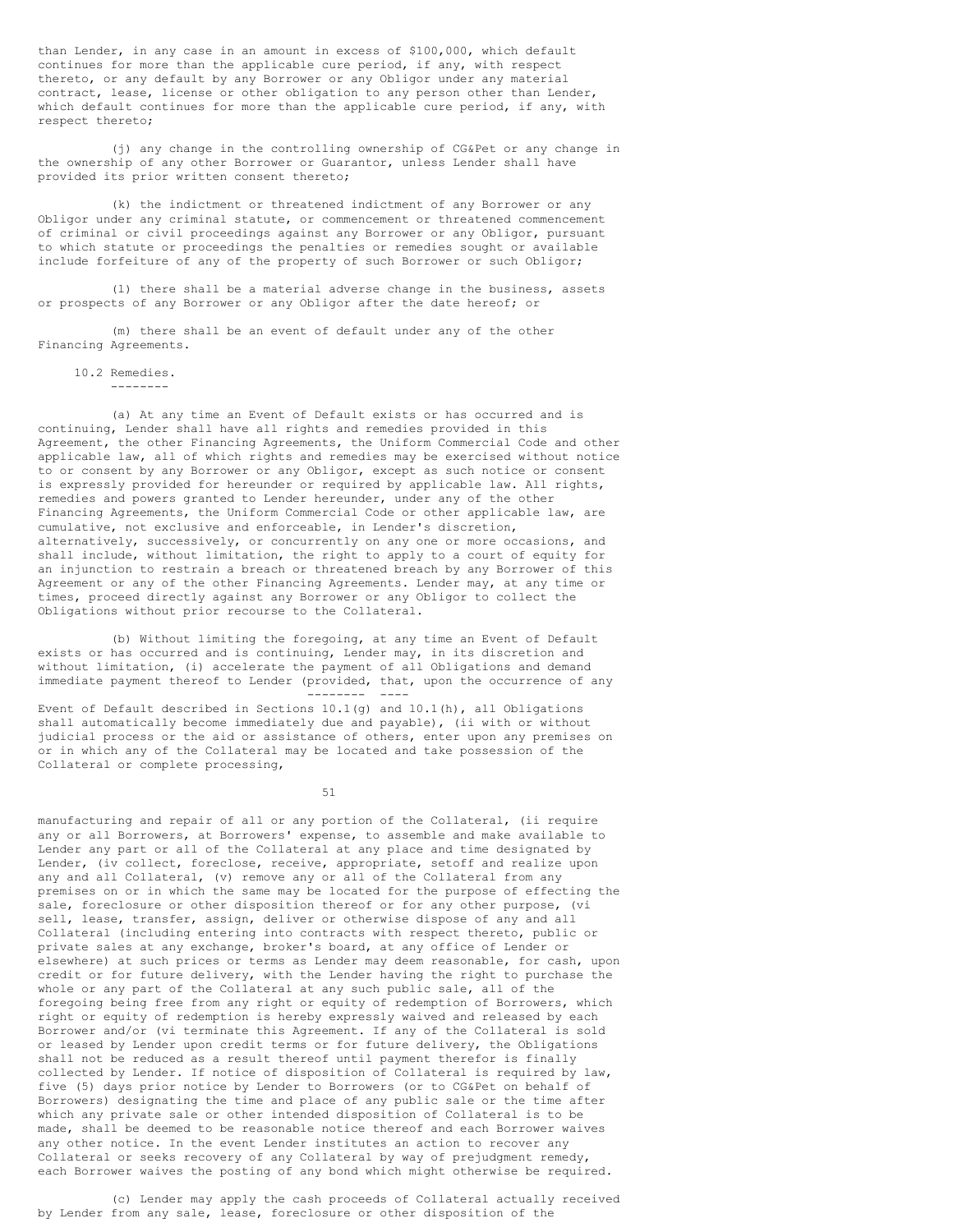than Lender, in any case in an amount in excess of \$100,000, which default continues for more than the applicable cure period, if any, with respect thereto, or any default by any Borrower or any Obligor under any material contract, lease, license or other obligation to any person other than Lender, which default continues for more than the applicable cure period, if any, with respect thereto;

(j) any change in the controlling ownership of CG&Pet or any change in the ownership of any other Borrower or Guarantor, unless Lender shall have provided its prior written consent thereto;

(k) the indictment or threatened indictment of any Borrower or any Obligor under any criminal statute, or commencement or threatened commencement of criminal or civil proceedings against any Borrower or any Obligor, pursuant to which statute or proceedings the penalties or remedies sought or available include forfeiture of any of the property of such Borrower or such Obligor;

(l) there shall be a material adverse change in the business, assets or prospects of any Borrower or any Obligor after the date hereof; or

(m) there shall be an event of default under any of the other Financing Agreements.

### 10.2 Remedies.

--------

(a) At any time an Event of Default exists or has occurred and is continuing, Lender shall have all rights and remedies provided in this Agreement, the other Financing Agreements, the Uniform Commercial Code and other applicable law, all of which rights and remedies may be exercised without notice to or consent by any Borrower or any Obligor, except as such notice or consent is expressly provided for hereunder or required by applicable law. All rights, remedies and powers granted to Lender hereunder, under any of the other Financing Agreements, the Uniform Commercial Code or other applicable law, are cumulative, not exclusive and enforceable, in Lender's discretion, alternatively, successively, or concurrently on any one or more occasions, and shall include, without limitation, the right to apply to a court of equity for an injunction to restrain a breach or threatened breach by any Borrower of this Agreement or any of the other Financing Agreements. Lender may, at any time or times, proceed directly against any Borrower or any Obligor to collect the Obligations without prior recourse to the Collateral.

(b) Without limiting the foregoing, at any time an Event of Default exists or has occurred and is continuing, Lender may, in its discretion and without limitation, (i) accelerate the payment of all Obligations and demand immediate payment thereof to Lender (provided, that, upon the occurrence of any -------- ----

Event of Default described in Sections 10.1(g) and 10.1(h), all Obligations shall automatically become immediately due and payable), (ii with or without judicial process or the aid or assistance of others, enter upon any premises on or in which any of the Collateral may be located and take possession of the Collateral or complete processing,

51

manufacturing and repair of all or any portion of the Collateral, (ii require any or all Borrowers, at Borrowers' expense, to assemble and make available to Lender any part or all of the Collateral at any place and time designated by Lender, (iv collect, foreclose, receive, appropriate, setoff and realize upon any and all Collateral, (v) remove any or all of the Collateral from any premises on or in which the same may be located for the purpose of effecting the sale, foreclosure or other disposition thereof or for any other purpose, (vi sell, lease, transfer, assign, deliver or otherwise dispose of any and all Collateral (including entering into contracts with respect thereto, public or private sales at any exchange, broker's board, at any office of Lender or elsewhere) at such prices or terms as Lender may deem reasonable, for cash, upon credit or for future delivery, with the Lender having the right to purchase the whole or any part of the Collateral at any such public sale, all of the foregoing being free from any right or equity of redemption of Borrowers, which right or equity of redemption is hereby expressly waived and released by each Borrower and/or (vi terminate this Agreement. If any of the Collateral is sold or leased by Lender upon credit terms or for future delivery, the Obligations shall not be reduced as a result thereof until payment therefor is finally collected by Lender. If notice of disposition of Collateral is required by law, five (5) days prior notice by Lender to Borrowers (or to CG&Pet on behalf of Borrowers) designating the time and place of any public sale or the time after which any private sale or other intended disposition of Collateral is to be made, shall be deemed to be reasonable notice thereof and each Borrower waives any other notice. In the event Lender institutes an action to recover any Collateral or seeks recovery of any Collateral by way of prejudgment remedy, each Borrower waives the posting of any bond which might otherwise be required.

(c) Lender may apply the cash proceeds of Collateral actually received by Lender from any sale, lease, foreclosure or other disposition of the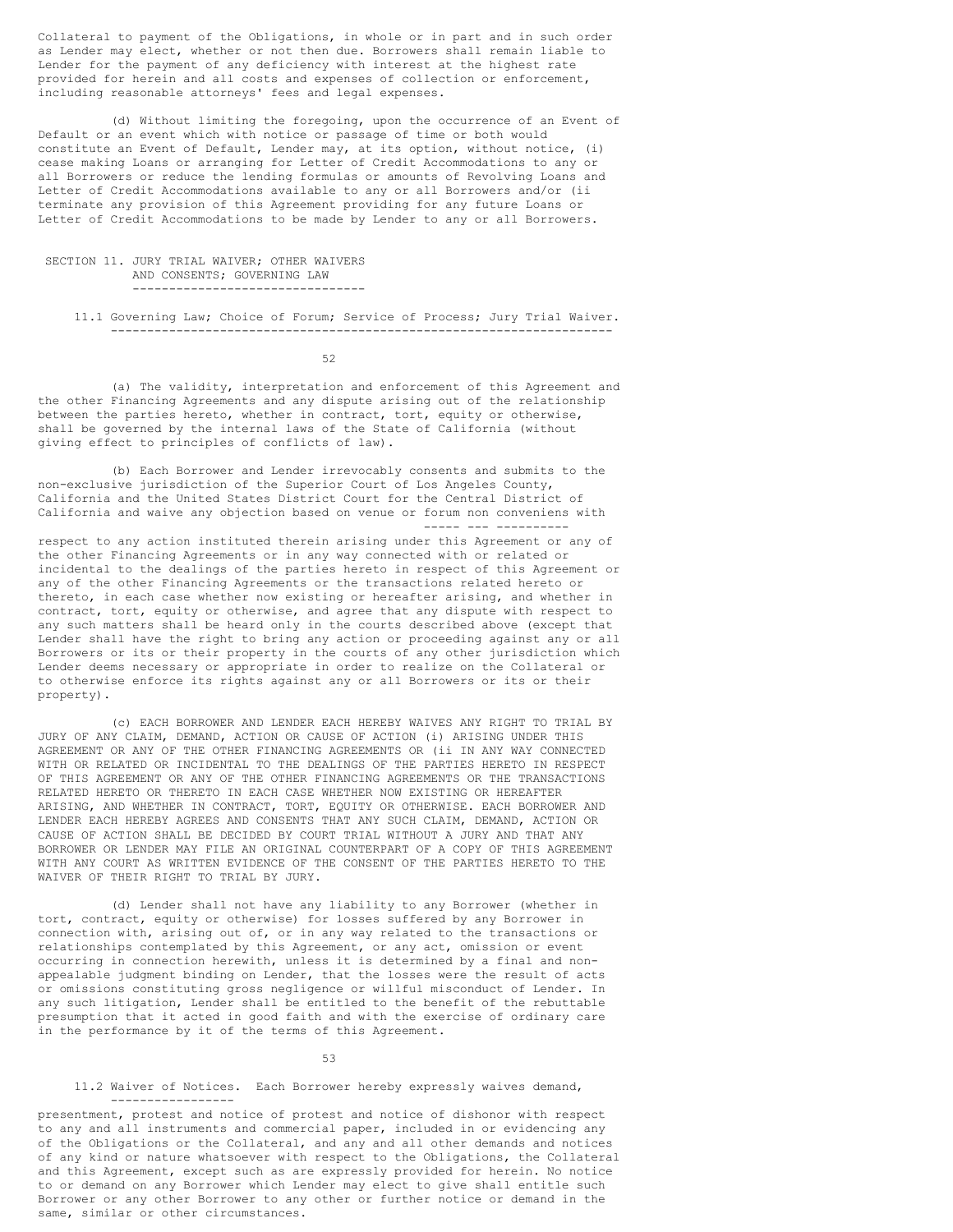Collateral to payment of the Obligations, in whole or in part and in such order as Lender may elect, whether or not then due. Borrowers shall remain liable to Lender for the payment of any deficiency with interest at the highest rate provided for herein and all costs and expenses of collection or enforcement, including reasonable attorneys' fees and legal expenses.

(d) Without limiting the foregoing, upon the occurrence of an Event of Default or an event which with notice or passage of time or both would constitute an Event of Default, Lender may, at its option, without notice, (i) cease making Loans or arranging for Letter of Credit Accommodations to any or all Borrowers or reduce the lending formulas or amounts of Revolving Loans and Letter of Credit Accommodations available to any or all Borrowers and/or (ii terminate any provision of this Agreement providing for any future Loans or Letter of Credit Accommodations to be made by Lender to any or all Borrowers.

## SECTION 11. JURY TRIAL WAIVER; OTHER WAIVERS AND CONSENTS; GOVERNING LAW --------------------------------

11.1 Governing Law; Choice of Forum; Service of Process; Jury Trial Waiver. ---------------------------------------------------------------------

52

(a) The validity, interpretation and enforcement of this Agreement and the other Financing Agreements and any dispute arising out of the relationship between the parties hereto, whether in contract, tort, equity or otherwise, shall be governed by the internal laws of the State of California (without giving effect to principles of conflicts of law).

(b) Each Borrower and Lender irrevocably consents and submits to the non-exclusive jurisdiction of the Superior Court of Los Angeles County, California and the United States District Court for the Central District of California and waive any objection based on venue or forum non conveniens with ----- --- ----------

respect to any action instituted therein arising under this Agreement or any of the other Financing Agreements or in any way connected with or related or incidental to the dealings of the parties hereto in respect of this Agreement or any of the other Financing Agreements or the transactions related hereto or thereto, in each case whether now existing or hereafter arising, and whether in contract, tort, equity or otherwise, and agree that any dispute with respect to any such matters shall be heard only in the courts described above (except that Lender shall have the right to bring any action or proceeding against any or all Borrowers or its or their property in the courts of any other jurisdiction which Lender deems necessary or appropriate in order to realize on the Collateral or to otherwise enforce its rights against any or all Borrowers or its or their property).

(c) EACH BORROWER AND LENDER EACH HEREBY WAIVES ANY RIGHT TO TRIAL BY JURY OF ANY CLAIM, DEMAND, ACTION OR CAUSE OF ACTION (i) ARISING UNDER THIS AGREEMENT OR ANY OF THE OTHER FINANCING AGREEMENTS OR (ii IN ANY WAY CONNECTED WITH OR RELATED OR INCIDENTAL TO THE DEALINGS OF THE PARTIES HERETO IN RESPECT OF THIS AGREEMENT OR ANY OF THE OTHER FINANCING AGREEMENTS OR THE TRANSACTIONS RELATED HERETO OR THERETO IN EACH CASE WHETHER NOW EXISTING OR HEREAFTER ARISING, AND WHETHER IN CONTRACT, TORT, EQUITY OR OTHERWISE. EACH BORROWER AND LENDER EACH HEREBY AGREES AND CONSENTS THAT ANY SUCH CLAIM, DEMAND, ACTION OR CAUSE OF ACTION SHALL BE DECIDED BY COURT TRIAL WITHOUT A JURY AND THAT ANY BORROWER OR LENDER MAY FILE AN ORIGINAL COUNTERPART OF A COPY OF THIS AGREEMENT WITH ANY COURT AS WRITTEN EVIDENCE OF THE CONSENT OF THE PARTIES HERETO TO THE WAIVER OF THEIR RIGHT TO TRIAL BY JURY.

(d) Lender shall not have any liability to any Borrower (whether in tort, contract, equity or otherwise) for losses suffered by any Borrower in connection with, arising out of, or in any way related to the transactions or relationships contemplated by this Agreement, or any act, omission or event occurring in connection herewith, unless it is determined by a final and nonappealable judgment binding on Lender, that the losses were the result of acts or omissions constituting gross negligence or willful misconduct of Lender. In any such litigation, Lender shall be entitled to the benefit of the rebuttable presumption that it acted in good faith and with the exercise of ordinary care in the performance by it of the terms of this Agreement.

### 53

# 11.2 Waiver of Notices. Each Borrower hereby expressly waives demand,

---------------- presentment, protest and notice of protest and notice of dishonor with respect to any and all instruments and commercial paper, included in or evidencing any of the Obligations or the Collateral, and any and all other demands and notices of any kind or nature whatsoever with respect to the Obligations, the Collateral and this Agreement, except such as are expressly provided for herein. No notice to or demand on any Borrower which Lender may elect to give shall entitle such Borrower or any other Borrower to any other or further notice or demand in the same, similar or other circumstances.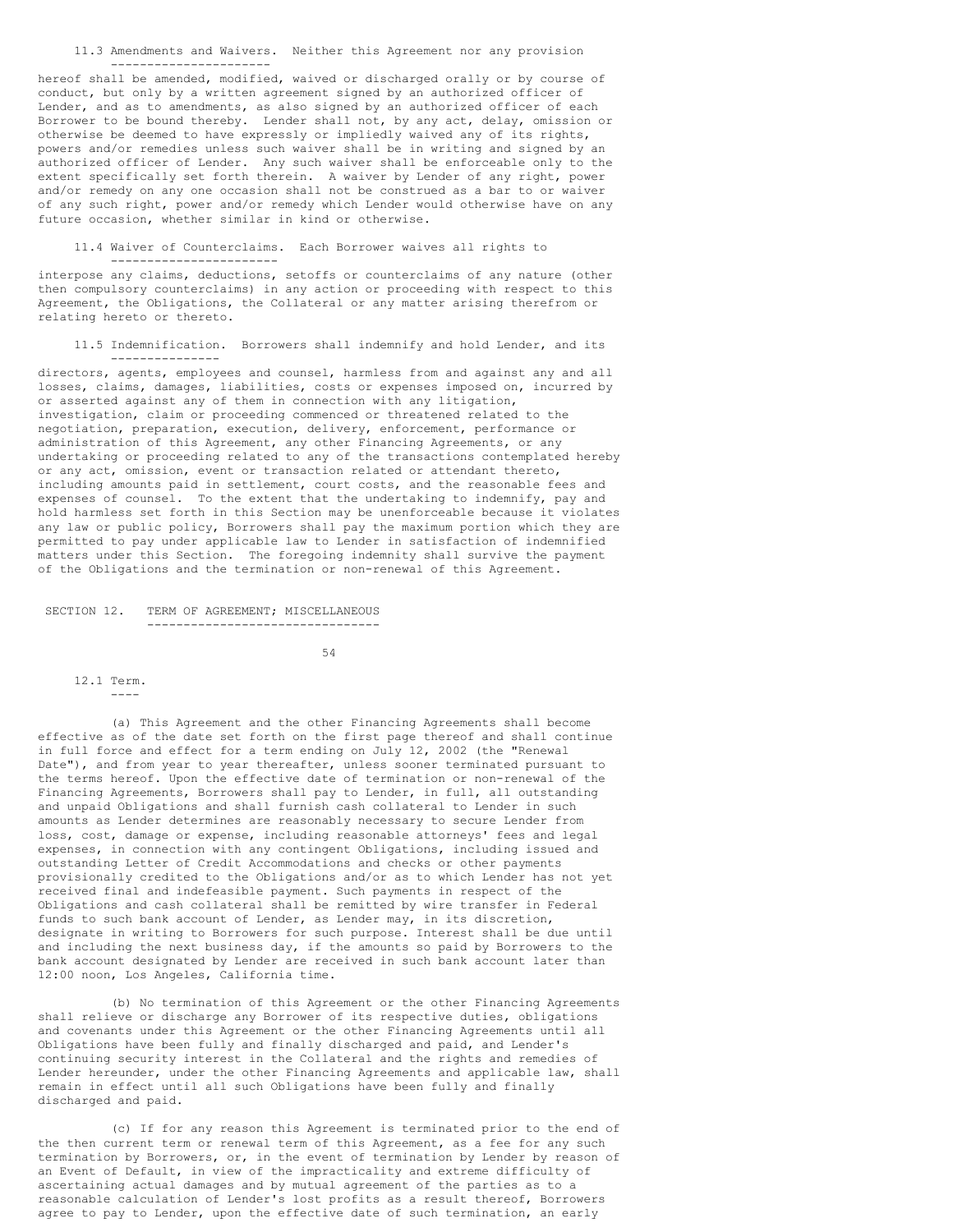## 11.3 Amendments and Waivers. Neither this Agreement nor any provision ----------------------

hereof shall be amended, modified, waived or discharged orally or by course of conduct, but only by a written agreement signed by an authorized officer of Lender, and as to amendments, as also signed by an authorized officer of each Borrower to be bound thereby. Lender shall not, by any act, delay, omission or otherwise be deemed to have expressly or impliedly waived any of its rights, powers and/or remedies unless such waiver shall be in writing and signed by an authorized officer of Lender. Any such waiver shall be enforceable only to the extent specifically set forth therein. A waiver by Lender of any right, power and/or remedy on any one occasion shall not be construed as a bar to or waiver of any such right, power and/or remedy which Lender would otherwise have on any future occasion, whether similar in kind or otherwise.

11.4 Waiver of Counterclaims. Each Borrower waives all rights to

interpose any claims, deductions, setoffs or counterclaims of any nature (other then compulsory counterclaims) in any action or proceeding with respect to this Agreement, the Obligations, the Collateral or any matter arising therefrom or relating hereto or thereto.

11.5 Indemnification. Borrowers shall indemnify and hold Lender, and its ---------------

directors, agents, employees and counsel, harmless from and against any and all losses, claims, damages, liabilities, costs or expenses imposed on, incurred by or asserted against any of them in connection with any litigation, investigation, claim or proceeding commenced or threatened related to the negotiation, preparation, execution, delivery, enforcement, performance or administration of this Agreement, any other Financing Agreements, or any undertaking or proceeding related to any of the transactions contemplated hereby or any act, omission, event or transaction related or attendant thereto, including amounts paid in settlement, court costs, and the reasonable fees and expenses of counsel. To the extent that the undertaking to indemnify, pay and hold harmless set forth in this Section may be unenforceable because it violates any law or public policy, Borrowers shall pay the maximum portion which they are permitted to pay under applicable law to Lender in satisfaction of indemnified matters under this Section. The foregoing indemnity shall survive the payment of the Obligations and the termination or non-renewal of this Agreement.

## SECTION 12. TERM OF AGREEMENT; MISCELLANEOUS --------------------------------

-----------------------

54

12.1 Term.

----

(a) This Agreement and the other Financing Agreements shall become effective as of the date set forth on the first page thereof and shall continue in full force and effect for a term ending on July 12, 2002 (the "Renewal Date"), and from year to year thereafter, unless sooner terminated pursuant to the terms hereof. Upon the effective date of termination or non-renewal of the Financing Agreements, Borrowers shall pay to Lender, in full, all outstanding and unpaid Obligations and shall furnish cash collateral to Lender in such amounts as Lender determines are reasonably necessary to secure Lender from loss, cost, damage or expense, including reasonable attorneys' fees and legal expenses, in connection with any contingent Obligations, including issued and outstanding Letter of Credit Accommodations and checks or other payments provisionally credited to the Obligations and/or as to which Lender has not yet received final and indefeasible payment. Such payments in respect of the Obligations and cash collateral shall be remitted by wire transfer in Federal funds to such bank account of Lender, as Lender may, in its discretion, designate in writing to Borrowers for such purpose. Interest shall be due until and including the next business day, if the amounts so paid by Borrowers to the bank account designated by Lender are received in such bank account later than 12:00 noon, Los Angeles, California time.

(b) No termination of this Agreement or the other Financing Agreements shall relieve or discharge any Borrower of its respective duties, obligations and covenants under this Agreement or the other Financing Agreements until all Obligations have been fully and finally discharged and paid, and Lender's continuing security interest in the Collateral and the rights and remedies of Lender hereunder, under the other Financing Agreements and applicable law, shall remain in effect until all such Obligations have been fully and finally discharged and paid.

(c) If for any reason this Agreement is terminated prior to the end of the then current term or renewal term of this Agreement, as a fee for any such termination by Borrowers, or, in the event of termination by Lender by reason of an Event of Default, in view of the impracticality and extreme difficulty of ascertaining actual damages and by mutual agreement of the parties as to a reasonable calculation of Lender's lost profits as a result thereof, Borrowers agree to pay to Lender, upon the effective date of such termination, an early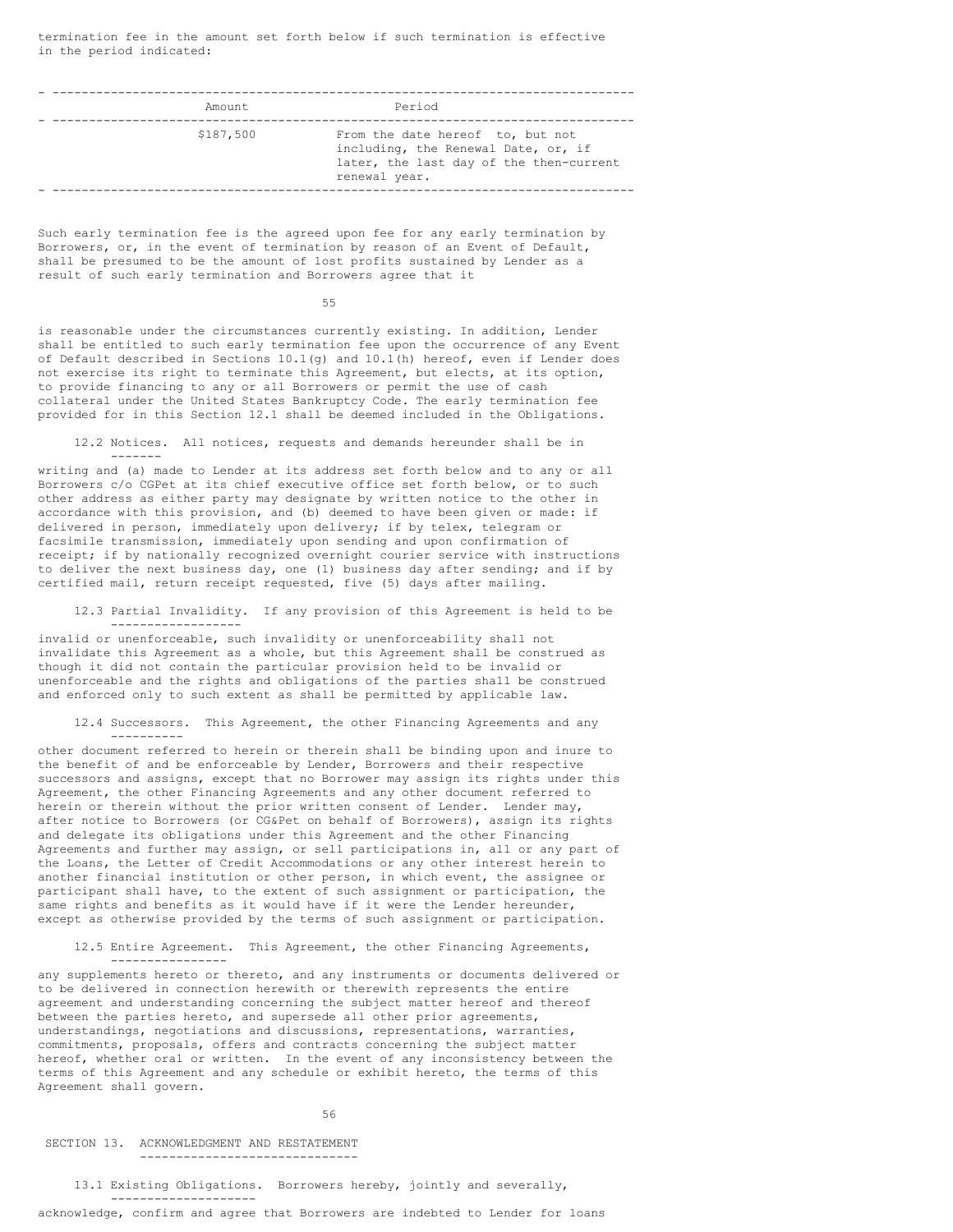termination fee in the amount set forth below if such termination is effective in the period indicated:

| Amount    | Period                                                                                                                              |
|-----------|-------------------------------------------------------------------------------------------------------------------------------------|
|           |                                                                                                                                     |
| \$187,500 | From the date hereof to, but not<br>including, the Renewal Date, or, if<br>later, the last day of the then-current<br>renewal year. |
|           |                                                                                                                                     |

Such early termination fee is the agreed upon fee for any early termination by Borrowers, or, in the event of termination by reason of an Event of Default, shall be presumed to be the amount of lost profits sustained by Lender as a result of such early termination and Borrowers agree that it

55

is reasonable under the circumstances currently existing. In addition, Lender shall be entitled to such early termination fee upon the occurrence of any Event of Default described in Sections 10.1(g) and 10.1(h) hereof, even if Lender does not exercise its right to terminate this Agreement, but elects, at its option, to provide financing to any or all Borrowers or permit the use of cash collateral under the United States Bankruptcy Code. The early termination fee provided for in this Section 12.1 shall be deemed included in the Obligations.

12.2 Notices. All notices, requests and demands hereunder shall be in -------

writing and (a) made to Lender at its address set forth below and to any or all Borrowers c/o CGPet at its chief executive office set forth below, or to such other address as either party may designate by written notice to the other in accordance with this provision, and (b) deemed to have been given or made: if delivered in person, immediately upon delivery; if by telex, telegram or facsimile transmission, immediately upon sending and upon confirmation of receipt; if by nationally recognized overnight courier service with instructions to deliver the next business day, one (1) business day after sending; and if by certified mail, return receipt requested, five (5) days after mailing.

12.3 Partial Invalidity. If any provision of this Agreement is held to be ------------------

invalid or unenforceable, such invalidity or unenforceability shall not invalidate this Agreement as a whole, but this Agreement shall be construed as though it did not contain the particular provision held to be invalid or unenforceable and the rights and obligations of the parties shall be construed and enforced only to such extent as shall be permitted by applicable law.

12.4 Successors. This Agreement, the other Financing Agreements and any ----------

other document referred to herein or therein shall be binding upon and inure to the benefit of and be enforceable by Lender, Borrowers and their respective successors and assigns, except that no Borrower may assign its rights under this Agreement, the other Financing Agreements and any other document referred to herein or therein without the prior written consent of Lender. Lender may, after notice to Borrowers (or CG&Pet on behalf of Borrowers), assign its rights and delegate its obligations under this Agreement and the other Financing Agreements and further may assign, or sell participations in, all or any part of the Loans, the Letter of Credit Accommodations or any other interest herein to another financial institution or other person, in which event, the assignee or participant shall have, to the extent of such assignment or participation, the same rights and benefits as it would have if it were the Lender hereunder, except as otherwise provided by the terms of such assignment or participation.

12.5 Entire Agreement. This Agreement, the other Financing Agreements,

any supplements hereto or thereto, and any instruments or documents delivered or to be delivered in connection herewith or therewith represents the entire agreement and understanding concerning the subject matter hereof and thereof between the parties hereto, and supersede all other prior agreements, understandings, negotiations and discussions, representations, warranties, commitments, proposals, offers and contracts concerning the subject matter hereof, whether oral or written. In the event of any inconsistency between the terms of this Agreement and any schedule or exhibit hereto, the terms of this Agreement shall govern.

56

SECTION 13. ACKNOWLEDGMENT AND RESTATEMENT ------------------------------

----------------

13.1 Existing Obligations. Borrowers hereby, jointly and severally, --------------------

acknowledge, confirm and agree that Borrowers are indebted to Lender for loans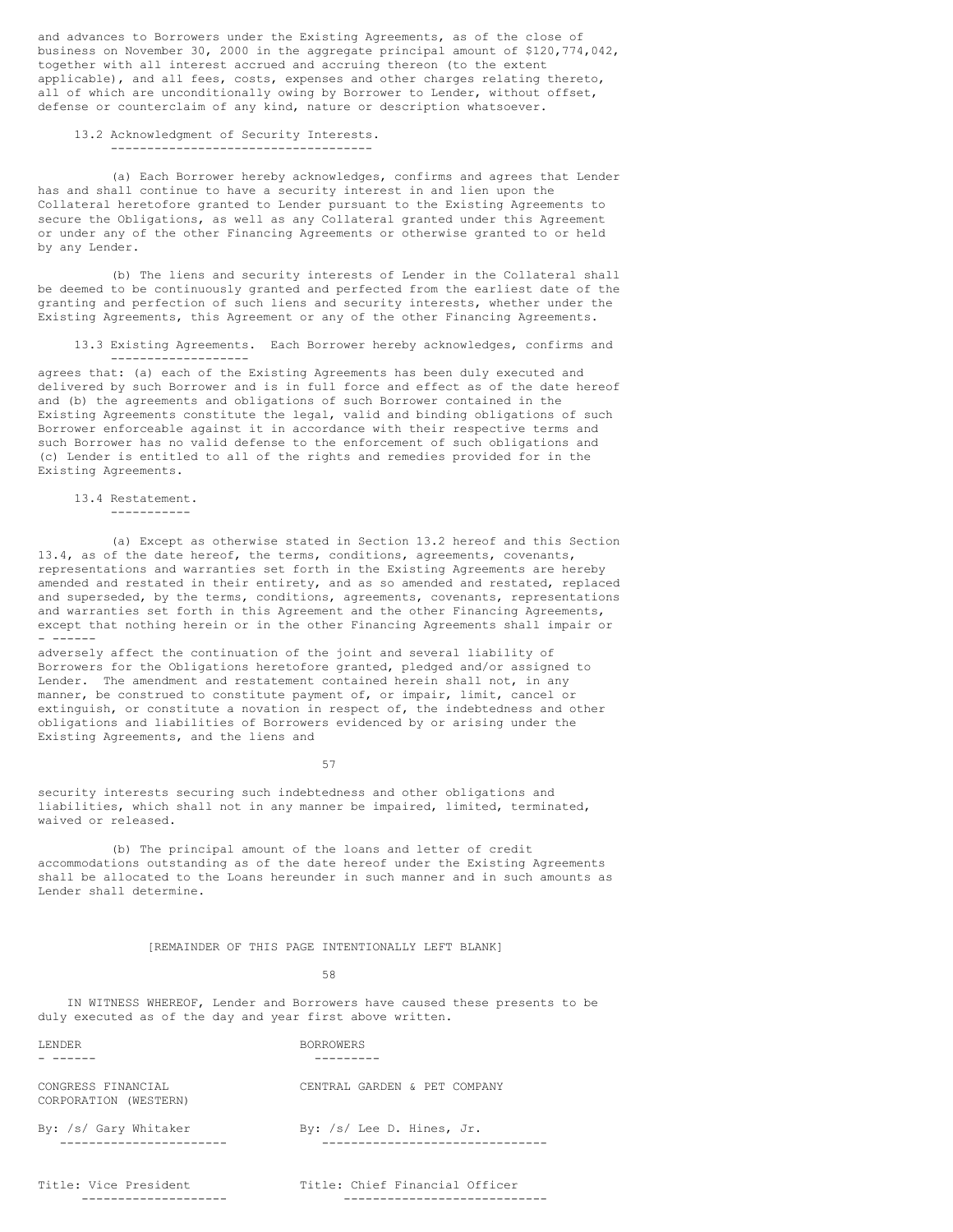and advances to Borrowers under the Existing Agreements, as of the close of business on November 30, 2000 in the aggregate principal amount of \$120,774,042, together with all interest accrued and accruing thereon (to the extent applicable), and all fees, costs, expenses and other charges relating thereto, all of which are unconditionally owing by Borrower to Lender, without offset, defense or counterclaim of any kind, nature or description whatsoever.

# 13.2 Acknowledgment of Security Interests.

------------------------------------

(a) Each Borrower hereby acknowledges, confirms and agrees that Lender has and shall continue to have a security interest in and lien upon the Collateral heretofore granted to Lender pursuant to the Existing Agreements to secure the Obligations, as well as any Collateral granted under this Agreement or under any of the other Financing Agreements or otherwise granted to or held by any Lender.

(b) The liens and security interests of Lender in the Collateral shall be deemed to be continuously granted and perfected from the earliest date of the granting and perfection of such liens and security interests, whether under the Existing Agreements, this Agreement or any of the other Financing Agreements.

13.3 Existing Agreements. Each Borrower hereby acknowledges, confirms and -------------------

agrees that: (a) each of the Existing Agreements has been duly executed and delivered by such Borrower and is in full force and effect as of the date hereof and (b) the agreements and obligations of such Borrower contained in the Existing Agreements constitute the legal, valid and binding obligations of such Borrower enforceable against it in accordance with their respective terms and such Borrower has no valid defense to the enforcement of such obligations and (c) Lender is entitled to all of the rights and remedies provided for in the Existing Agreements.

# 13.4 Restatement.

-----------

(a) Except as otherwise stated in Section 13.2 hereof and this Section 13.4, as of the date hereof, the terms, conditions, agreements, covenants, representations and warranties set forth in the Existing Agreements are hereby amended and restated in their entirety, and as so amended and restated, replaced and superseded, by the terms, conditions, agreements, covenants, representations and warranties set forth in this Agreement and the other Financing Agreements, except that nothing herein or in the other Financing Agreements shall impair or - ------

adversely affect the continuation of the joint and several liability of Borrowers for the Obligations heretofore granted, pledged and/or assigned to Lender. The amendment and restatement contained herein shall not, in any manner, be construed to constitute payment of, or impair, limit, cancel or extinguish, or constitute a novation in respect of, the indebtedness and other obligations and liabilities of Borrowers evidenced by or arising under the Existing Agreements, and the liens and

57

security interests securing such indebtedness and other obligations and liabilities, which shall not in any manner be impaired, limited, terminated, waived or released.

(b) The principal amount of the loans and letter of credit accommodations outstanding as of the date hereof under the Existing Agreements shall be allocated to the Loans hereunder in such manner and in such amounts as Lender shall determine.

# [REMAINDER OF THIS PAGE INTENTIONALLY LEFT BLANK]

58

IN WITNESS WHEREOF, Lender and Borrowers have caused these presents to be duly executed as of the day and year first above written.

| <b>LENDER</b>                               | <b>BORROWERS</b>                                       |
|---------------------------------------------|--------------------------------------------------------|
| CONGRESS FINANCIAL<br>CORPORATION (WESTERN) | CENTRAL GARDEN & PET COMPANY                           |
| By: /s/ Gary Whitaker                       | By: /s/ Lee D. Hines, Jr.                              |
| Title: Vice President<br>-------------      | Title: Chief Financial Officer<br>-------------------- |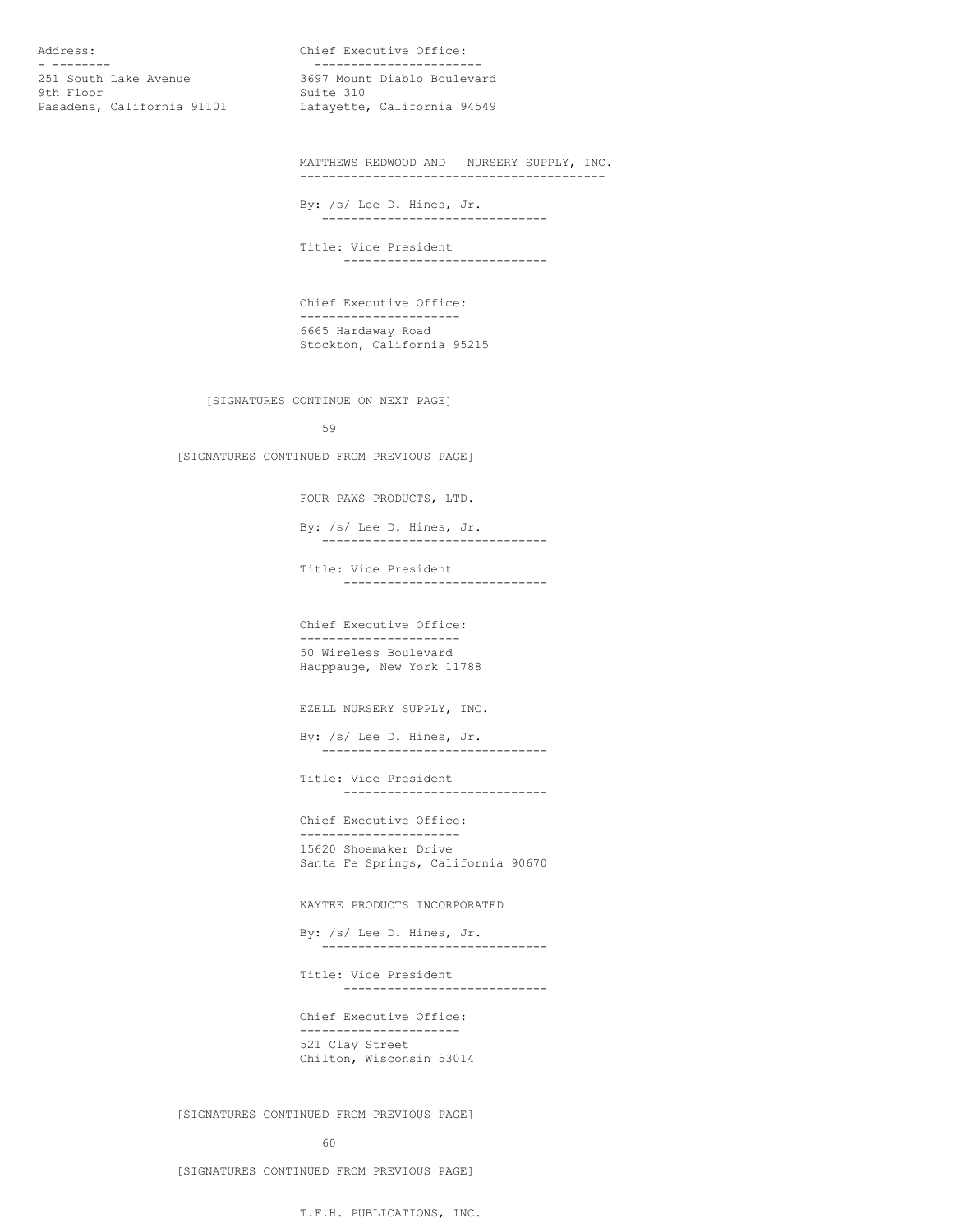- ----------<br>251 South Lake Avenue 3697 Mount Diablo Boulev 9th Floor Suite 310<br>Pasadena, California 91101 Lafayette,

Address: Chief Executive Office: 3697 Mount Diablo Boulevard Lafayette, California 94549

> MATTHEWS REDWOOD AND NURSERY SUPPLY, INC. ------------------------------------------

By: /s/ Lee D. Hines, Jr. -------------------------------

Title: Vice President ----------------------------

Chief Executive Office: ---------------------- 6665 Hardaway Road Stockton, California 95215

[SIGNATURES CONTINUE ON NEXT PAGE]

59

[SIGNATURES CONTINUED FROM PREVIOUS PAGE]

FOUR PAWS PRODUCTS, LTD.

By: /s/ Lee D. Hines, Jr. -------------------------------

Title: Vice President ----------------------------

Chief Executive Office: ---------------------- 50 Wireless Boulevard Hauppauge, New York 11788

EZELL NURSERY SUPPLY, INC.

By: /s/ Lee D. Hines, Jr. -------------------------------

Title: Vice President ----------------------------

Chief Executive Office: ---------------------- 15620 Shoemaker Drive Santa Fe Springs, California 90670

KAYTEE PRODUCTS INCORPORATED

By: /s/ Lee D. Hines, Jr. -------------------------------

Title: Vice President ----------------------------

Chief Executive Office: ---------------------- 521 Clay Street Chilton, Wisconsin 53014

[SIGNATURES CONTINUED FROM PREVIOUS PAGE]

60

[SIGNATURES CONTINUED FROM PREVIOUS PAGE]

T.F.H. PUBLICATIONS, INC.